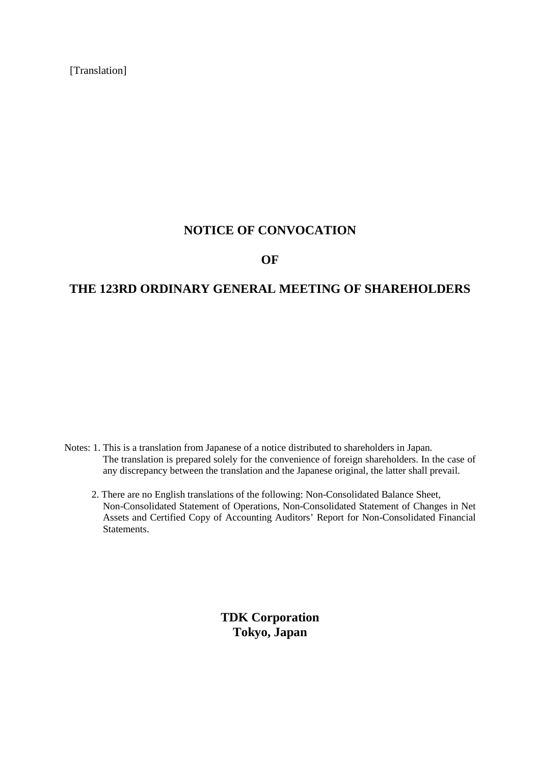[Translation]

# **NOTICE OF CONVOCATION**

# **OF**

# **THE 123RD ORDINARY GENERAL MEETING OF SHAREHOLDERS**

- Notes: 1. This is a translation from Japanese of a notice distributed to shareholders in Japan. The translation is prepared solely for the convenience of foreign shareholders. In the case of any discrepancy between the translation and the Japanese original, the latter shall prevail.
	- 2. There are no English translations of the following: Non-Consolidated Balance Sheet, Non-Consolidated Statement of Operations, Non-Consolidated Statement of Changes in Net Assets and Certified Copy of Accounting Auditors' Report for Non-Consolidated Financial Statements.

**TDK Corporation Tokyo, Japan**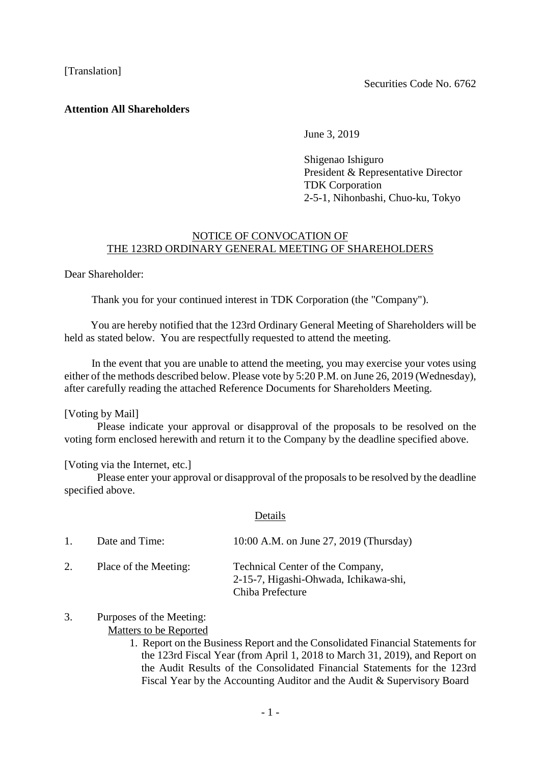## [Translation]

## **Attention All Shareholders**

June 3, 2019

Shigenao Ishiguro President & Representative Director TDK Corporation 2-5-1, Nihonbashi, Chuo-ku, Tokyo

## NOTICE OF CONVOCATION OF THE 123RD ORDINARY GENERAL MEETING OF SHAREHOLDERS

Dear Shareholder:

Thank you for your continued interest in TDK Corporation (the "Company").

You are hereby notified that the 123rd Ordinary General Meeting of Shareholders will be held as stated below. You are respectfully requested to attend the meeting.

In the event that you are unable to attend the meeting, you may exercise your votes using either of the methods described below. Please vote by 5:20 P.M. on June 26, 2019 (Wednesday), after carefully reading the attached Reference Documents for Shareholders Meeting.

#### [Voting by Mail]

Please indicate your approval or disapproval of the proposals to be resolved on the voting form enclosed herewith and return it to the Company by the deadline specified above.

#### [Voting via the Internet, etc.]

Please enter your approval or disapproval of the proposals to be resolved by the deadline specified above.

| ган. | S |
|------|---|
|      |   |

| $1_{-}$ | Date and Time:        | 10:00 A.M. on June 27, 2019 (Thursday)                                                        |
|---------|-----------------------|-----------------------------------------------------------------------------------------------|
| 2.      | Place of the Meeting: | Technical Center of the Company,<br>2-15-7, Higashi-Ohwada, Ichikawa-shi,<br>Chiba Prefecture |

#### 3. Purposes of the Meeting: Matters to be Reported

1. Report on the Business Report and the Consolidated Financial Statements for the 123rd Fiscal Year (from April 1, 2018 to March 31, 2019), and Report on the Audit Results of the Consolidated Financial Statements for the 123rd Fiscal Year by the Accounting Auditor and the Audit & Supervisory Board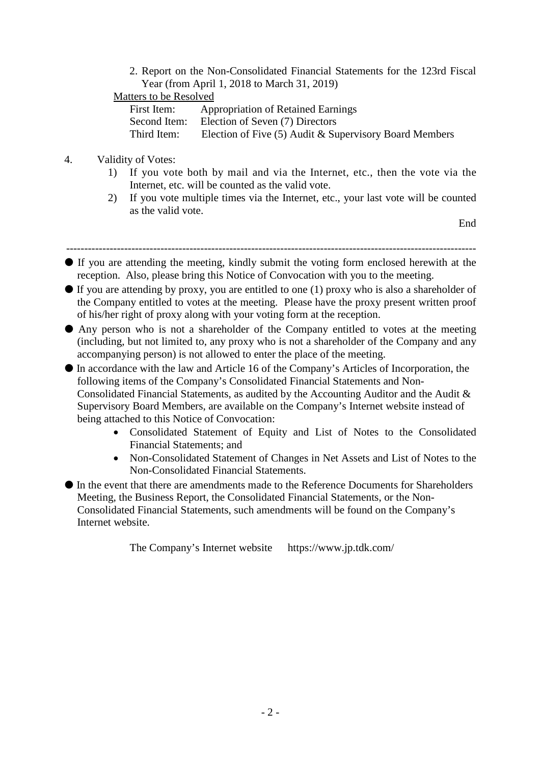2. Report on the Non-Consolidated Financial Statements for the 123rd Fiscal Year (from April 1, 2018 to March 31, 2019)

# Matters to be Resolved

| First Item:  | <b>Appropriation of Retained Earnings</b>              |
|--------------|--------------------------------------------------------|
| Second Item: | Election of Seven (7) Directors                        |
| Third Item:  | Election of Five (5) Audit & Supervisory Board Members |

# 4. Validity of Votes:

- 1) If you vote both by mail and via the Internet, etc., then the vote via the Internet, etc. will be counted as the valid vote.
- 2) If you vote multiple times via the Internet, etc., your last vote will be counted as the valid vote.

End

-----------------------------------------------------------------------------------------------------------------

- If you are attending the meeting, kindly submit the voting form enclosed herewith at the reception. Also, please bring this Notice of Convocation with you to the meeting.
- $\bullet$  If you are attending by proxy, you are entitled to one (1) proxy who is also a shareholder of the Company entitled to votes at the meeting. Please have the proxy present written proof of his/her right of proxy along with your voting form at the reception.
- Any person who is not a shareholder of the Company entitled to votes at the meeting (including, but not limited to, any proxy who is not a shareholder of the Company and any accompanying person) is not allowed to enter the place of the meeting.

● In accordance with the law and Article 16 of the Company's Articles of Incorporation, the following items of the Company's Consolidated Financial Statements and Non-Consolidated Financial Statements, as audited by the Accounting Auditor and the Audit & Supervisory Board Members, are available on the Company's Internet website instead of being attached to this Notice of Convocation:

- Consolidated Statement of Equity and List of Notes to the Consolidated Financial Statements; and
- Non-Consolidated Statement of Changes in Net Assets and List of Notes to the Non-Consolidated Financial Statements.

● In the event that there are amendments made to the Reference Documents for Shareholders Meeting, the Business Report, the Consolidated Financial Statements, or the Non-Consolidated Financial Statements, such amendments will be found on the Company's Internet website.

The Company's Internet website https://www.jp.tdk.com/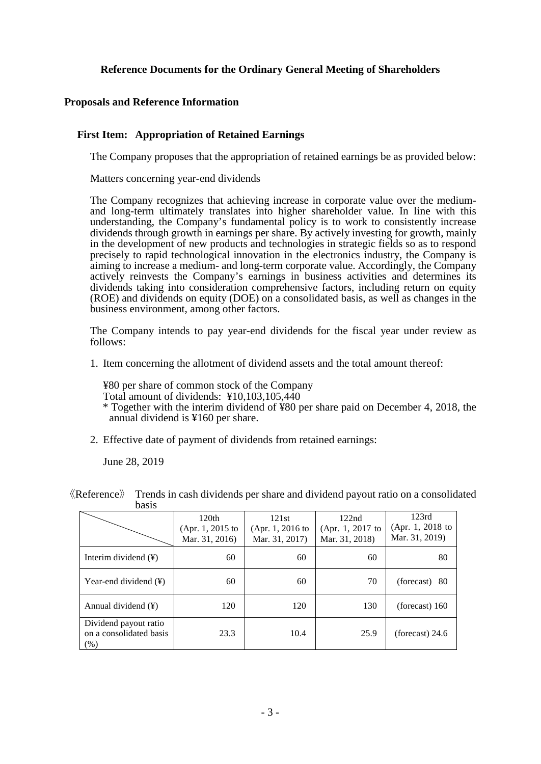## **Reference Documents for the Ordinary General Meeting of Shareholders**

## **Proposals and Reference Information**

#### **First Item: Appropriation of Retained Earnings**

The Company proposes that the appropriation of retained earnings be as provided below:

Matters concerning year-end dividends

The Company recognizes that achieving increase in corporate value over the mediumand long-term ultimately translates into higher shareholder value. In line with this understanding, the Company's fundamental policy is to work to consistently increase dividends through growth in earnings per share. By actively investing for growth, mainly in the development of new products and technologies in strategic fields so as to respond precisely to rapid technological innovation in the electronics industry, the Company is aiming to increase a medium- and long-term corporate value. Accordingly, the Company actively reinvests the Company's earnings in business activities and determines its dividends taking into consideration comprehensive factors, including return on equity (ROE) and dividends on equity (DOE) on a consolidated basis, as well as changes in the business environment, among other factors.

The Company intends to pay year-end dividends for the fiscal year under review as follows:

1. Item concerning the allotment of dividend assets and the total amount thereof:

¥80 per share of common stock of the Company Total amount of dividends: ¥10,103,105,440

- \* Together with the interim dividend of ¥80 per share paid on December 4, 2018, the annual dividend is ¥160 per share.
- 2. Effective date of payment of dividends from retained earnings:

June 28, 2019

|                                                          | 120th<br>(Apr. 1, 2015 to<br>Mar. 31, 2016) | 121st<br>(Apr. 1, 2016 to<br>Mar. 31, 2017) | 122nd<br>(Apr. 1, 2017 to<br>Mar. 31, 2018) | 123rd<br>(Apr. 1, 2018 to<br>Mar. 31, 2019) |
|----------------------------------------------------------|---------------------------------------------|---------------------------------------------|---------------------------------------------|---------------------------------------------|
| Interim dividend $(\frac{1}{2})$                         | 60                                          | 60                                          | 60                                          | 80                                          |
| Year-end dividend $(\frac{1}{2})$                        | 60                                          | 60                                          | 70                                          | $(forest)$ 80                               |
| Annual dividend $(\frac{1}{2})$                          | 120                                         | 120                                         | 130                                         | (forecast) $160$                            |
| Dividend payout ratio<br>on a consolidated basis<br>(% ) | 23.3                                        | 10.4                                        | 25.9                                        | (forecast) $24.6$                           |

《Reference》 Trends in cash dividends per share and dividend payout ratio on a consolidated basis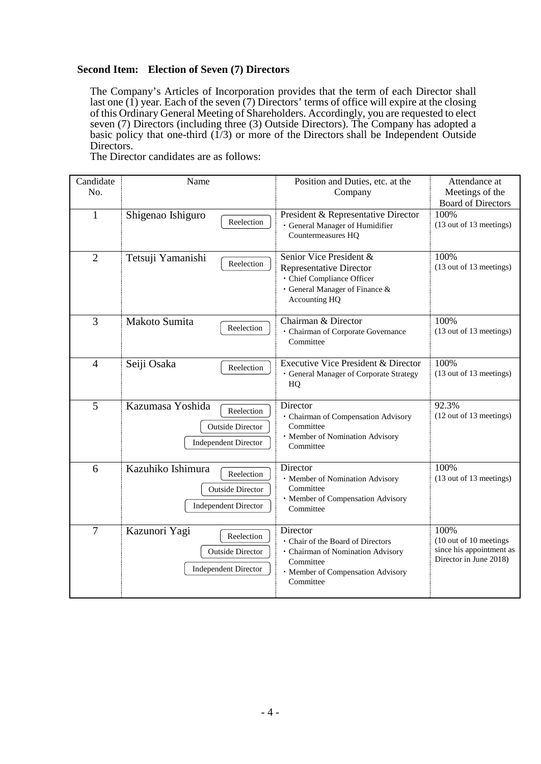## **Second Item: Election of Seven (7) Directors**

The Company's Articles of Incorporation provides that the term of each Director shall last one (1) year. Each of the seven (7) Directors' terms of office will expire at the closing of this Ordinary General Meeting of Shareholders. Accordingly, you are requested to elect seven (7) Directors (including three (3) Outside Directors). The Company has adopted a  $\frac{1}{2}$  basic policy that one-third  $(1/3)$  or more of the Directors shall be Independent Outside Directors.

The Director candidates are as follows:

| Candidate<br>No. | Name                                                                                      | Position and Duties, etc. at the<br>Company                                                                                                       | Attendance at<br>Meetings of the                                                     |
|------------------|-------------------------------------------------------------------------------------------|---------------------------------------------------------------------------------------------------------------------------------------------------|--------------------------------------------------------------------------------------|
| $\mathbf{1}$     | Shigenao Ishiguro<br>Reelection                                                           | President & Representative Director<br>· General Manager of Humidifier<br>Countermeasures HQ                                                      | <b>Board of Directors</b><br>100%<br>(13 out of 13 meetings)                         |
| $\overline{2}$   | Tetsuji Yamanishi<br>Reelection                                                           | Senior Vice President &<br><b>Representative Director</b><br>· Chief Compliance Officer<br>· General Manager of Finance &<br>Accounting HQ        | 100%<br>(13 out of 13 meetings)                                                      |
| 3                | Makoto Sumita<br>Reelection                                                               | Chairman & Director<br>· Chairman of Corporate Governance<br>Committee                                                                            | 100%<br>(13 out of 13 meetings)                                                      |
| $\overline{4}$   | Seiji Osaka<br>Reelection                                                                 | <b>Executive Vice President &amp; Director</b><br>· General Manager of Corporate Strategy<br>HQ                                                   | 100%<br>(13 out of 13 meetings)                                                      |
| 5                | Kazumasa Yoshida<br>Reelection<br><b>Outside Director</b><br><b>Independent Director</b>  | Director<br>· Chairman of Compensation Advisory<br>Committee<br>· Member of Nomination Advisory<br>Committee                                      | 92.3%<br>(12 out of 13 meetings)                                                     |
| 6                | Kazuhiko Ishimura<br>Reelection<br><b>Outside Director</b><br><b>Independent Director</b> | Director<br>· Member of Nomination Advisory<br>Committee<br>· Member of Compensation Advisory<br>Committee                                        | 100%<br>(13 out of 13 meetings)                                                      |
| $\overline{7}$   | Kazunori Yagi<br>Reelection<br><b>Outside Director</b><br><b>Independent Director</b>     | Director<br>· Chair of the Board of Directors<br>· Chairman of Nomination Advisory<br>Committee<br>· Member of Compensation Advisory<br>Committee | 100%<br>(10 out of 10 meetings<br>since his appointment as<br>Director in June 2018) |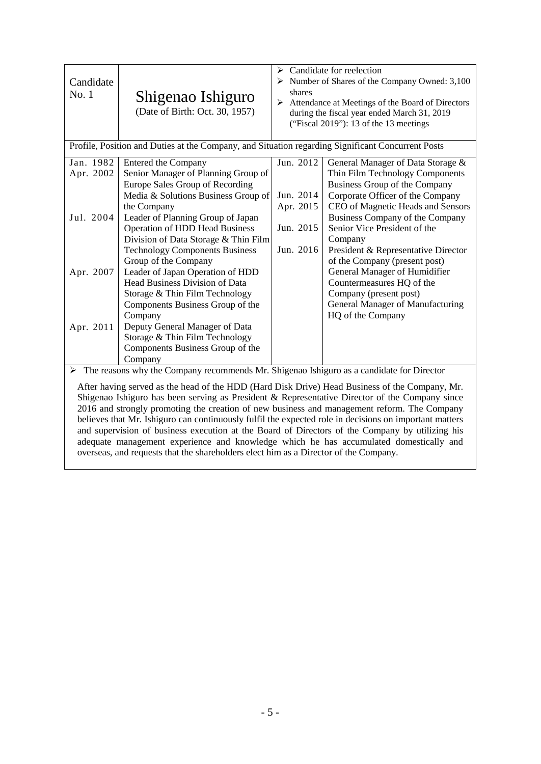| Candidate<br>No. 1                                                                                                                                                                                                                                                                                                                                                                                                                                                                                                                                                                                                                                                                                                                                                                              | Shigenao Ishiguro<br>(Date of Birth: Oct. 30, 1957)                                                                                                                                                                                                                                                                       | $\triangleright$ Candidate for reelection<br>$\triangleright$ Number of Shares of the Company Owned: 3,100<br>shares<br>> Attendance at Meetings of the Board of Directors<br>during the fiscal year ended March 31, 2019<br>("Fiscal 2019"): 13 of the 13 meetings |                                                                                                                                                                                                                                                                                                     |
|-------------------------------------------------------------------------------------------------------------------------------------------------------------------------------------------------------------------------------------------------------------------------------------------------------------------------------------------------------------------------------------------------------------------------------------------------------------------------------------------------------------------------------------------------------------------------------------------------------------------------------------------------------------------------------------------------------------------------------------------------------------------------------------------------|---------------------------------------------------------------------------------------------------------------------------------------------------------------------------------------------------------------------------------------------------------------------------------------------------------------------------|---------------------------------------------------------------------------------------------------------------------------------------------------------------------------------------------------------------------------------------------------------------------|-----------------------------------------------------------------------------------------------------------------------------------------------------------------------------------------------------------------------------------------------------------------------------------------------------|
|                                                                                                                                                                                                                                                                                                                                                                                                                                                                                                                                                                                                                                                                                                                                                                                                 | Profile, Position and Duties at the Company, and Situation regarding Significant Concurrent Posts                                                                                                                                                                                                                         |                                                                                                                                                                                                                                                                     |                                                                                                                                                                                                                                                                                                     |
| Jan. 1982<br>Apr. 2002<br>Jul. 2004                                                                                                                                                                                                                                                                                                                                                                                                                                                                                                                                                                                                                                                                                                                                                             | <b>Entered the Company</b><br>Senior Manager of Planning Group of<br>Europe Sales Group of Recording<br>Media & Solutions Business Group of<br>the Company<br>Leader of Planning Group of Japan<br><b>Operation of HDD Head Business</b><br>Division of Data Storage & Thin Film<br><b>Technology Components Business</b> | Jun. 2012<br>Jun. 2014<br>Apr. 2015<br>Jun. 2015<br>Jun. 2016                                                                                                                                                                                                       | General Manager of Data Storage &<br>Thin Film Technology Components<br>Business Group of the Company<br>Corporate Officer of the Company<br>CEO of Magnetic Heads and Sensors<br>Business Company of the Company<br>Senior Vice President of the<br>Company<br>President & Representative Director |
| Apr. 2007<br>Apr. 2011                                                                                                                                                                                                                                                                                                                                                                                                                                                                                                                                                                                                                                                                                                                                                                          | Group of the Company<br>Leader of Japan Operation of HDD<br>Head Business Division of Data<br>Storage & Thin Film Technology<br>Components Business Group of the<br>Company<br>Deputy General Manager of Data<br>Storage & Thin Film Technology<br>Components Business Group of the<br>Company                            |                                                                                                                                                                                                                                                                     | of the Company (present post)<br>General Manager of Humidifier<br>Countermeasures HQ of the<br>Company (present post)<br>General Manager of Manufacturing<br>HQ of the Company                                                                                                                      |
| The reasons why the Company recommends Mr. Shigenao Ishiguro as a candidate for Director<br>≻<br>After having served as the head of the HDD (Hard Disk Drive) Head Business of the Company, Mr.<br>Shigenao Ishiguro has been serving as President & Representative Director of the Company since<br>2016 and strongly promoting the creation of new business and management reform. The Company<br>believes that Mr. Ishiguro can continuously fulfil the expected role in decisions on important matters<br>and supervision of business execution at the Board of Directors of the Company by utilizing his<br>adequate management experience and knowledge which he has accumulated domestically and<br>overseas, and requests that the shareholders elect him as a Director of the Company. |                                                                                                                                                                                                                                                                                                                           |                                                                                                                                                                                                                                                                     |                                                                                                                                                                                                                                                                                                     |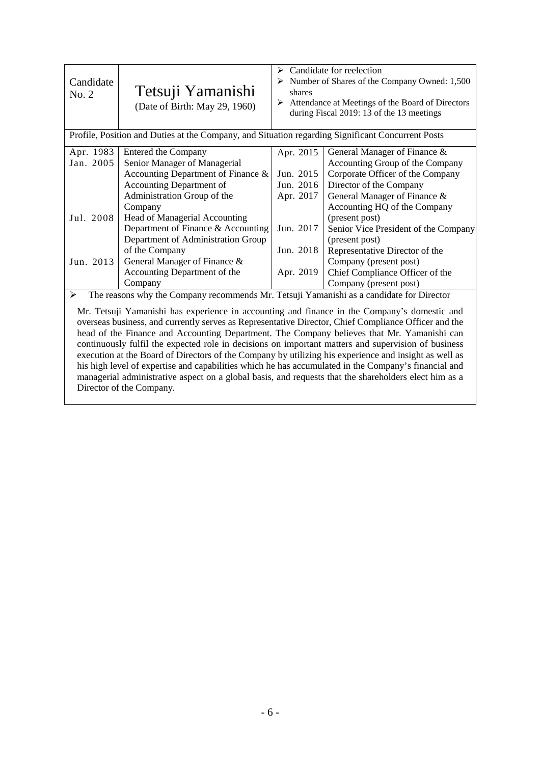| Candidate<br>No. 2                                                                                                                                                                                                                                                                                                                                                                                                                                                                                                                                                                                                                                                                                                                                                                                                                                          | Tetsuji Yamanishi<br>(Date of Birth: May 29, 1960)                                                                                                                                                                                                                                                                                                             | shares                                                                                  | $\triangleright$ Candidate for reelection<br>$\triangleright$ Number of Shares of the Company Owned: 1,500<br>$\triangleright$ Attendance at Meetings of the Board of Directors<br>during Fiscal 2019: 13 of the 13 meetings                                                                                                                                              |
|-------------------------------------------------------------------------------------------------------------------------------------------------------------------------------------------------------------------------------------------------------------------------------------------------------------------------------------------------------------------------------------------------------------------------------------------------------------------------------------------------------------------------------------------------------------------------------------------------------------------------------------------------------------------------------------------------------------------------------------------------------------------------------------------------------------------------------------------------------------|----------------------------------------------------------------------------------------------------------------------------------------------------------------------------------------------------------------------------------------------------------------------------------------------------------------------------------------------------------------|-----------------------------------------------------------------------------------------|---------------------------------------------------------------------------------------------------------------------------------------------------------------------------------------------------------------------------------------------------------------------------------------------------------------------------------------------------------------------------|
|                                                                                                                                                                                                                                                                                                                                                                                                                                                                                                                                                                                                                                                                                                                                                                                                                                                             | Profile, Position and Duties at the Company, and Situation regarding Significant Concurrent Posts                                                                                                                                                                                                                                                              |                                                                                         |                                                                                                                                                                                                                                                                                                                                                                           |
| Apr. 1983<br>Jan. 2005<br>Jul. 2008<br>Jun. 2013                                                                                                                                                                                                                                                                                                                                                                                                                                                                                                                                                                                                                                                                                                                                                                                                            | Entered the Company<br>Senior Manager of Managerial<br>Accounting Department of Finance &<br>Accounting Department of<br>Administration Group of the<br>Company<br>Head of Managerial Accounting<br>Department of Finance & Accounting<br>Department of Administration Group<br>of the Company<br>General Manager of Finance &<br>Accounting Department of the | Apr. 2015<br>Jun. 2015<br>Jun. 2016<br>Apr. 2017<br>Jun. 2017<br>Jun. 2018<br>Apr. 2019 | General Manager of Finance &<br>Accounting Group of the Company<br>Corporate Officer of the Company<br>Director of the Company<br>General Manager of Finance &<br>Accounting HQ of the Company<br>(present post)<br>Senior Vice President of the Company<br>(present post)<br>Representative Director of the<br>Company (present post)<br>Chief Compliance Officer of the |
| ≻                                                                                                                                                                                                                                                                                                                                                                                                                                                                                                                                                                                                                                                                                                                                                                                                                                                           | Company                                                                                                                                                                                                                                                                                                                                                        |                                                                                         | Company (present post)                                                                                                                                                                                                                                                                                                                                                    |
| The reasons why the Company recommends Mr. Tetsuji Yamanishi as a candidate for Director<br>Mr. Tetsuji Yamanishi has experience in accounting and finance in the Company's domestic and<br>overseas business, and currently serves as Representative Director, Chief Compliance Officer and the<br>head of the Finance and Accounting Department. The Company believes that Mr. Yamanishi can<br>continuously fulfil the expected role in decisions on important matters and supervision of business<br>execution at the Board of Directors of the Company by utilizing his experience and insight as well as<br>his high level of expertise and capabilities which he has accumulated in the Company's financial and<br>managerial administrative aspect on a global basis, and requests that the shareholders elect him as a<br>Director of the Company. |                                                                                                                                                                                                                                                                                                                                                                |                                                                                         |                                                                                                                                                                                                                                                                                                                                                                           |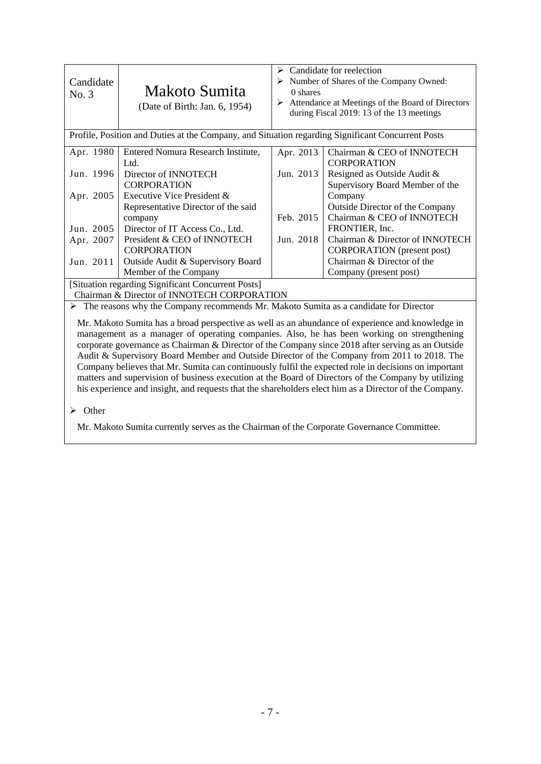| Candidate<br>No. 3                          | Makoto Sumita<br>(Date of Birth: Jan. 6, 1954)                                                    | Candidate for reelection<br>➤<br>$\triangleright$ Number of Shares of the Company Owned:<br>0 shares<br>Attendance at Meetings of the Board of Directors<br>during Fiscal 2019: 13 of the 13 meetings |                                        |
|---------------------------------------------|---------------------------------------------------------------------------------------------------|-------------------------------------------------------------------------------------------------------------------------------------------------------------------------------------------------------|----------------------------------------|
|                                             | Profile, Position and Duties at the Company, and Situation regarding Significant Concurrent Posts |                                                                                                                                                                                                       |                                        |
| Apr. 1980                                   | Entered Nomura Research Institute,                                                                | Apr. 2013                                                                                                                                                                                             | Chairman & CEO of INNOTECH             |
|                                             | Ltd.                                                                                              |                                                                                                                                                                                                       | <b>CORPORATION</b>                     |
| Jun. 1996                                   | Director of INNOTECH                                                                              | Jun. 2013                                                                                                                                                                                             | Resigned as Outside Audit &            |
|                                             | <b>CORPORATION</b>                                                                                |                                                                                                                                                                                                       | Supervisory Board Member of the        |
| Apr. 2005                                   | Executive Vice President &                                                                        |                                                                                                                                                                                                       | Company                                |
|                                             | Representative Director of the said                                                               |                                                                                                                                                                                                       | <b>Outside Director of the Company</b> |
|                                             | company                                                                                           | Feb. 2015                                                                                                                                                                                             | Chairman & CEO of INNOTECH             |
| Jun. 2005                                   | Director of IT Access Co., Ltd.                                                                   |                                                                                                                                                                                                       | FRONTIER, Inc.                         |
| Apr. 2007                                   | President & CEO of INNOTECH                                                                       | Jun. 2018                                                                                                                                                                                             | Chairman & Director of INNOTECH        |
|                                             | <b>CORPORATION</b>                                                                                |                                                                                                                                                                                                       | <b>CORPORATION</b> (present post)      |
| Jun. 2011                                   | Outside Audit & Supervisory Board                                                                 |                                                                                                                                                                                                       | Chairman & Director of the             |
|                                             | Member of the Company                                                                             |                                                                                                                                                                                                       | Company (present post)                 |
|                                             | [Situation regarding Significant Concurrent Posts]                                                |                                                                                                                                                                                                       |                                        |
| Chairman & Director of INNOTECH CORPORATION |                                                                                                   |                                                                                                                                                                                                       |                                        |

 $\triangleright$  The reasons why the Company recommends Mr. Makoto Sumita as a candidate for Director

Mr. Makoto Sumita has a broad perspective as well as an abundance of experience and knowledge in management as a manager of operating companies. Also, he has been working on strengthening corporate governance as Chairman & Director of the Company since 2018 after serving as an Outside Audit & Supervisory Board Member and Outside Director of the Company from 2011 to 2018. The Company believes that Mr. Sumita can continuously fulfil the expected role in decisions on important matters and supervision of business execution at the Board of Directors of the Company by utilizing his experience and insight, and requests that the shareholders elect him as a Director of the Company.

 $\triangleright$  Other

Mr. Makoto Sumita currently serves as the Chairman of the Corporate Governance Committee.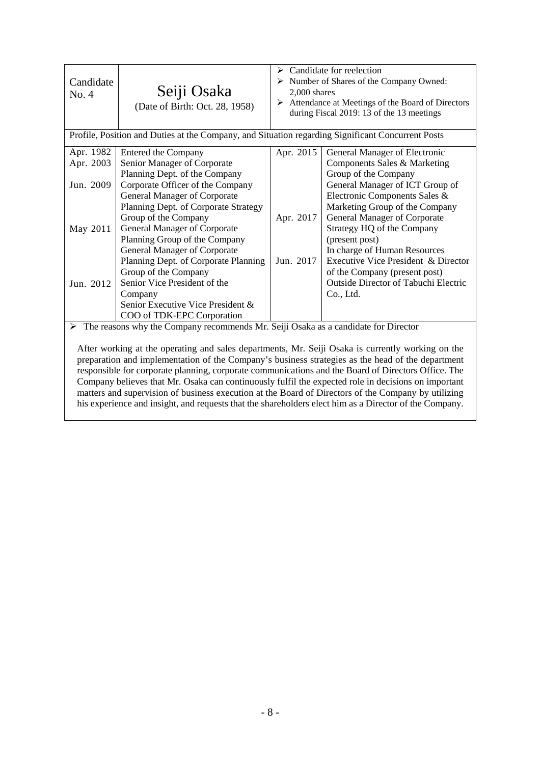| Candidate<br>No. 4                                                                                                                                                                                                                                                                                                                                                                                                                                                                                                                                                                                                                                                                                                                           | Seiji Osaka<br>(Date of Birth: Oct. 28, 1958)                                                                                                                                                                                                                                                                                                                                                                                                                                   | $\triangleright$ Candidate for reelection<br>$\triangleright$ Number of Shares of the Company Owned:<br>$2.000$ shares<br>$\triangleright$ Attendance at Meetings of the Board of Directors<br>during Fiscal 2019: 13 of the 13 meetings |                                                                                                                                                                                                                                                                                                                                                                                                                                                 |  |
|----------------------------------------------------------------------------------------------------------------------------------------------------------------------------------------------------------------------------------------------------------------------------------------------------------------------------------------------------------------------------------------------------------------------------------------------------------------------------------------------------------------------------------------------------------------------------------------------------------------------------------------------------------------------------------------------------------------------------------------------|---------------------------------------------------------------------------------------------------------------------------------------------------------------------------------------------------------------------------------------------------------------------------------------------------------------------------------------------------------------------------------------------------------------------------------------------------------------------------------|------------------------------------------------------------------------------------------------------------------------------------------------------------------------------------------------------------------------------------------|-------------------------------------------------------------------------------------------------------------------------------------------------------------------------------------------------------------------------------------------------------------------------------------------------------------------------------------------------------------------------------------------------------------------------------------------------|--|
|                                                                                                                                                                                                                                                                                                                                                                                                                                                                                                                                                                                                                                                                                                                                              | Profile, Position and Duties at the Company, and Situation regarding Significant Concurrent Posts                                                                                                                                                                                                                                                                                                                                                                               |                                                                                                                                                                                                                                          |                                                                                                                                                                                                                                                                                                                                                                                                                                                 |  |
| Apr. 1982<br>Apr. 2003<br>Jun. 2009<br>May 2011<br>Jun. 2012                                                                                                                                                                                                                                                                                                                                                                                                                                                                                                                                                                                                                                                                                 | Entered the Company<br>Senior Manager of Corporate<br>Planning Dept. of the Company<br>Corporate Officer of the Company<br>General Manager of Corporate<br>Planning Dept. of Corporate Strategy<br>Group of the Company<br><b>General Manager of Corporate</b><br>Planning Group of the Company<br>General Manager of Corporate<br>Planning Dept. of Corporate Planning<br>Group of the Company<br>Senior Vice President of the<br>Company<br>Senior Executive Vice President & | Apr. 2015<br>Apr. 2017<br>Jun. 2017                                                                                                                                                                                                      | General Manager of Electronic<br>Components Sales & Marketing<br>Group of the Company<br>General Manager of ICT Group of<br>Electronic Components Sales &<br>Marketing Group of the Company<br>General Manager of Corporate<br>Strategy HQ of the Company<br>(present post)<br>In charge of Human Resources<br>Executive Vice President & Director<br>of the Company (present post)<br><b>Outside Director of Tabuchi Electric</b><br>Co., Ltd. |  |
|                                                                                                                                                                                                                                                                                                                                                                                                                                                                                                                                                                                                                                                                                                                                              | COO of TDK-EPC Corporation                                                                                                                                                                                                                                                                                                                                                                                                                                                      |                                                                                                                                                                                                                                          |                                                                                                                                                                                                                                                                                                                                                                                                                                                 |  |
| $\triangleright$ The reasons why the Company recommends Mr. Seiji Osaka as a candidate for Director<br>After working at the operating and sales departments, Mr. Seiji Osaka is currently working on the<br>preparation and implementation of the Company's business strategies as the head of the department<br>responsible for corporate planning, corporate communications and the Board of Directors Office. The<br>Company believes that Mr. Osaka can continuously fulfil the expected role in decisions on important<br>matters and supervision of business execution at the Board of Directors of the Company by utilizing<br>his experience and insight, and requests that the shareholders elect him as a Director of the Company. |                                                                                                                                                                                                                                                                                                                                                                                                                                                                                 |                                                                                                                                                                                                                                          |                                                                                                                                                                                                                                                                                                                                                                                                                                                 |  |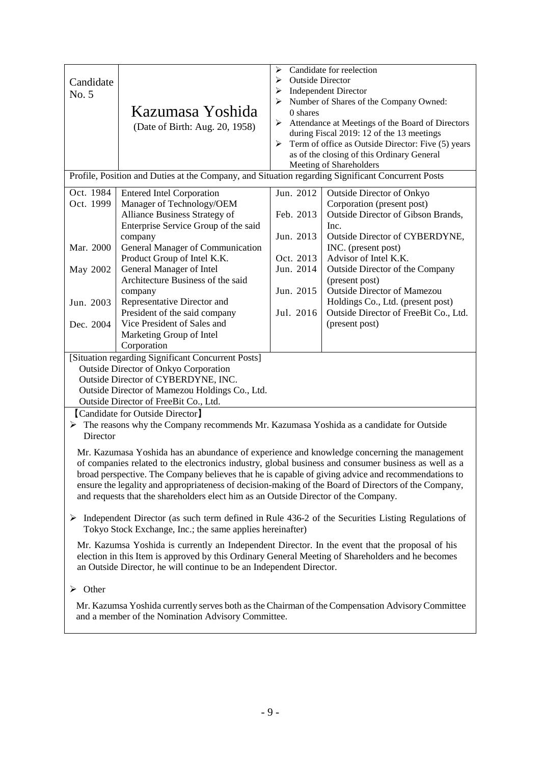| Candidate                                                                                                                                                                 |                                                                                                      | ⋗<br><b>Outside Director</b><br>➤ | Candidate for reelection                                              |  |
|---------------------------------------------------------------------------------------------------------------------------------------------------------------------------|------------------------------------------------------------------------------------------------------|-----------------------------------|-----------------------------------------------------------------------|--|
| No. 5                                                                                                                                                                     |                                                                                                      | <b>Independent Director</b><br>➤  |                                                                       |  |
|                                                                                                                                                                           |                                                                                                      | ≻                                 | Number of Shares of the Company Owned:                                |  |
|                                                                                                                                                                           | Kazumasa Yoshida                                                                                     | $0$ shares                        |                                                                       |  |
|                                                                                                                                                                           | (Date of Birth: Aug. 20, 1958)                                                                       | ➤                                 | Attendance at Meetings of the Board of Directors                      |  |
|                                                                                                                                                                           |                                                                                                      |                                   | during Fiscal 2019: 12 of the 13 meetings                             |  |
|                                                                                                                                                                           |                                                                                                      | ≻                                 | Term of office as Outside Director: Five (5) years                    |  |
|                                                                                                                                                                           |                                                                                                      |                                   | as of the closing of this Ordinary General<br>Meeting of Shareholders |  |
|                                                                                                                                                                           | Profile, Position and Duties at the Company, and Situation regarding Significant Concurrent Posts    |                                   |                                                                       |  |
|                                                                                                                                                                           |                                                                                                      |                                   |                                                                       |  |
| Oct. 1984                                                                                                                                                                 | <b>Entered Intel Corporation</b>                                                                     | Jun. 2012                         | <b>Outside Director of Onkyo</b>                                      |  |
| Oct. 1999                                                                                                                                                                 | Manager of Technology/OEM                                                                            |                                   | Corporation (present post)                                            |  |
|                                                                                                                                                                           | Alliance Business Strategy of                                                                        | Feb. 2013                         | Outside Director of Gibson Brands,                                    |  |
|                                                                                                                                                                           | Enterprise Service Group of the said                                                                 |                                   | Inc.                                                                  |  |
|                                                                                                                                                                           | company                                                                                              | Jun. 2013                         | Outside Director of CYBERDYNE,                                        |  |
| Mar. 2000                                                                                                                                                                 | General Manager of Communication                                                                     |                                   | INC. (present post)                                                   |  |
|                                                                                                                                                                           | Product Group of Intel K.K.                                                                          | Oct. 2013                         | Advisor of Intel K.K.                                                 |  |
| May 2002                                                                                                                                                                  | General Manager of Intel                                                                             | Jun. 2014                         | Outside Director of the Company                                       |  |
|                                                                                                                                                                           | Architecture Business of the said                                                                    |                                   | (present post)                                                        |  |
|                                                                                                                                                                           | company                                                                                              | Jun. 2015                         | <b>Outside Director of Mamezou</b>                                    |  |
| Jun. 2003                                                                                                                                                                 | Representative Director and                                                                          |                                   | Holdings Co., Ltd. (present post)                                     |  |
|                                                                                                                                                                           | President of the said company                                                                        | Jul. 2016                         | Outside Director of FreeBit Co., Ltd.                                 |  |
| Dec. 2004                                                                                                                                                                 | Vice President of Sales and                                                                          |                                   | (present post)                                                        |  |
|                                                                                                                                                                           | Marketing Group of Intel                                                                             |                                   |                                                                       |  |
|                                                                                                                                                                           | Corporation                                                                                          |                                   |                                                                       |  |
| [Situation regarding Significant Concurrent Posts]                                                                                                                        |                                                                                                      |                                   |                                                                       |  |
| <b>Outside Director of Onkyo Corporation</b>                                                                                                                              |                                                                                                      |                                   |                                                                       |  |
|                                                                                                                                                                           | Outside Director of CYBERDYNE, INC.                                                                  |                                   |                                                                       |  |
|                                                                                                                                                                           | Outside Director of Mamezou Holdings Co., Ltd.                                                       |                                   |                                                                       |  |
|                                                                                                                                                                           | Outside Director of FreeBit Co., Ltd.                                                                |                                   |                                                                       |  |
| [Candidate for Outside Director]                                                                                                                                          |                                                                                                      |                                   |                                                                       |  |
| The reasons why the Company recommends Mr. Kazumasa Yoshida as a candidate for Outside<br>⋗                                                                               |                                                                                                      |                                   |                                                                       |  |
| Director                                                                                                                                                                  |                                                                                                      |                                   |                                                                       |  |
|                                                                                                                                                                           | Mr. Kazumasa Yoshida has an abundance of experience and knowledge concerning the management          |                                   |                                                                       |  |
|                                                                                                                                                                           | of companies related to the electronics industry, global business and consumer business as well as a |                                   |                                                                       |  |
|                                                                                                                                                                           | broad perspective. The Company believes that he is capable of giving advice and recommendations to   |                                   |                                                                       |  |
|                                                                                                                                                                           | ensure the legality and appropriateness of decision-making of the Board of Directors of the Company, |                                   |                                                                       |  |
|                                                                                                                                                                           | and requests that the shareholders elect him as an Outside Director of the Company.                  |                                   |                                                                       |  |
|                                                                                                                                                                           |                                                                                                      |                                   |                                                                       |  |
| ➤                                                                                                                                                                         | Independent Director (as such term defined in Rule 436-2 of the Securities Listing Regulations of    |                                   |                                                                       |  |
| Tokyo Stock Exchange, Inc.; the same applies hereinafter)                                                                                                                 |                                                                                                      |                                   |                                                                       |  |
|                                                                                                                                                                           |                                                                                                      |                                   |                                                                       |  |
| Mr. Kazumsa Yoshida is currently an Independent Director. In the event that the proposal of his                                                                           |                                                                                                      |                                   |                                                                       |  |
| election in this Item is approved by this Ordinary General Meeting of Shareholders and he becomes<br>an Outside Director, he will continue to be an Independent Director. |                                                                                                      |                                   |                                                                       |  |
|                                                                                                                                                                           |                                                                                                      |                                   |                                                                       |  |
| Other<br>⋗                                                                                                                                                                |                                                                                                      |                                   |                                                                       |  |
|                                                                                                                                                                           |                                                                                                      |                                   |                                                                       |  |

Mr. Kazumsa Yoshida currently serves both as the Chairman of the Compensation Advisory Committee and a member of the Nomination Advisory Committee.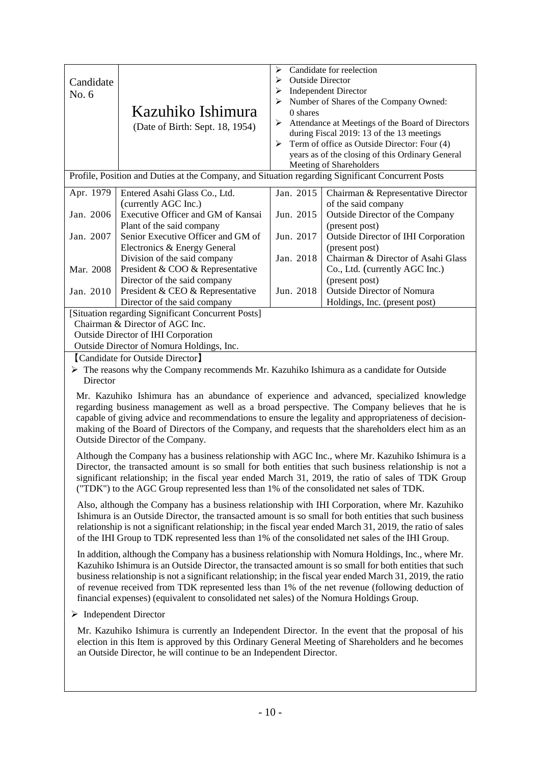|                                                                                                                                                                                           |                                                                                                             | ⋗                            | Candidate for reelection                         |
|-------------------------------------------------------------------------------------------------------------------------------------------------------------------------------------------|-------------------------------------------------------------------------------------------------------------|------------------------------|--------------------------------------------------|
| Candidate                                                                                                                                                                                 |                                                                                                             | <b>Outside Director</b><br>⋗ |                                                  |
| No. 6                                                                                                                                                                                     |                                                                                                             | ➤                            | <b>Independent Director</b>                      |
|                                                                                                                                                                                           | Kazuhiko Ishimura                                                                                           | 0 shares                     | Number of Shares of the Company Owned:           |
|                                                                                                                                                                                           |                                                                                                             | ➤                            | Attendance at Meetings of the Board of Directors |
|                                                                                                                                                                                           | (Date of Birth: Sept. 18, 1954)                                                                             |                              | during Fiscal 2019: 13 of the 13 meetings        |
|                                                                                                                                                                                           |                                                                                                             | ➤                            | Term of office as Outside Director: Four (4)     |
|                                                                                                                                                                                           |                                                                                                             |                              | years as of the closing of this Ordinary General |
|                                                                                                                                                                                           |                                                                                                             |                              | Meeting of Shareholders                          |
|                                                                                                                                                                                           | Profile, Position and Duties at the Company, and Situation regarding Significant Concurrent Posts           |                              |                                                  |
| Apr. 1979                                                                                                                                                                                 | Entered Asahi Glass Co., Ltd.                                                                               | Jan. 2015                    | Chairman & Representative Director               |
|                                                                                                                                                                                           | (currently AGC Inc.)                                                                                        |                              | of the said company                              |
| Jan. 2006                                                                                                                                                                                 | Executive Officer and GM of Kansai                                                                          | Jun. 2015                    | Outside Director of the Company                  |
|                                                                                                                                                                                           | Plant of the said company                                                                                   |                              | (present post)                                   |
| Jan. 2007                                                                                                                                                                                 | Senior Executive Officer and GM of                                                                          | Jun. 2017                    | Outside Director of IHI Corporation              |
|                                                                                                                                                                                           | Electronics & Energy General                                                                                |                              | (present post)                                   |
|                                                                                                                                                                                           | Division of the said company                                                                                | Jan. 2018                    | Chairman & Director of Asahi Glass               |
| Mar. 2008                                                                                                                                                                                 | President & COO & Representative                                                                            |                              | Co., Ltd. (currently AGC Inc.)                   |
|                                                                                                                                                                                           | Director of the said company                                                                                |                              | (present post)                                   |
| Jan. 2010                                                                                                                                                                                 | President & CEO & Representative                                                                            | Jun. 2018                    | Outside Director of Nomura                       |
|                                                                                                                                                                                           | Director of the said company<br>[Situation regarding Significant Concurrent Posts]                          |                              | Holdings, Inc. (present post)                    |
|                                                                                                                                                                                           | Chairman & Director of AGC Inc.                                                                             |                              |                                                  |
|                                                                                                                                                                                           |                                                                                                             |                              |                                                  |
| Outside Director of IHI Corporation<br>Outside Director of Nomura Holdings, Inc.                                                                                                          |                                                                                                             |                              |                                                  |
| [Candidate for Outside Director]                                                                                                                                                          |                                                                                                             |                              |                                                  |
|                                                                                                                                                                                           | $\triangleright$ The reasons why the Company recommends Mr. Kazuhiko Ishimura as a candidate for Outside    |                              |                                                  |
| Director                                                                                                                                                                                  |                                                                                                             |                              |                                                  |
|                                                                                                                                                                                           |                                                                                                             |                              |                                                  |
| Mr. Kazuhiko Ishimura has an abundance of experience and advanced, specialized knowledge<br>regarding business management as well as a broad perspective. The Company believes that he is |                                                                                                             |                              |                                                  |
| capable of giving advice and recommendations to ensure the legality and appropriateness of decision-                                                                                      |                                                                                                             |                              |                                                  |
| making of the Board of Directors of the Company, and requests that the shareholders elect him as an                                                                                       |                                                                                                             |                              |                                                  |
| Outside Director of the Company.                                                                                                                                                          |                                                                                                             |                              |                                                  |
|                                                                                                                                                                                           |                                                                                                             |                              |                                                  |
| Although the Company has a business relationship with AGC Inc., where Mr. Kazuhiko Ishimura is a                                                                                          |                                                                                                             |                              |                                                  |
|                                                                                                                                                                                           | Director, the transacted amount is so small for both entities that such business relationship is not a      |                              |                                                  |
|                                                                                                                                                                                           | significant relationship; in the fiscal year ended March 31, 2019, the ratio of sales of TDK Group          |                              |                                                  |
|                                                                                                                                                                                           | ("TDK") to the AGC Group represented less than 1% of the consolidated net sales of TDK.                     |                              |                                                  |
|                                                                                                                                                                                           | Also, although the Company has a business relationship with IHI Corporation, where Mr. Kazuhiko             |                              |                                                  |
| Ishimura is an Outside Director, the transacted amount is so small for both entities that such business                                                                                   |                                                                                                             |                              |                                                  |
| relationship is not a significant relationship; in the fiscal year ended March 31, 2019, the ratio of sales                                                                               |                                                                                                             |                              |                                                  |
| of the IHI Group to TDK represented less than 1% of the consolidated net sales of the IHI Group.                                                                                          |                                                                                                             |                              |                                                  |
| In addition, although the Company has a business relationship with Nomura Holdings, Inc., where Mr.                                                                                       |                                                                                                             |                              |                                                  |
| Kazuhiko Ishimura is an Outside Director, the transacted amount is so small for both entities that such                                                                                   |                                                                                                             |                              |                                                  |
|                                                                                                                                                                                           | business relationship is not a significant relationship; in the fiscal year ended March 31, 2019, the ratio |                              |                                                  |
|                                                                                                                                                                                           | of revenue received from TDK represented less than 1% of the net revenue (following deduction of            |                              |                                                  |
|                                                                                                                                                                                           | financial expenses) (equivalent to consolidated net sales) of the Nomura Holdings Group.                    |                              |                                                  |
| $\triangleright$ Independent Director                                                                                                                                                     |                                                                                                             |                              |                                                  |
|                                                                                                                                                                                           |                                                                                                             |                              |                                                  |

Mr. Kazuhiko Ishimura is currently an Independent Director. In the event that the proposal of his election in this Item is approved by this Ordinary General Meeting of Shareholders and he becomes an Outside Director, he will continue to be an Independent Director.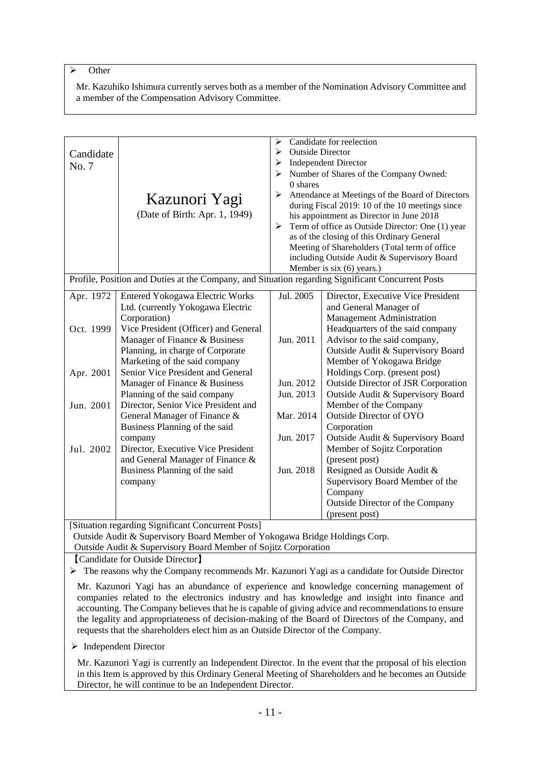# $\triangleright$  Other

Mr. Kazuhiko Ishimura currently serves both as a member of the Nomination Advisory Committee and a member of the Compensation Advisory Committee.

| Candidate<br>No. 7                                                                                                                                                                                                                                                                                                                                                                                                                                                                    | Kazunori Yagi<br>(Date of Birth: Apr. 1, 1949)                                                                                                                                                                                                                                                                                                                                                                                                                                                                                                                                           | ➤<br><b>Outside Director</b><br>➤<br>➤<br>➤<br>$0$ shares<br>≻<br>➤                     | Candidate for reelection<br><b>Independent Director</b><br>Number of Shares of the Company Owned:<br>Attendance at Meetings of the Board of Directors<br>during Fiscal 2019: 10 of the 10 meetings since<br>his appointment as Director in June 2018<br>Term of office as Outside Director: One (1) year<br>as of the closing of this Ordinary General<br>Meeting of Shareholders (Total term of office<br>including Outside Audit & Supervisory Board<br>Member is six (6) years.)                                                                                                                                                             |
|---------------------------------------------------------------------------------------------------------------------------------------------------------------------------------------------------------------------------------------------------------------------------------------------------------------------------------------------------------------------------------------------------------------------------------------------------------------------------------------|------------------------------------------------------------------------------------------------------------------------------------------------------------------------------------------------------------------------------------------------------------------------------------------------------------------------------------------------------------------------------------------------------------------------------------------------------------------------------------------------------------------------------------------------------------------------------------------|-----------------------------------------------------------------------------------------|-------------------------------------------------------------------------------------------------------------------------------------------------------------------------------------------------------------------------------------------------------------------------------------------------------------------------------------------------------------------------------------------------------------------------------------------------------------------------------------------------------------------------------------------------------------------------------------------------------------------------------------------------|
|                                                                                                                                                                                                                                                                                                                                                                                                                                                                                       | Profile, Position and Duties at the Company, and Situation regarding Significant Concurrent Posts                                                                                                                                                                                                                                                                                                                                                                                                                                                                                        |                                                                                         |                                                                                                                                                                                                                                                                                                                                                                                                                                                                                                                                                                                                                                                 |
| Apr. 1972<br>Oct. 1999<br>Apr. 2001<br>Jun. 2001<br>Jul. 2002                                                                                                                                                                                                                                                                                                                                                                                                                         | <b>Entered Yokogawa Electric Works</b><br>Ltd. (currently Yokogawa Electric<br>Corporation)<br>Vice President (Officer) and General<br>Manager of Finance & Business<br>Planning, in charge of Corporate<br>Marketing of the said company<br>Senior Vice President and General<br>Manager of Finance & Business<br>Planning of the said company<br>Director, Senior Vice President and<br>General Manager of Finance &<br>Business Planning of the said<br>company<br>Director, Executive Vice President<br>and General Manager of Finance &<br>Business Planning of the said<br>company | Jul. 2005<br>Jun. 2011<br>Jun. 2012<br>Jun. 2013<br>Mar. 2014<br>Jun. 2017<br>Jun. 2018 | Director, Executive Vice President<br>and General Manager of<br>Management Administration<br>Headquarters of the said company<br>Advisor to the said company,<br>Outside Audit & Supervisory Board<br>Member of Yokogawa Bridge<br>Holdings Corp. (present post)<br><b>Outside Director of JSR Corporation</b><br>Outside Audit & Supervisory Board<br>Member of the Company<br>Outside Director of OYO<br>Corporation<br>Outside Audit & Supervisory Board<br>Member of Sojitz Corporation<br>(present post)<br>Resigned as Outside Audit &<br>Supervisory Board Member of the<br>Company<br>Outside Director of the Company<br>(present post) |
|                                                                                                                                                                                                                                                                                                                                                                                                                                                                                       | [Situation regarding Significant Concurrent Posts]                                                                                                                                                                                                                                                                                                                                                                                                                                                                                                                                       |                                                                                         |                                                                                                                                                                                                                                                                                                                                                                                                                                                                                                                                                                                                                                                 |
|                                                                                                                                                                                                                                                                                                                                                                                                                                                                                       | Outside Audit & Supervisory Board Member of Yokogawa Bridge Holdings Corp.<br>Outside Audit & Supervisory Board Member of Sojitz Corporation                                                                                                                                                                                                                                                                                                                                                                                                                                             |                                                                                         |                                                                                                                                                                                                                                                                                                                                                                                                                                                                                                                                                                                                                                                 |
|                                                                                                                                                                                                                                                                                                                                                                                                                                                                                       | [Candidate for Outside Director]                                                                                                                                                                                                                                                                                                                                                                                                                                                                                                                                                         |                                                                                         |                                                                                                                                                                                                                                                                                                                                                                                                                                                                                                                                                                                                                                                 |
|                                                                                                                                                                                                                                                                                                                                                                                                                                                                                       | $\triangleright$ The reasons why the Company recommends Mr. Kazunori Yagi as a candidate for Outside Director                                                                                                                                                                                                                                                                                                                                                                                                                                                                            |                                                                                         |                                                                                                                                                                                                                                                                                                                                                                                                                                                                                                                                                                                                                                                 |
| Mr. Kazunori Yagi has an abundance of experience and knowledge concerning management of<br>companies related to the electronics industry and has knowledge and insight into finance and<br>accounting. The Company believes that he is capable of giving advice and recommendations to ensure<br>the legality and appropriateness of decision-making of the Board of Directors of the Company, and<br>requests that the shareholders elect him as an Outside Director of the Company. |                                                                                                                                                                                                                                                                                                                                                                                                                                                                                                                                                                                          |                                                                                         |                                                                                                                                                                                                                                                                                                                                                                                                                                                                                                                                                                                                                                                 |
| $\triangleright$ Independent Director                                                                                                                                                                                                                                                                                                                                                                                                                                                 |                                                                                                                                                                                                                                                                                                                                                                                                                                                                                                                                                                                          |                                                                                         |                                                                                                                                                                                                                                                                                                                                                                                                                                                                                                                                                                                                                                                 |

Mr. Kazunori Yagi is currently an Independent Director. In the event that the proposal of his election in this Item is approved by this Ordinary General Meeting of Shareholders and he becomes an Outside Director, he will continue to be an Independent Director.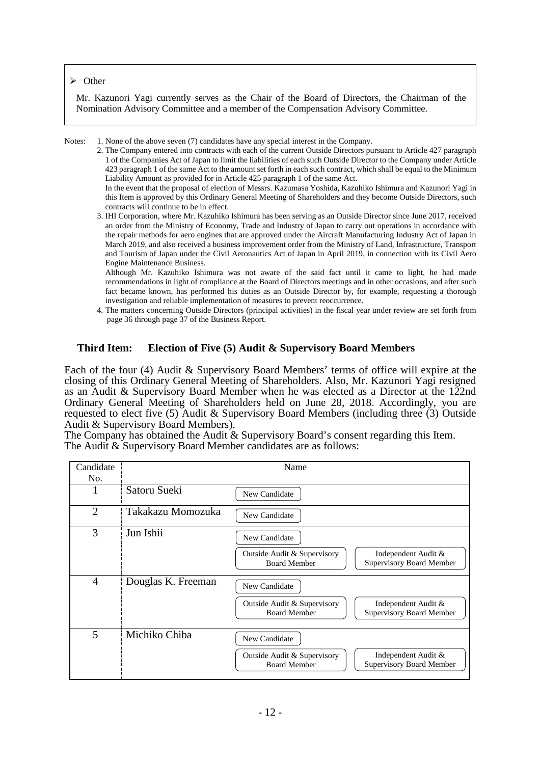#### $\triangleright$  Other

Mr. Kazunori Yagi currently serves as the Chair of the Board of Directors, the Chairman of the Nomination Advisory Committee and a member of the Compensation Advisory Committee.

Notes: 1. None of the above seven (7) candidates have any special interest in the Company.

2. The Company entered into contracts with each of the current Outside Directors pursuant to Article 427 paragraph 1 of the Companies Act of Japan to limit the liabilities of each such Outside Director to the Company under Article 423 paragraph 1 of the same Act to the amount set forth in each such contract, which shall be equal to the Minimum Liability Amount as provided for in Article 425 paragraph 1 of the same Act.

In the event that the proposal of election of Messrs. Kazumasa Yoshida, Kazuhiko Ishimura and Kazunori Yagi in this Item is approved by this Ordinary General Meeting of Shareholders and they become Outside Directors, such contracts will continue to be in effect.

 3. IHI Corporation, where Mr. Kazuhiko Ishimura has been serving as an Outside Director since June 2017, received an order from the Ministry of Economy, Trade and Industry of Japan to carry out operations in accordance with the repair methods for aero engines that are approved under the Aircraft Manufacturing Industry Act of Japan in March 2019, and also received a business improvement order from the Ministry of Land, Infrastructure, Transport and Tourism of Japan under the Civil Aeronautics Act of Japan in April 2019, in connection with its Civil Aero Engine Maintenance Business.

 Although Mr. Kazuhiko Ishimura was not aware of the said fact until it came to light, he had made recommendations in light of compliance at the Board of Directors meetings and in other occasions, and after such fact became known, has performed his duties as an Outside Director by, for example, requesting a thorough investigation and reliable implementation of measures to prevent reoccurrence.

4. The matters concerning Outside Directors (principal activities) in the fiscal year under review are set forth from page 36 through page 37 of the Business Report.

## **Third Item: Election of Five (5) Audit & Supervisory Board Members**

Each of the four (4) Audit & Supervisory Board Members' terms of office will expire at the closing of this Ordinary General Meeting of Shareholders. Also, Mr. Kazunori Yagi resigned as an Audit & Supervisory Board Member when he was elected as a Director at the 122nd Ordinary General Meeting of Shareholders held on June 28, 2018. Accordingly, you are requested to elect five (5) Audit & Supervisory Board Members (including three (3) Outside Audit & Supervisory Board Members).

The Company has obtained the Audit & Supervisory Board's consent regarding this Item. The Audit & Supervisory Board Member candidates are as follows:

| Candidate      | Name               |                                                    |                                                        |  |
|----------------|--------------------|----------------------------------------------------|--------------------------------------------------------|--|
| No.            |                    |                                                    |                                                        |  |
|                | Satoru Sueki       | New Candidate                                      |                                                        |  |
| $\overline{2}$ | Takakazu Momozuka  | New Candidate                                      |                                                        |  |
| 3              | Jun Ishii          | New Candidate                                      |                                                        |  |
|                |                    | Outside Audit & Supervisory<br><b>Board Member</b> | Independent Audit &<br>Supervisory Board Member        |  |
| 4              | Douglas K. Freeman | New Candidate                                      |                                                        |  |
|                |                    | Outside Audit & Supervisory<br><b>Board Member</b> | Independent Audit &<br>Supervisory Board Member        |  |
| 5              | Michiko Chiba      | New Candidate                                      |                                                        |  |
|                |                    | Outside Audit & Supervisory<br><b>Board Member</b> | Independent Audit &<br><b>Supervisory Board Member</b> |  |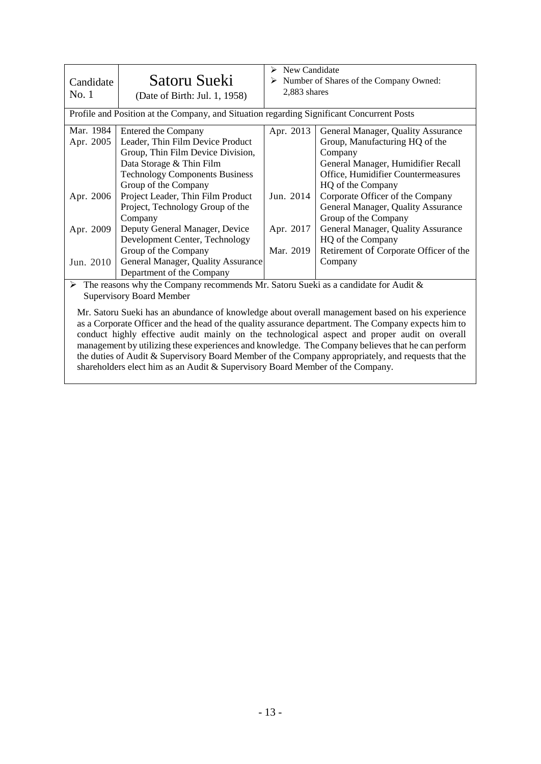| Candidate<br>No. 1                    | Satoru Sueki<br>(Date of Birth: Jul. 1, 1958)                                                                                                                                                                                                                      | New Candidate<br>⋗<br>Number of Shares of the Company Owned:<br>2,883 shares<br>Profile and Position at the Company, and Situation regarding Significant Concurrent Posts |                                                                                                                                                                                                                                                            |  |
|---------------------------------------|--------------------------------------------------------------------------------------------------------------------------------------------------------------------------------------------------------------------------------------------------------------------|---------------------------------------------------------------------------------------------------------------------------------------------------------------------------|------------------------------------------------------------------------------------------------------------------------------------------------------------------------------------------------------------------------------------------------------------|--|
| Mar. 1984<br>Apr. 2005<br>Apr. 2006   | Entered the Company<br>Leader, Thin Film Device Product<br>Group, Thin Film Device Division,<br>Data Storage & Thin Film<br><b>Technology Components Business</b><br>Group of the Company<br>Project Leader, Thin Film Product<br>Project, Technology Group of the | Apr. 2013<br>Jun. 2014                                                                                                                                                    | General Manager, Quality Assurance<br>Group, Manufacturing HQ of the<br>Company<br>General Manager, Humidifier Recall<br>Office, Humidifier Countermeasures<br>HQ of the Company<br>Corporate Officer of the Company<br>General Manager, Quality Assurance |  |
| Apr. 2009<br>Jun. 2010<br>$T_{\rm T}$ | Company<br>Deputy General Manager, Device<br>Development Center, Technology<br>Group of the Company<br>General Manager, Quality Assurance<br>Department of the Company<br>$\sim$ $\sim$                                                                            | Apr. 2017<br>Mar. 2019<br>$1.11 \times 2.1$<br>$\sim$ $\sim$                                                                                                              | Group of the Company<br>General Manager, Quality Assurance<br>HQ of the Company<br>Retirement of Corporate Officer of the<br>Company<br>$\mathbf{11}$ $\mathbf{12}$ $\mathbf{13}$ $\mathbf{14}$ $\mathbf{15}$ $\mathbf{16}$                                |  |

 $\triangleright$  The reasons why the Company recommends Mr. Satoru Sueki as a candidate for Audit & Supervisory Board Member

Mr. Satoru Sueki has an abundance of knowledge about overall management based on his experience as a Corporate Officer and the head of the quality assurance department. The Company expects him to conduct highly effective audit mainly on the technological aspect and proper audit on overall management by utilizing these experiences and knowledge. The Company believes that he can perform the duties of Audit & Supervisory Board Member of the Company appropriately, and requests that the shareholders elect him as an Audit & Supervisory Board Member of the Company.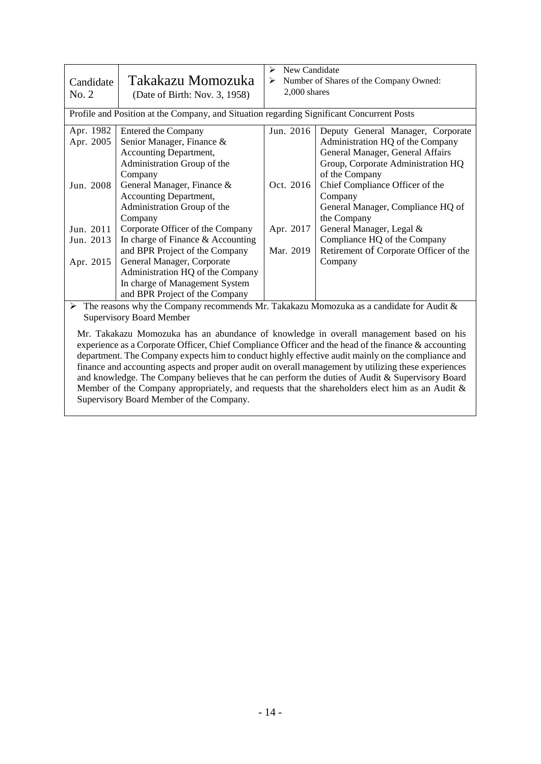| Candidate<br>No. 2                                                                                       | Takakazu Momozuka<br>(Date of Birth: Nov. 3, 1958)                                                                                                                                                                                                                                                                                                                                                  | New Candidate<br>⋗<br>➤<br>$2,000$ shares        | Number of Shares of the Company Owned:                                                                                                                                                                                                                                                                                                                                               |  |
|----------------------------------------------------------------------------------------------------------|-----------------------------------------------------------------------------------------------------------------------------------------------------------------------------------------------------------------------------------------------------------------------------------------------------------------------------------------------------------------------------------------------------|--------------------------------------------------|--------------------------------------------------------------------------------------------------------------------------------------------------------------------------------------------------------------------------------------------------------------------------------------------------------------------------------------------------------------------------------------|--|
| Profile and Position at the Company, and Situation regarding Significant Concurrent Posts                |                                                                                                                                                                                                                                                                                                                                                                                                     |                                                  |                                                                                                                                                                                                                                                                                                                                                                                      |  |
| Apr. 1982<br>Apr. 2005<br>Jun. 2008<br>Jun. 2011<br>Jun. 2013<br>Apr. 2015                               | Entered the Company<br>Senior Manager, Finance &<br>Accounting Department,<br>Administration Group of the<br>Company<br>General Manager, Finance &<br>Accounting Department,<br>Administration Group of the<br>Company<br>Corporate Officer of the Company<br>In charge of Finance & Accounting<br>and BPR Project of the Company<br>General Manager, Corporate<br>Administration HQ of the Company | Jun. 2016<br>Oct. 2016<br>Apr. 2017<br>Mar. 2019 | Deputy General Manager, Corporate<br>Administration HQ of the Company<br>General Manager, General Affairs<br>Group, Corporate Administration HQ<br>of the Company<br>Chief Compliance Officer of the<br>Company<br>General Manager, Compliance HQ of<br>the Company<br>General Manager, Legal &<br>Compliance HQ of the Company<br>Retirement of Corporate Officer of the<br>Company |  |
|                                                                                                          | In charge of Management System<br>and BPR Project of the Company                                                                                                                                                                                                                                                                                                                                    |                                                  |                                                                                                                                                                                                                                                                                                                                                                                      |  |
| $\triangleright$ The reasons why the Company recommends Mr. Takakazu Momozuka as a candidate for Audit & |                                                                                                                                                                                                                                                                                                                                                                                                     |                                                  |                                                                                                                                                                                                                                                                                                                                                                                      |  |

Supervisory Board Member

Mr. Takakazu Momozuka has an abundance of knowledge in overall management based on his experience as a Corporate Officer, Chief Compliance Officer and the head of the finance & accounting department. The Company expects him to conduct highly effective audit mainly on the compliance and finance and accounting aspects and proper audit on overall management by utilizing these experiences and knowledge. The Company believes that he can perform the duties of Audit & Supervisory Board Member of the Company appropriately, and requests that the shareholders elect him as an Audit & Supervisory Board Member of the Company.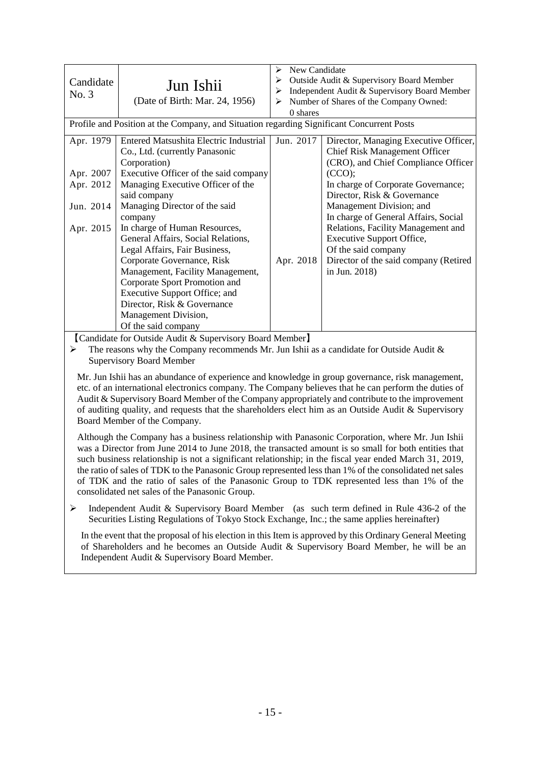| Candidate<br>No. 3                                                                                                                                                                                                                                                                                                                                                                                                                                                                                                                                                             | Jun Ishii<br>(Date of Birth: Mar. 24, 1956)                                                                                                                                                                                                                             | New Candidate<br>➤<br>Outside Audit & Supervisory Board Member<br>≻<br>Independent Audit & Supervisory Board Member<br>≻<br>> Number of Shares of the Company Owned:<br>0 shares |                                                                                                                                                         |  |  |  |
|--------------------------------------------------------------------------------------------------------------------------------------------------------------------------------------------------------------------------------------------------------------------------------------------------------------------------------------------------------------------------------------------------------------------------------------------------------------------------------------------------------------------------------------------------------------------------------|-------------------------------------------------------------------------------------------------------------------------------------------------------------------------------------------------------------------------------------------------------------------------|----------------------------------------------------------------------------------------------------------------------------------------------------------------------------------|---------------------------------------------------------------------------------------------------------------------------------------------------------|--|--|--|
|                                                                                                                                                                                                                                                                                                                                                                                                                                                                                                                                                                                | Profile and Position at the Company, and Situation regarding Significant Concurrent Posts                                                                                                                                                                               |                                                                                                                                                                                  |                                                                                                                                                         |  |  |  |
| Apr. 1979                                                                                                                                                                                                                                                                                                                                                                                                                                                                                                                                                                      | Entered Matsushita Electric Industrial<br>Co., Ltd. (currently Panasonic<br>Corporation)                                                                                                                                                                                | Jun. 2017                                                                                                                                                                        | Director, Managing Executive Officer,<br><b>Chief Risk Management Officer</b><br>(CRO), and Chief Compliance Officer                                    |  |  |  |
| Apr. 2007<br>Apr. 2012                                                                                                                                                                                                                                                                                                                                                                                                                                                                                                                                                         | Executive Officer of the said company<br>Managing Executive Officer of the<br>said company                                                                                                                                                                              |                                                                                                                                                                                  | (CCO);<br>In charge of Corporate Governance;<br>Director, Risk & Governance                                                                             |  |  |  |
| Jun. 2014                                                                                                                                                                                                                                                                                                                                                                                                                                                                                                                                                                      | Managing Director of the said<br>company                                                                                                                                                                                                                                |                                                                                                                                                                                  | Management Division; and<br>In charge of General Affairs, Social                                                                                        |  |  |  |
| Apr. 2015                                                                                                                                                                                                                                                                                                                                                                                                                                                                                                                                                                      | In charge of Human Resources,<br>General Affairs, Social Relations,<br>Legal Affairs, Fair Business,<br>Corporate Governance, Risk<br>Management, Facility Management,<br>Corporate Sport Promotion and<br>Executive Support Office; and<br>Director, Risk & Governance | Apr. 2018                                                                                                                                                                        | Relations, Facility Management and<br><b>Executive Support Office,</b><br>Of the said company<br>Director of the said company (Retired<br>in Jun. 2018) |  |  |  |
|                                                                                                                                                                                                                                                                                                                                                                                                                                                                                                                                                                                | Management Division,<br>Of the said company                                                                                                                                                                                                                             |                                                                                                                                                                                  |                                                                                                                                                         |  |  |  |
| ≻                                                                                                                                                                                                                                                                                                                                                                                                                                                                                                                                                                              | [Candidate for Outside Audit & Supervisory Board Member]<br>The reasons why the Company recommends Mr. Jun Ishii as a candidate for Outside Audit $\&$<br><b>Supervisory Board Member</b>                                                                               |                                                                                                                                                                                  |                                                                                                                                                         |  |  |  |
| Mr. Jun Ishii has an abundance of experience and knowledge in group governance, risk management,<br>etc. of an international electronics company. The Company believes that he can perform the duties of<br>Audit & Supervisory Board Member of the Company appropriately and contribute to the improvement<br>of auditing quality, and requests that the shareholders elect him as an Outside Audit & Supervisory<br>Board Member of the Company.                                                                                                                             |                                                                                                                                                                                                                                                                         |                                                                                                                                                                                  |                                                                                                                                                         |  |  |  |
| Although the Company has a business relationship with Panasonic Corporation, where Mr. Jun Ishii<br>was a Director from June 2014 to June 2018, the transacted amount is so small for both entities that<br>such business relationship is not a significant relationship; in the fiscal year ended March 31, 2019,<br>the ratio of sales of TDK to the Panasonic Group represented less than 1% of the consolidated net sales<br>of TDK and the ratio of sales of the Panasonic Group to TDK represented less than 1% of the<br>consolidated net sales of the Panasonic Group. |                                                                                                                                                                                                                                                                         |                                                                                                                                                                                  |                                                                                                                                                         |  |  |  |
| ➤                                                                                                                                                                                                                                                                                                                                                                                                                                                                                                                                                                              | Independent Audit & Supervisory Board Member (as such term defined in Rule 436-2 of the                                                                                                                                                                                 |                                                                                                                                                                                  |                                                                                                                                                         |  |  |  |

Securities Listing Regulations of Tokyo Stock Exchange, Inc.; the same applies hereinafter) In the event that the proposal of his election in this Item is approved by this Ordinary General Meeting

of Shareholders and he becomes an Outside Audit & Supervisory Board Member, he will be an Independent Audit & Supervisory Board Member.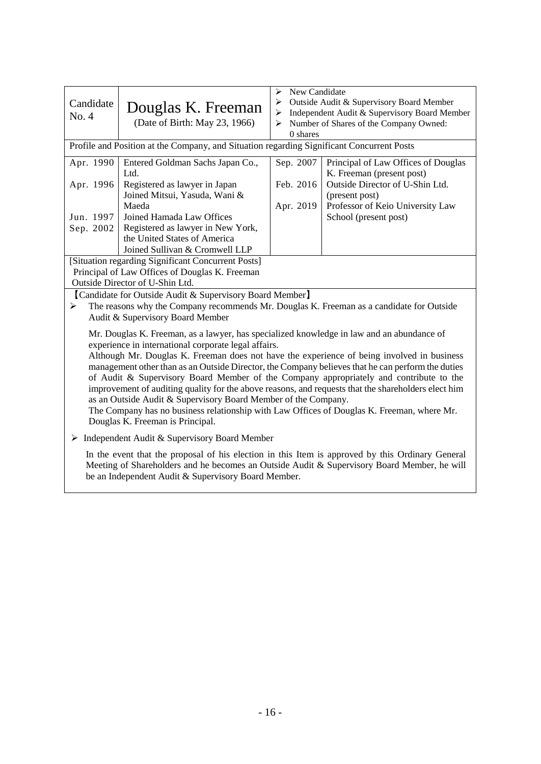| Candidate<br>No. 4                                                                                                                                                                                                                                                                                                                                                                                                                                                                                                                                                                                                                                                                                                                                        | Douglas K. Freeman<br>(Date of Birth: May 23, 1966)                                                                                                                                      | New Candidate<br>➤<br>Outside Audit & Supervisory Board Member<br>➤<br>$\triangleright$ Independent Audit & Supervisory Board Member<br>Number of Shares of the Company Owned:<br>$\blacktriangleright$<br>$0$ shares |                                                                                                                       |  |  |  |
|-----------------------------------------------------------------------------------------------------------------------------------------------------------------------------------------------------------------------------------------------------------------------------------------------------------------------------------------------------------------------------------------------------------------------------------------------------------------------------------------------------------------------------------------------------------------------------------------------------------------------------------------------------------------------------------------------------------------------------------------------------------|------------------------------------------------------------------------------------------------------------------------------------------------------------------------------------------|-----------------------------------------------------------------------------------------------------------------------------------------------------------------------------------------------------------------------|-----------------------------------------------------------------------------------------------------------------------|--|--|--|
|                                                                                                                                                                                                                                                                                                                                                                                                                                                                                                                                                                                                                                                                                                                                                           | Profile and Position at the Company, and Situation regarding Significant Concurrent Posts                                                                                                |                                                                                                                                                                                                                       |                                                                                                                       |  |  |  |
| Apr. 1990<br>Apr. 1996                                                                                                                                                                                                                                                                                                                                                                                                                                                                                                                                                                                                                                                                                                                                    | Entered Goldman Sachs Japan Co.,<br>Ltd.<br>Registered as lawyer in Japan<br>Joined Mitsui, Yasuda, Wani &                                                                               | Sep. 2007<br>Feb. 2016                                                                                                                                                                                                | Principal of Law Offices of Douglas<br>K. Freeman (present post)<br>Outside Director of U-Shin Ltd.<br>(present post) |  |  |  |
| Jun. 1997<br>Sep. 2002                                                                                                                                                                                                                                                                                                                                                                                                                                                                                                                                                                                                                                                                                                                                    | Maeda<br>Joined Hamada Law Offices<br>Registered as lawyer in New York,<br>the United States of America<br>Joined Sullivan & Cromwell LLP                                                | Apr. 2019                                                                                                                                                                                                             | Professor of Keio University Law<br>School (present post)                                                             |  |  |  |
|                                                                                                                                                                                                                                                                                                                                                                                                                                                                                                                                                                                                                                                                                                                                                           | [Situation regarding Significant Concurrent Posts]<br>Principal of Law Offices of Douglas K. Freeman<br>Outside Director of U-Shin Ltd.                                                  |                                                                                                                                                                                                                       |                                                                                                                       |  |  |  |
| ➤                                                                                                                                                                                                                                                                                                                                                                                                                                                                                                                                                                                                                                                                                                                                                         | [Candidate for Outside Audit & Supervisory Board Member]<br>The reasons why the Company recommends Mr. Douglas K. Freeman as a candidate for Outside<br>Audit & Supervisory Board Member |                                                                                                                                                                                                                       |                                                                                                                       |  |  |  |
| Mr. Douglas K. Freeman, as a lawyer, has specialized knowledge in law and an abundance of<br>experience in international corporate legal affairs.<br>Although Mr. Douglas K. Freeman does not have the experience of being involved in business<br>management other than as an Outside Director, the Company believes that he can perform the duties<br>of Audit & Supervisory Board Member of the Company appropriately and contribute to the<br>improvement of auditing quality for the above reasons, and requests that the shareholders elect him<br>as an Outside Audit & Supervisory Board Member of the Company.<br>The Company has no business relationship with Law Offices of Douglas K. Freeman, where Mr.<br>Douglas K. Freeman is Principal. |                                                                                                                                                                                          |                                                                                                                                                                                                                       |                                                                                                                       |  |  |  |
|                                                                                                                                                                                                                                                                                                                                                                                                                                                                                                                                                                                                                                                                                                                                                           | $\triangleright$ Independent Audit & Supervisory Board Member                                                                                                                            |                                                                                                                                                                                                                       |                                                                                                                       |  |  |  |
| In the event that the proposal of his election in this Item is approved by this Ordinary General<br>Meeting of Shareholders and he becomes an Outside Audit & Supervisory Board Member, he will<br>be an Independent Audit & Supervisory Board Member.                                                                                                                                                                                                                                                                                                                                                                                                                                                                                                    |                                                                                                                                                                                          |                                                                                                                                                                                                                       |                                                                                                                       |  |  |  |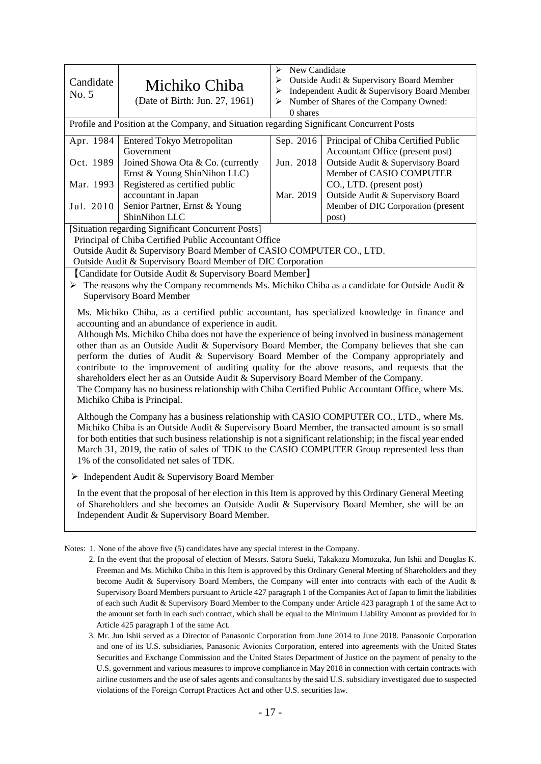| Candidate<br>No. 5                                                                                                                                                                                                                                                                                                                                                                                                                                                                                                                                                                                                                                                                                                                                                                 | Michiko Chiba<br>(Date of Birth: Jun. 27, 1961)                                                                                                                                                                                                    | New Candidate<br>➤<br>➤<br>Outside Audit & Supervisory Board Member<br>Independent Audit & Supervisory Board Member<br>➤<br>Number of Shares of the Company Owned:<br>➤<br>0 shares |                                                                         |  |  |  |
|------------------------------------------------------------------------------------------------------------------------------------------------------------------------------------------------------------------------------------------------------------------------------------------------------------------------------------------------------------------------------------------------------------------------------------------------------------------------------------------------------------------------------------------------------------------------------------------------------------------------------------------------------------------------------------------------------------------------------------------------------------------------------------|----------------------------------------------------------------------------------------------------------------------------------------------------------------------------------------------------------------------------------------------------|-------------------------------------------------------------------------------------------------------------------------------------------------------------------------------------|-------------------------------------------------------------------------|--|--|--|
|                                                                                                                                                                                                                                                                                                                                                                                                                                                                                                                                                                                                                                                                                                                                                                                    | Profile and Position at the Company, and Situation regarding Significant Concurrent Posts                                                                                                                                                          |                                                                                                                                                                                     |                                                                         |  |  |  |
| Apr. 1984                                                                                                                                                                                                                                                                                                                                                                                                                                                                                                                                                                                                                                                                                                                                                                          | Entered Tokyo Metropolitan<br>Government                                                                                                                                                                                                           | Sep. 2016                                                                                                                                                                           | Principal of Chiba Certified Public<br>Accountant Office (present post) |  |  |  |
| Oct. 1989                                                                                                                                                                                                                                                                                                                                                                                                                                                                                                                                                                                                                                                                                                                                                                          | Joined Showa Ota & Co. (currently<br>Ernst & Young ShinNihon LLC)                                                                                                                                                                                  | Jun. 2018                                                                                                                                                                           | Outside Audit & Supervisory Board<br>Member of CASIO COMPUTER           |  |  |  |
| Mar. 1993                                                                                                                                                                                                                                                                                                                                                                                                                                                                                                                                                                                                                                                                                                                                                                          | Registered as certified public<br>accountant in Japan                                                                                                                                                                                              | Mar. 2019                                                                                                                                                                           | CO., LTD. (present post)<br>Outside Audit & Supervisory Board           |  |  |  |
| Jul. 2010                                                                                                                                                                                                                                                                                                                                                                                                                                                                                                                                                                                                                                                                                                                                                                          | Senior Partner, Ernst & Young<br>ShinNihon LLC                                                                                                                                                                                                     |                                                                                                                                                                                     | Member of DIC Corporation (present<br>post)                             |  |  |  |
|                                                                                                                                                                                                                                                                                                                                                                                                                                                                                                                                                                                                                                                                                                                                                                                    | [Situation regarding Significant Concurrent Posts]<br>Principal of Chiba Certified Public Accountant Office<br>Outside Audit & Supervisory Board Member of CASIO COMPUTER CO., LTD.<br>Outside Audit & Supervisory Board Member of DIC Corporation |                                                                                                                                                                                     |                                                                         |  |  |  |
|                                                                                                                                                                                                                                                                                                                                                                                                                                                                                                                                                                                                                                                                                                                                                                                    | [Candidate for Outside Audit & Supervisory Board Member]<br>$\triangleright$ The reasons why the Company recommends Ms. Michiko Chiba as a candidate for Outside Audit &<br><b>Supervisory Board Member</b>                                        |                                                                                                                                                                                     |                                                                         |  |  |  |
| Ms. Michiko Chiba, as a certified public accountant, has specialized knowledge in finance and<br>accounting and an abundance of experience in audit.<br>Although Ms. Michiko Chiba does not have the experience of being involved in business management<br>other than as an Outside Audit & Supervisory Board Member, the Company believes that she can<br>perform the duties of Audit & Supervisory Board Member of the Company appropriately and<br>contribute to the improvement of auditing quality for the above reasons, and requests that the<br>shareholders elect her as an Outside Audit & Supervisory Board Member of the Company.<br>The Company has no business relationship with Chiba Certified Public Accountant Office, where Ms.<br>Michiko Chiba is Principal. |                                                                                                                                                                                                                                                    |                                                                                                                                                                                     |                                                                         |  |  |  |
| Although the Company has a business relationship with CASIO COMPUTER CO., LTD., where Ms.<br>Michiko Chiba is an Outside Audit & Supervisory Board Member, the transacted amount is so small<br>for both entities that such business relationship is not a significant relationship; in the fiscal year ended<br>March 31, 2019, the ratio of sales of TDK to the CASIO COMPUTER Group represented less than<br>1% of the consolidated net sales of TDK.                                                                                                                                                                                                                                                                                                                           |                                                                                                                                                                                                                                                    |                                                                                                                                                                                     |                                                                         |  |  |  |
|                                                                                                                                                                                                                                                                                                                                                                                                                                                                                                                                                                                                                                                                                                                                                                                    | $\triangleright$ Independent Audit & Supervisory Board Member                                                                                                                                                                                      |                                                                                                                                                                                     |                                                                         |  |  |  |
| In the event that the proposal of her election in this Item is approved by this Ordinary General Meeting<br>of Shareholders and she becomes an Outside Audit & Supervisory Board Member, she will be an<br>Independent Audit & Supervisory Board Member.                                                                                                                                                                                                                                                                                                                                                                                                                                                                                                                           |                                                                                                                                                                                                                                                    |                                                                                                                                                                                     |                                                                         |  |  |  |

Notes: 1. None of the above five (5) candidates have any special interest in the Company.

- 2. In the event that the proposal of election of Messrs. Satoru Sueki, Takakazu Momozuka, Jun Ishii and Douglas K. Freeman and Ms. Michiko Chiba in this Item is approved by this Ordinary General Meeting of Shareholders and they become Audit & Supervisory Board Members, the Company will enter into contracts with each of the Audit & Supervisory Board Members pursuant to Article 427 paragraph 1 of the Companies Act of Japan to limit the liabilities of each such Audit & Supervisory Board Member to the Company under Article 423 paragraph 1 of the same Act to the amount set forth in each such contract, which shall be equal to the Minimum Liability Amount as provided for in Article 425 paragraph 1 of the same Act.
- 3. Mr. Jun Ishii served as a Director of Panasonic Corporation from June 2014 to June 2018. Panasonic Corporation and one of its U.S. subsidiaries, Panasonic Avionics Corporation, entered into agreements with the United States Securities and Exchange Commission and the United States Department of Justice on the payment of penalty to the U.S. government and various measures to improve compliance in May 2018 in connection with certain contracts with airline customers and the use of sales agents and consultants by the said U.S. subsidiary investigated due to suspected violations of the Foreign Corrupt Practices Act and other U.S. securities law.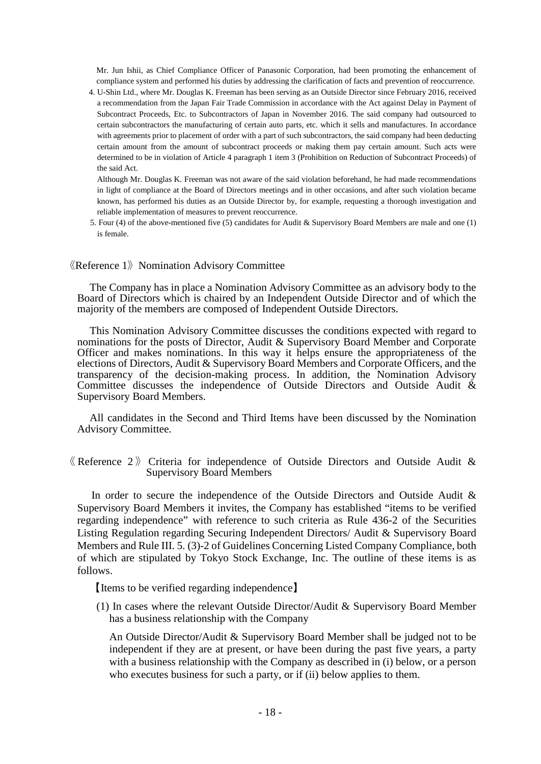Mr. Jun Ishii, as Chief Compliance Officer of Panasonic Corporation, had been promoting the enhancement of compliance system and performed his duties by addressing the clarification of facts and prevention of reoccurrence.

 4. U-Shin Ltd., where Mr. Douglas K. Freeman has been serving as an Outside Director since February 2016, received a recommendation from the Japan Fair Trade Commission in accordance with the Act against Delay in Payment of Subcontract Proceeds, Etc. to Subcontractors of Japan in November 2016. The said company had outsourced to certain subcontractors the manufacturing of certain auto parts, etc. which it sells and manufactures. In accordance with agreements prior to placement of order with a part of such subcontractors, the said company had been deducting certain amount from the amount of subcontract proceeds or making them pay certain amount. Such acts were determined to be in violation of Article 4 paragraph 1 item 3 (Prohibition on Reduction of Subcontract Proceeds) of the said Act.

 Although Mr. Douglas K. Freeman was not aware of the said violation beforehand, he had made recommendations in light of compliance at the Board of Directors meetings and in other occasions, and after such violation became known, has performed his duties as an Outside Director by, for example, requesting a thorough investigation and reliable implementation of measures to prevent reoccurrence.

5. Four (4) of the above-mentioned five (5) candidates for Audit & Supervisory Board Members are male and one (1) is female.

#### $\langle$ Reference 1 $\rangle$  Nomination Advisory Committee

The Company has in place a Nomination Advisory Committee as an advisory body to the Board of Directors which is chaired by an Independent Outside Director and of which the majority of the members are composed of Independent Outside Directors.

This Nomination Advisory Committee discusses the conditions expected with regard to nominations for the posts of Director, Audit & Supervisory Board Member and Corporate Officer and makes nominations. In this way it helps ensure the appropriateness of the elections of Directors, Audit & Supervisory Board Members and Corporate Officers, and the transparency of the decision-making process. In addition, the Nomination Advisory Committee discusses the independence of Outside Directors and Outside Audit & Supervisory Board Members.

All candidates in the Second and Third Items have been discussed by the Nomination Advisory Committee.

 $\langle$  Reference 2 $\rangle$  Criteria for independence of Outside Directors and Outside Audit & Supervisory Board Members

In order to secure the independence of the Outside Directors and Outside Audit & Supervisory Board Members it invites, the Company has established "items to be verified regarding independence" with reference to such criteria as Rule 436-2 of the Securities Listing Regulation regarding Securing Independent Directors/ Audit & Supervisory Board Members and Rule III. 5. (3)-2 of Guidelines Concerning Listed Company Compliance, both of which are stipulated by Tokyo Stock Exchange, Inc. The outline of these items is as follows.

【Items to be verified regarding independence】

(1) In cases where the relevant Outside Director/Audit & Supervisory Board Member has a business relationship with the Company

An Outside Director/Audit & Supervisory Board Member shall be judged not to be independent if they are at present, or have been during the past five years, a party with a business relationship with the Company as described in (i) below, or a person who executes business for such a party, or if (ii) below applies to them.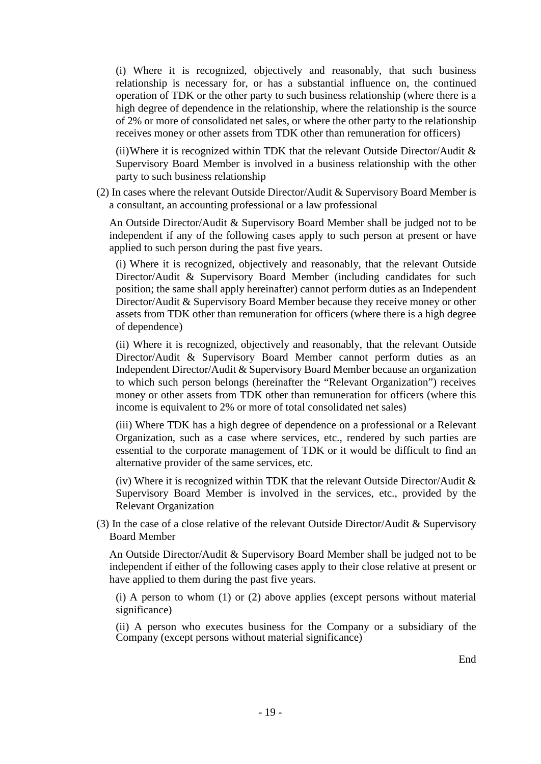(i) Where it is recognized, objectively and reasonably, that such business relationship is necessary for, or has a substantial influence on, the continued operation of TDK or the other party to such business relationship (where there is a high degree of dependence in the relationship, where the relationship is the source of 2% or more of consolidated net sales, or where the other party to the relationship receives money or other assets from TDK other than remuneration for officers)

(ii) Where it is recognized within TDK that the relevant Outside Director/Audit  $\&$ Supervisory Board Member is involved in a business relationship with the other party to such business relationship

(2) In cases where the relevant Outside Director/Audit & Supervisory Board Member is a consultant, an accounting professional or a law professional

An Outside Director/Audit & Supervisory Board Member shall be judged not to be independent if any of the following cases apply to such person at present or have applied to such person during the past five years.

(i) Where it is recognized, objectively and reasonably, that the relevant Outside Director/Audit & Supervisory Board Member (including candidates for such position; the same shall apply hereinafter) cannot perform duties as an Independent Director/Audit & Supervisory Board Member because they receive money or other assets from TDK other than remuneration for officers (where there is a high degree of dependence)

(ii) Where it is recognized, objectively and reasonably, that the relevant Outside Director/Audit & Supervisory Board Member cannot perform duties as an Independent Director/Audit & Supervisory Board Member because an organization to which such person belongs (hereinafter the "Relevant Organization") receives money or other assets from TDK other than remuneration for officers (where this income is equivalent to 2% or more of total consolidated net sales)

(iii) Where TDK has a high degree of dependence on a professional or a Relevant Organization, such as a case where services, etc., rendered by such parties are essential to the corporate management of TDK or it would be difficult to find an alternative provider of the same services, etc.

(iv) Where it is recognized within TDK that the relevant Outside Director/Audit  $\&$ Supervisory Board Member is involved in the services, etc., provided by the Relevant Organization

(3) In the case of a close relative of the relevant Outside Director/Audit & Supervisory Board Member

An Outside Director/Audit & Supervisory Board Member shall be judged not to be independent if either of the following cases apply to their close relative at present or have applied to them during the past five years.

(i) A person to whom (1) or (2) above applies (except persons without material significance)

(ii) A person who executes business for the Company or a subsidiary of the Company (except persons without material significance)

End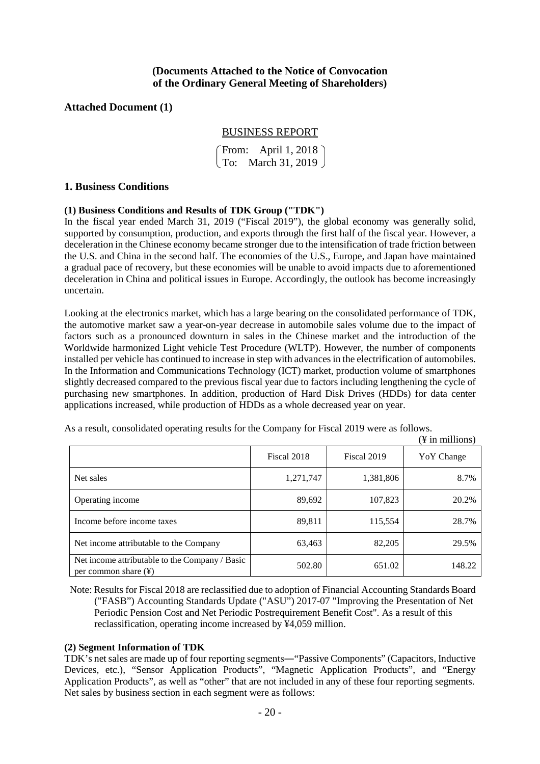## **(Documents Attached to the Notice of Convocation of the Ordinary General Meeting of Shareholders)**

## **Attached Document (1)**

## BUSINESS REPORT

From: April 1, 2018 To: March 31, 2019

#### **1. Business Conditions**

#### **(1) Business Conditions and Results of TDK Group ("TDK")**

In the fiscal year ended March 31, 2019 ("Fiscal 2019"), the global economy was generally solid, supported by consumption, production, and exports through the first half of the fiscal year. However, a deceleration in the Chinese economy became stronger due to the intensification of trade friction between the U.S. and China in the second half. The economies of the U.S., Europe, and Japan have maintained a gradual pace of recovery, but these economies will be unable to avoid impacts due to aforementioned deceleration in China and political issues in Europe. Accordingly, the outlook has become increasingly uncertain.

Looking at the electronics market, which has a large bearing on the consolidated performance of TDK, the automotive market saw a year-on-year decrease in automobile sales volume due to the impact of factors such as a pronounced downturn in sales in the Chinese market and the introduction of the Worldwide harmonized Light vehicle Test Procedure (WLTP). However, the number of components installed per vehicle has continued to increase in step with advances in the electrification of automobiles. In the Information and Communications Technology (ICT) market, production volume of smartphones slightly decreased compared to the previous fiscal year due to factors including lengthening the cycle of purchasing new smartphones. In addition, production of Hard Disk Drives (HDDs) for data center applications increased, while production of HDDs as a whole decreased year on year.

| As a result, consolidated operating results for the Company for Fiscal 2019 were as follows. |  |  |  |  |               |
|----------------------------------------------------------------------------------------------|--|--|--|--|---------------|
|                                                                                              |  |  |  |  | $\alpha$ in m |

|                                                                                    |             |             | († 111 ПШПЮПS <i>)</i> |
|------------------------------------------------------------------------------------|-------------|-------------|------------------------|
|                                                                                    | Fiscal 2018 | Fiscal 2019 | Yo Y Change            |
| Net sales                                                                          | 1,271,747   | 1,381,806   | 8.7%                   |
| Operating income                                                                   | 89,692      | 107,823     | 20.2%                  |
| Income before income taxes                                                         | 89,811      | 115,554     | 28.7%                  |
| Net income attributable to the Company                                             | 63,463      | 82,205      | 29.5%                  |
| Net income attributable to the Company / Basic<br>per common share $(\frac{1}{2})$ | 502.80      | 651.02      | 148.22                 |

 $(41)$ 

Note: Results for Fiscal 2018 are reclassified due to adoption of Financial Accounting Standards Board ("FASB") Accounting Standards Update ("ASU") 2017-07 "Improving the Presentation of Net Periodic Pension Cost and Net Periodic Postrequirement Benefit Cost". As a result of this reclassification, operating income increased by ¥4,059 million.

## **(2) Segment Information of TDK**

TDK's net sales are made up of four reporting segments―"Passive Components" (Capacitors, Inductive Devices, etc.), "Sensor Application Products", "Magnetic Application Products", and "Energy Application Products", as well as "other" that are not included in any of these four reporting segments. Net sales by business section in each segment were as follows: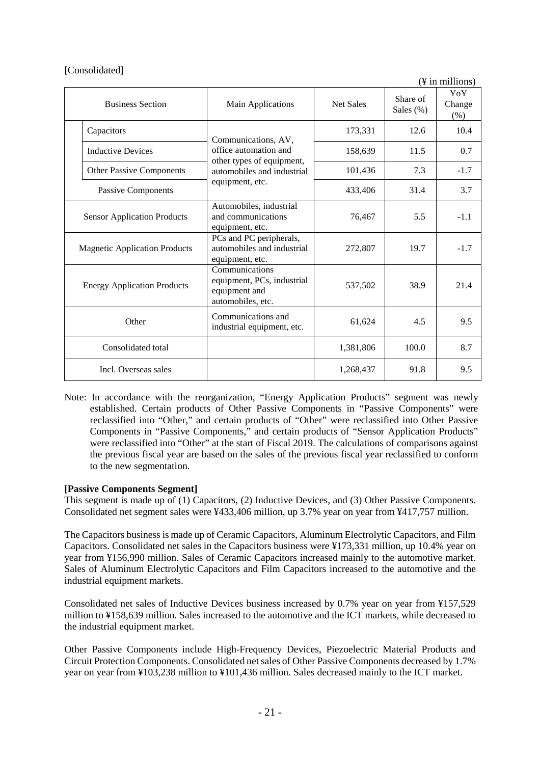|                                      |                                                                                    |                  |                       | $(\frac{1}{2}$ in millions) |
|--------------------------------------|------------------------------------------------------------------------------------|------------------|-----------------------|-----------------------------|
| <b>Business Section</b>              | Main Applications                                                                  | <b>Net Sales</b> | Share of<br>Sales (%) | YoY<br>Change<br>$(\%)$     |
| Capacitors                           | Communications, AV,                                                                | 173,331          | 12.6                  | 10.4                        |
| <b>Inductive Devices</b>             | office automation and<br>other types of equipment,                                 | 158,639          | 11.5                  | 0.7                         |
| <b>Other Passive Components</b>      | automobiles and industrial                                                         | 101,436          | 7.3                   | $-1.7$                      |
| Passive Components                   | equipment, etc.                                                                    | 433,406          | 31.4                  | 3.7                         |
| <b>Sensor Application Products</b>   | Automobiles, industrial<br>and communications<br>equipment, etc.                   | 76,467           | 5.5                   | $-1.1$                      |
| <b>Magnetic Application Products</b> | PCs and PC peripherals,<br>automobiles and industrial<br>equipment, etc.           | 272,807          | 19.7                  | $-1.7$                      |
| <b>Energy Application Products</b>   | Communications<br>equipment, PCs, industrial<br>equipment and<br>automobiles, etc. | 537,502          | 38.9                  | 21.4                        |
| Other                                | Communications and<br>industrial equipment, etc.                                   | 61,624           | 4.5                   | 9.5                         |
| Consolidated total                   |                                                                                    | 1,381,806        | 100.0                 | 8.7                         |
| Incl. Overseas sales                 |                                                                                    | 1,268,437        | 91.8                  | 9.5                         |

Note: In accordance with the reorganization, "Energy Application Products" segment was newly established. Certain products of Other Passive Components in "Passive Components" were reclassified into "Other," and certain products of "Other" were reclassified into Other Passive Components in "Passive Components," and certain products of "Sensor Application Products" were reclassified into "Other" at the start of Fiscal 2019. The calculations of comparisons against the previous fiscal year are based on the sales of the previous fiscal year reclassified to conform to the new segmentation.

## **[Passive Components Segment]**

This segment is made up of (1) Capacitors, (2) Inductive Devices, and (3) Other Passive Components. Consolidated net segment sales were ¥433,406 million, up 3.7% year on year from ¥417,757 million.

The Capacitors business is made up of Ceramic Capacitors, Aluminum Electrolytic Capacitors, and Film Capacitors. Consolidated net sales in the Capacitors business were ¥173,331 million, up 10.4% year on year from ¥156,990 million. Sales of Ceramic Capacitors increased mainly to the automotive market. Sales of Aluminum Electrolytic Capacitors and Film Capacitors increased to the automotive and the industrial equipment markets.

Consolidated net sales of Inductive Devices business increased by 0.7% year on year from ¥157,529 million to ¥158,639 million. Sales increased to the automotive and the ICT markets, while decreased to the industrial equipment market.

Other Passive Components include High-Frequency Devices, Piezoelectric Material Products and Circuit Protection Components. Consolidated net sales of Other Passive Components decreased by 1.7% year on year from ¥103,238 million to ¥101,436 million. Sales decreased mainly to the ICT market.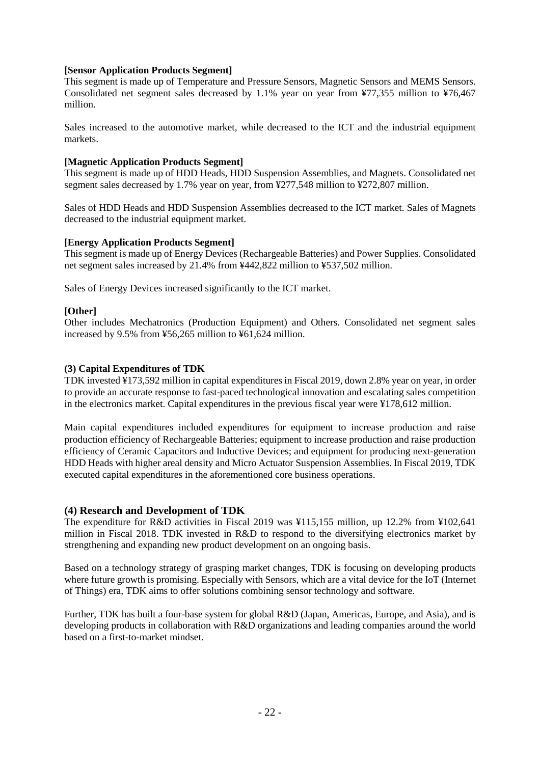## **[Sensor Application Products Segment]**

This segment is made up of Temperature and Pressure Sensors, Magnetic Sensors and MEMS Sensors. Consolidated net segment sales decreased by 1.1% year on year from ¥77,355 million to ¥76,467 million.

Sales increased to the automotive market, while decreased to the ICT and the industrial equipment markets.

#### **[Magnetic Application Products Segment]**

This segment is made up of HDD Heads, HDD Suspension Assemblies, and Magnets. Consolidated net segment sales decreased by 1.7% year on year, from ¥277,548 million to ¥272,807 million.

Sales of HDD Heads and HDD Suspension Assemblies decreased to the ICT market. Sales of Magnets decreased to the industrial equipment market.

## **[Energy Application Products Segment]**

This segment is made up of Energy Devices (Rechargeable Batteries) and Power Supplies. Consolidated net segment sales increased by 21.4% from ¥442,822 million to ¥537,502 million.

Sales of Energy Devices increased significantly to the ICT market.

## **[Other]**

Other includes Mechatronics (Production Equipment) and Others. Consolidated net segment sales increased by 9.5% from ¥56,265 million to ¥61,624 million.

#### **(3) Capital Expenditures of TDK**

TDK invested ¥173,592 million in capital expenditures in Fiscal 2019, down 2.8% year on year, in order to provide an accurate response to fast-paced technological innovation and escalating sales competition in the electronics market. Capital expenditures in the previous fiscal year were ¥178,612 million.

Main capital expenditures included expenditures for equipment to increase production and raise production efficiency of Rechargeable Batteries; equipment to increase production and raise production efficiency of Ceramic Capacitors and Inductive Devices; and equipment for producing next-generation HDD Heads with higher areal density and Micro Actuator Suspension Assemblies. In Fiscal 2019, TDK executed capital expenditures in the aforementioned core business operations.

#### **(4) Research and Development of TDK**

The expenditure for R&D activities in Fiscal 2019 was ¥115,155 million, up 12.2% from ¥102,641 million in Fiscal 2018. TDK invested in R&D to respond to the diversifying electronics market by strengthening and expanding new product development on an ongoing basis.

Based on a technology strategy of grasping market changes, TDK is focusing on developing products where future growth is promising. Especially with Sensors, which are a vital device for the IoT (Internet of Things) era, TDK aims to offer solutions combining sensor technology and software.

Further, TDK has built a four-base system for global R&D (Japan, Americas, Europe, and Asia), and is developing products in collaboration with R&D organizations and leading companies around the world based on a first-to-market mindset.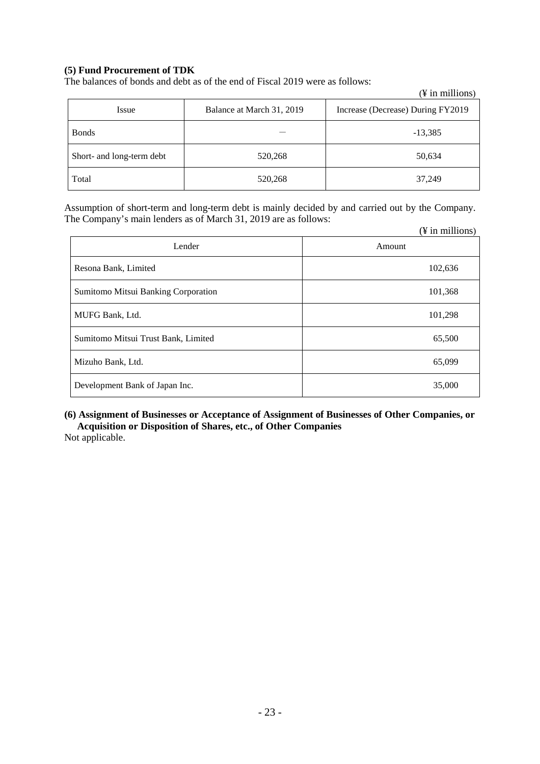## **(5) Fund Procurement of TDK**

The balances of bonds and debt as of the end of Fiscal 2019 were as follows:

|                           |                           | $(\frac{1}{2}$ in millions)       |
|---------------------------|---------------------------|-----------------------------------|
| Issue                     | Balance at March 31, 2019 | Increase (Decrease) During FY2019 |
| <b>Bonds</b>              |                           | $-13,385$                         |
| Short- and long-term debt | 520,268                   | 50,634                            |
| Total                     | 520,268                   | 37,249                            |

Assumption of short-term and long-term debt is mainly decided by and carried out by the Company. The Company's main lenders as of March 31, 2019 are as follows:

|                                     | $(\frac{1}{2}$ in millions) |
|-------------------------------------|-----------------------------|
| Lender                              | Amount                      |
| Resona Bank, Limited                | 102,636                     |
| Sumitomo Mitsui Banking Corporation | 101,368                     |
| MUFG Bank, Ltd.                     | 101,298                     |
| Sumitomo Mitsui Trust Bank, Limited | 65,500                      |
| Mizuho Bank, Ltd.                   | 65,099                      |
| Development Bank of Japan Inc.      | 35,000                      |

## **(6) Assignment of Businesses or Acceptance of Assignment of Businesses of Other Companies, or Acquisition or Disposition of Shares, etc., of Other Companies**

Not applicable.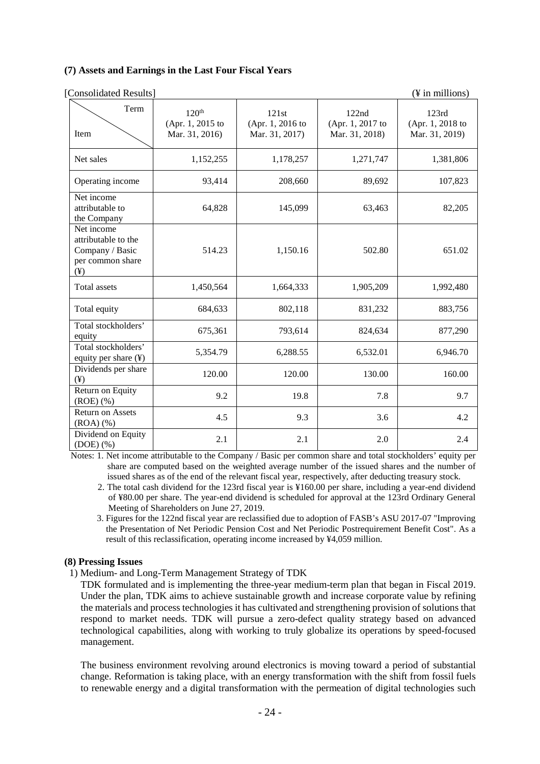#### **(7) Assets and Earnings in the Last Four Fiscal Years**

| [Consolidated Results]                                                               |                                                         |                                             |                                             | (¥ in millions)                             |
|--------------------------------------------------------------------------------------|---------------------------------------------------------|---------------------------------------------|---------------------------------------------|---------------------------------------------|
| Term<br>Item                                                                         | 120 <sup>th</sup><br>(Apr. 1, 2015 to<br>Mar. 31, 2016) | 121st<br>(Apr. 1, 2016 to<br>Mar. 31, 2017) | 122nd<br>(Apr. 1, 2017 to<br>Mar. 31, 2018) | 123rd<br>(Apr. 1, 2018 to<br>Mar. 31, 2019) |
| Net sales                                                                            | 1,152,255                                               | 1,178,257                                   | 1,271,747                                   | 1,381,806                                   |
| Operating income                                                                     | 93,414                                                  | 208,660                                     | 89,692                                      | 107,823                                     |
| Net income<br>attributable to<br>the Company                                         | 64,828                                                  | 145,099                                     | 63,463                                      | 82,205                                      |
| Net income<br>attributable to the<br>Company / Basic<br>per common share<br>$(\yen)$ | 514.23                                                  | 1,150.16                                    | 502.80                                      | 651.02                                      |
| <b>Total assets</b>                                                                  | 1,450,564                                               | 1,664,333                                   | 1,905,209                                   | 1,992,480                                   |
| Total equity                                                                         | 684,633                                                 | 802,118                                     | 831,232                                     | 883,756                                     |
| Total stockholders'<br>equity                                                        | 675,361                                                 | 793,614                                     | 824,634                                     | 877,290                                     |
| Total stockholders'<br>equity per share (¥)                                          | 5,354.79                                                | 6,288.55                                    | 6,532.01                                    | 6,946.70                                    |
| Dividends per share<br>$(\yen)$                                                      | 120.00                                                  | 120.00                                      | 130.00                                      | 160.00                                      |
| Return on Equity<br>$(ROE)$ $(\%)$                                                   | 9.2                                                     | 19.8                                        | 7.8                                         | 9.7                                         |
| <b>Return on Assets</b><br>(ROA)(%                                                   | 4.5                                                     | 9.3                                         | 3.6                                         | 4.2                                         |
| Dividend on Equity<br>$(DOE)$ $(\%)$                                                 | 2.1                                                     | 2.1                                         | 2.0                                         | 2.4                                         |

Notes: 1. Net income attributable to the Company / Basic per common share and total stockholders' equity per share are computed based on the weighted average number of the issued shares and the number of issued shares as of the end of the relevant fiscal year, respectively, after deducting treasury stock.

- 2. The total cash dividend for the 123rd fiscal year is ¥160.00 per share, including a year-end dividend of ¥80.00 per share. The year-end dividend is scheduled for approval at the 123rd Ordinary General Meeting of Shareholders on June 27, 2019.
- 3. Figures for the 122nd fiscal year are reclassified due to adoption of FASB's ASU 2017-07 "Improving the Presentation of Net Periodic Pension Cost and Net Periodic Postrequirement Benefit Cost". As a result of this reclassification, operating income increased by ¥4,059 million.

#### **(8) Pressing Issues**

1) Medium- and Long-Term Management Strategy of TDK

TDK formulated and is implementing the three-year medium-term plan that began in Fiscal 2019. Under the plan, TDK aims to achieve sustainable growth and increase corporate value by refining the materials and process technologies it has cultivated and strengthening provision of solutions that respond to market needs. TDK will pursue a zero-defect quality strategy based on advanced technological capabilities, along with working to truly globalize its operations by speed-focused management.

The business environment revolving around electronics is moving toward a period of substantial change. Reformation is taking place, with an energy transformation with the shift from fossil fuels to renewable energy and a digital transformation with the permeation of digital technologies such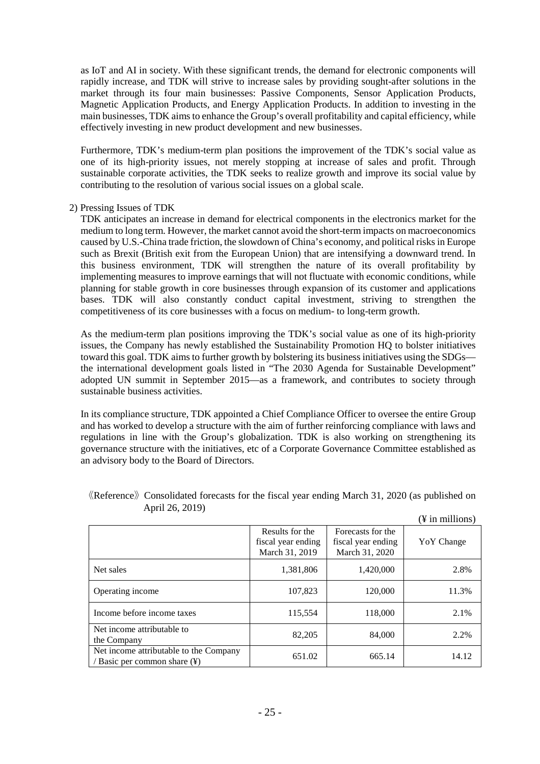as IoT and AI in society. With these significant trends, the demand for electronic components will rapidly increase, and TDK will strive to increase sales by providing sought-after solutions in the market through its four main businesses: Passive Components, Sensor Application Products, Magnetic Application Products, and Energy Application Products. In addition to investing in the main businesses, TDK aims to enhance the Group's overall profitability and capital efficiency, while effectively investing in new product development and new businesses.

Furthermore, TDK's medium-term plan positions the improvement of the TDK's social value as one of its high-priority issues, not merely stopping at increase of sales and profit. Through sustainable corporate activities, the TDK seeks to realize growth and improve its social value by contributing to the resolution of various social issues on a global scale.

#### 2) Pressing Issues of TDK

TDK anticipates an increase in demand for electrical components in the electronics market for the medium to long term. However, the market cannot avoid the short-term impacts on macroeconomics caused by U.S.-China trade friction, the slowdown of China's economy, and political risks in Europe such as Brexit (British exit from the European Union) that are intensifying a downward trend. In this business environment, TDK will strengthen the nature of its overall profitability by implementing measures to improve earnings that will not fluctuate with economic conditions, while planning for stable growth in core businesses through expansion of its customer and applications bases. TDK will also constantly conduct capital investment, striving to strengthen the competitiveness of its core businesses with a focus on medium- to long-term growth.

As the medium-term plan positions improving the TDK's social value as one of its high-priority issues, the Company has newly established the Sustainability Promotion HQ to bolster initiatives toward this goal. TDK aims to further growth by bolstering its business initiatives using the SDGs the international development goals listed in "The 2030 Agenda for Sustainable Development" adopted UN summit in September 2015—as a framework, and contributes to society through sustainable business activities.

In its compliance structure, TDK appointed a Chief Compliance Officer to oversee the entire Group and has worked to develop a structure with the aim of further reinforcing compliance with laws and regulations in line with the Group's globalization. TDK is also working on strengthening its governance structure with the initiatives, etc of a Corporate Governance Committee established as an advisory body to the Board of Directors.

|                                                                        |                                                         |                                                           | $(\frac{1}{2}$ in millions) |
|------------------------------------------------------------------------|---------------------------------------------------------|-----------------------------------------------------------|-----------------------------|
|                                                                        | Results for the<br>fiscal year ending<br>March 31, 2019 | Forecasts for the<br>fiscal year ending<br>March 31, 2020 | YoY Change                  |
| Net sales                                                              | 1,381,806                                               | 1,420,000                                                 | 2.8%                        |
| Operating income                                                       | 107,823                                                 | 120,000                                                   | 11.3%                       |
| Income before income taxes                                             | 115,554                                                 | 118,000                                                   | 2.1%                        |
| Net income attributable to<br>the Company                              | 82,205                                                  | 84,000                                                    | 2.2%                        |
| Net income attributable to the Company<br>/ Basic per common share (¥) | 651.02                                                  | 665.14                                                    | 14.12                       |

## 《Reference》Consolidated forecasts for the fiscal year ending March 31, 2020 (as published on April 26, 2019)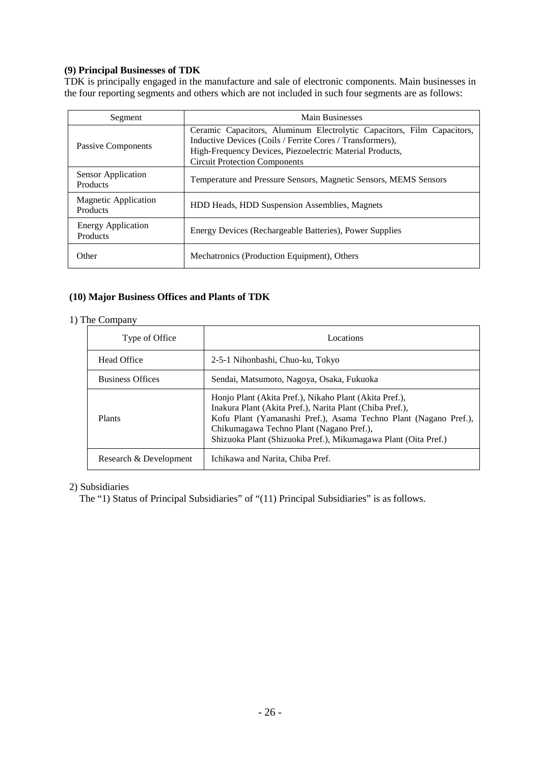## **(9) Principal Businesses of TDK**

TDK is principally engaged in the manufacture and sale of electronic components. Main businesses in the four reporting segments and others which are not included in such four segments are as follows:

| Segment                                 | Main Businesses                                                                                                                                                                                                                         |  |
|-----------------------------------------|-----------------------------------------------------------------------------------------------------------------------------------------------------------------------------------------------------------------------------------------|--|
| Passive Components                      | Ceramic Capacitors, Aluminum Electrolytic Capacitors, Film Capacitors,<br>Inductive Devices (Coils / Ferrite Cores / Transformers),<br>High-Frequency Devices, Piezoelectric Material Products,<br><b>Circuit Protection Components</b> |  |
| Sensor Application<br>Products          | Temperature and Pressure Sensors, Magnetic Sensors, MEMS Sensors                                                                                                                                                                        |  |
| <b>Magnetic Application</b><br>Products | HDD Heads, HDD Suspension Assemblies, Magnets                                                                                                                                                                                           |  |
| <b>Energy Application</b><br>Products   | Energy Devices (Rechargeable Batteries), Power Supplies                                                                                                                                                                                 |  |
| Other                                   | Mechatronics (Production Equipment), Others                                                                                                                                                                                             |  |

# **(10) Major Business Offices and Plants of TDK**

## 1) The Company

| Type of Office          | Locations                                                                                                                                                                                                                                                                                            |
|-------------------------|------------------------------------------------------------------------------------------------------------------------------------------------------------------------------------------------------------------------------------------------------------------------------------------------------|
| Head Office             | 2-5-1 Nihonbashi, Chuo-ku, Tokyo                                                                                                                                                                                                                                                                     |
| <b>Business Offices</b> | Sendai, Matsumoto, Nagoya, Osaka, Fukuoka                                                                                                                                                                                                                                                            |
| Plants                  | Honjo Plant (Akita Pref.), Nikaho Plant (Akita Pref.),<br>Inakura Plant (Akita Pref.), Narita Plant (Chiba Pref.),<br>Kofu Plant (Yamanashi Pref.), Asama Techno Plant (Nagano Pref.),<br>Chikumagawa Techno Plant (Nagano Pref.),<br>Shizuoka Plant (Shizuoka Pref.), Mikumagawa Plant (Oita Pref.) |
| Research & Development  | Ichikawa and Narita, Chiba Pref.                                                                                                                                                                                                                                                                     |

## 2) Subsidiaries

The "1) Status of Principal Subsidiaries" of "(11) Principal Subsidiaries" is as follows.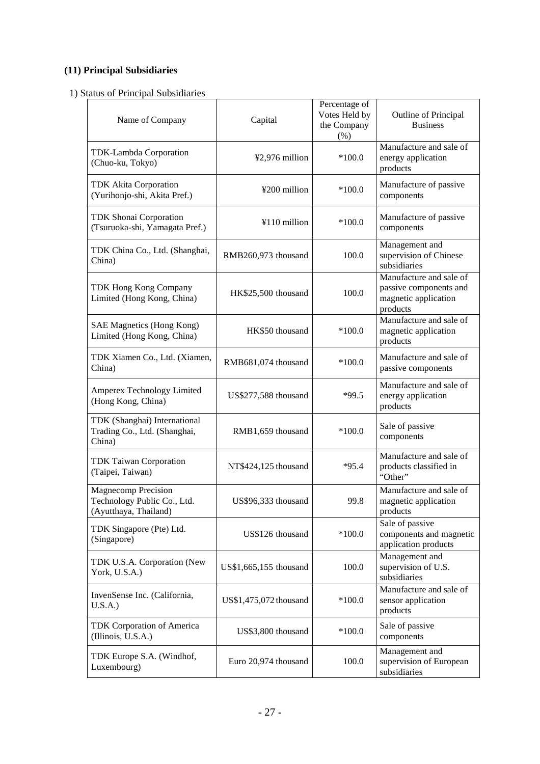# **(11) Principal Subsidiaries**

1) Status of Principal Subsidiaries

| Name of Company                                                             | Capital                | Percentage of<br>Votes Held by<br>the Company<br>(% ) | Outline of Principal<br><b>Business</b>                                               |
|-----------------------------------------------------------------------------|------------------------|-------------------------------------------------------|---------------------------------------------------------------------------------------|
| TDK-Lambda Corporation<br>(Chuo-ku, Tokyo)                                  | ¥2,976 million         | $*100.0$                                              | Manufacture and sale of<br>energy application<br>products                             |
| <b>TDK Akita Corporation</b><br>(Yurihonjo-shi, Akita Pref.)                | ¥200 million           | $*100.0$                                              | Manufacture of passive<br>components                                                  |
| <b>TDK Shonai Corporation</b><br>(Tsuruoka-shi, Yamagata Pref.)             | ¥110 million           | $*100.0$                                              | Manufacture of passive<br>components                                                  |
| TDK China Co., Ltd. (Shanghai,<br>China)                                    | RMB260,973 thousand    | 100.0                                                 | Management and<br>supervision of Chinese<br>subsidiaries                              |
| TDK Hong Kong Company<br>Limited (Hong Kong, China)                         | HK\$25,500 thousand    | 100.0                                                 | Manufacture and sale of<br>passive components and<br>magnetic application<br>products |
| SAE Magnetics (Hong Kong)<br>Limited (Hong Kong, China)                     | HK\$50 thousand        | $*100.0$                                              | Manufacture and sale of<br>magnetic application<br>products                           |
| TDK Xiamen Co., Ltd. (Xiamen,<br>China)                                     | RMB681,074 thousand    | $*100.0$                                              | Manufacture and sale of<br>passive components                                         |
| Amperex Technology Limited<br>(Hong Kong, China)                            | US\$277,588 thousand   | $*99.5$                                               | Manufacture and sale of<br>energy application<br>products                             |
| TDK (Shanghai) International<br>Trading Co., Ltd. (Shanghai,<br>China)      | RMB1,659 thousand      | $*100.0$                                              | Sale of passive<br>components                                                         |
| <b>TDK Taiwan Corporation</b><br>(Taipei, Taiwan)                           | NT\$424,125 thousand   | $*95.4$                                               | Manufacture and sale of<br>products classified in<br>"Other"                          |
| Magnecomp Precision<br>Technology Public Co., Ltd.<br>(Ayutthaya, Thailand) | US\$96,333 thousand    | 99.8                                                  | Manufacture and sale of<br>magnetic application<br>products                           |
| TDK Singapore (Pte) Ltd.<br>(Singapore)                                     | US\$126 thousand       | $*100.0$                                              | Sale of passive<br>components and magnetic<br>application products                    |
| TDK U.S.A. Corporation (New<br>York, U.S.A.)                                | US\$1,665,155 thousand | 100.0                                                 | Management and<br>supervision of U.S.<br>subsidiaries                                 |
| InvenSense Inc. (California,<br>U.S.A.)                                     | US\$1,475,072 thousand | $*100.0$                                              | Manufacture and sale of<br>sensor application<br>products                             |
| <b>TDK Corporation of America</b><br>(Illinois, U.S.A.)                     | US\$3,800 thousand     | $*100.0$                                              | Sale of passive<br>components                                                         |
| TDK Europe S.A. (Windhof,<br>Luxembourg)                                    | Euro 20,974 thousand   | 100.0                                                 | Management and<br>supervision of European<br>subsidiaries                             |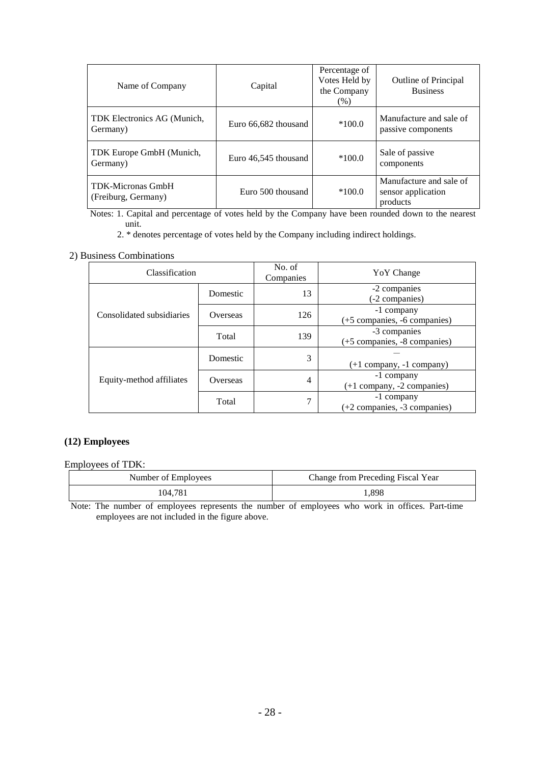| Name of Company                                 | Capital              | Percentage of<br>Votes Held by<br>the Company<br>(% ) | <b>Outline of Principal</b><br><b>Business</b>            |
|-------------------------------------------------|----------------------|-------------------------------------------------------|-----------------------------------------------------------|
| TDK Electronics AG (Munich,<br>Germany)         | Euro 66,682 thousand | $*100.0$                                              | Manufacture and sale of<br>passive components             |
| TDK Europe GmbH (Munich,<br>Germany)            | Euro 46,545 thousand | $*100.0$                                              | Sale of passive<br>components                             |
| <b>TDK-Micronas GmbH</b><br>(Freiburg, Germany) | Euro 500 thousand    | $*100.0$                                              | Manufacture and sale of<br>sensor application<br>products |

Notes: 1. Capital and percentage of votes held by the Company have been rounded down to the nearest unit.

2. \* denotes percentage of votes held by the Company including indirect holdings.

## 2) Business Combinations

| Classification            |          | No. of<br>Companies | YoY Change                                   |
|---------------------------|----------|---------------------|----------------------------------------------|
|                           | Domestic | 13                  | -2 companies<br>(-2 companies)               |
| Consolidated subsidiaries | Overseas | 126                 | -1 company<br>(+5 companies, -6 companies)   |
|                           | Total    | 139                 | -3 companies<br>(+5 companies, -8 companies) |
|                           | Domestic | 3                   | $(+1$ company, $-1$ company)                 |
| Equity-method affiliates  | Overseas | $\overline{4}$      | -1 company<br>$(+1$ company, $-2$ companies) |
|                           | Total    | 7                   | -1 company<br>(+2 companies, -3 companies)   |

## **(12) Employees**

Employees of TDK:

| Number of Employees | Change from Preceding Fiscal Year |  |  |
|---------------------|-----------------------------------|--|--|
| 104.781             | .898                              |  |  |

Note: The number of employees represents the number of employees who work in offices. Part-time employees are not included in the figure above.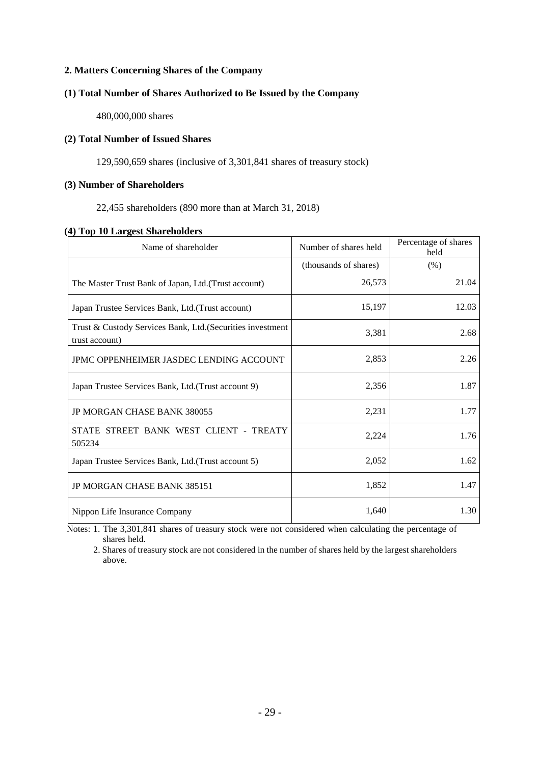## **2. Matters Concerning Shares of the Company**

#### **(1) Total Number of Shares Authorized to Be Issued by the Company**

480,000,000 shares

## **(2) Total Number of Issued Shares**

129,590,659 shares (inclusive of 3,301,841 shares of treasury stock)

## **(3) Number of Shareholders**

22,455 shareholders (890 more than at March 31, 2018)

| (4) Top 10 Largest Shareholders |  |
|---------------------------------|--|
|---------------------------------|--|

| Name of shareholder                                                          | Number of shares held | Percentage of shares<br>held |  |
|------------------------------------------------------------------------------|-----------------------|------------------------------|--|
|                                                                              | (thousands of shares) | (% )                         |  |
| The Master Trust Bank of Japan, Ltd.(Trust account)                          | 26,573                | 21.04                        |  |
| Japan Trustee Services Bank, Ltd.(Trust account)                             | 15,197                | 12.03                        |  |
| Trust & Custody Services Bank, Ltd. (Securities investment<br>trust account) | 3,381                 | 2.68                         |  |
| JPMC OPPENHEIMER JASDEC LENDING ACCOUNT                                      | 2,853                 | 2.26                         |  |
| Japan Trustee Services Bank, Ltd. (Trust account 9)                          | 2,356                 | 1.87                         |  |
| <b>JP MORGAN CHASE BANK 380055</b>                                           | 2,231                 | 1.77                         |  |
| STATE STREET BANK WEST CLIENT - TREATY<br>505234                             | 2,224                 | 1.76                         |  |
| Japan Trustee Services Bank, Ltd. (Trust account 5)                          | 2,052                 | 1.62                         |  |
| <b>JP MORGAN CHASE BANK 385151</b>                                           | 1,852                 | 1.47                         |  |
| Nippon Life Insurance Company                                                | 1,640                 | 1.30                         |  |

Notes: 1. The 3,301,841 shares of treasury stock were not considered when calculating the percentage of shares held.

2. Shares of treasury stock are not considered in the number of shares held by the largest shareholders above.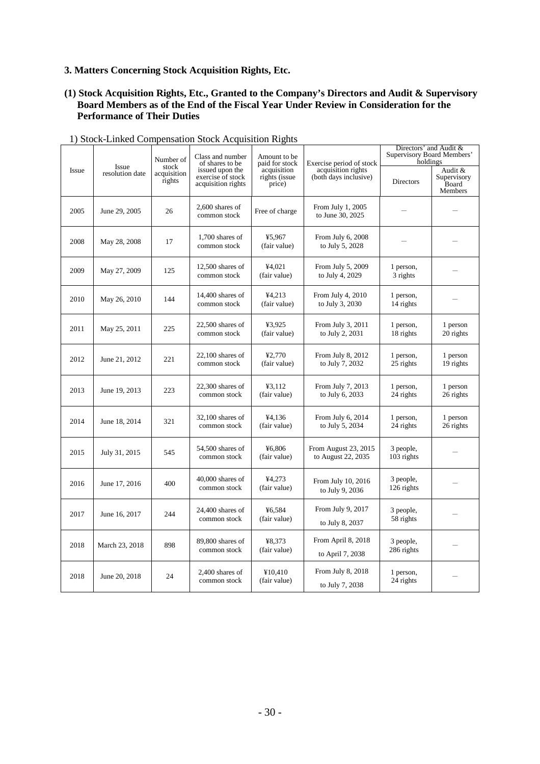## **3. Matters Concerning Stock Acquisition Rights, Etc.**

#### **(1) Stock Acquisition Rights, Etc., Granted to the Company's Directors and Audit & Supervisory Board Members as of the End of the Fiscal Year Under Review in Consideration for the Performance of Their Duties**

|              |                          | Number of                      | Class and number<br>of shares to be<br>issued upon the<br>exercise of stock<br>acquisition rights | Amount to be<br>paid for stock<br>acquisition<br>rights (issue<br>price) | Exercise period of stock                          | Directors' and Audit &<br>Supervisory Board Members'<br>holdings |                                            |
|--------------|--------------------------|--------------------------------|---------------------------------------------------------------------------------------------------|--------------------------------------------------------------------------|---------------------------------------------------|------------------------------------------------------------------|--------------------------------------------|
| <b>Issue</b> | Issue<br>resolution date | stock<br>acquisition<br>rights |                                                                                                   |                                                                          | acquisition rights<br>(both days inclusive)       | Directors                                                        | Audit &<br>Supervisory<br>Board<br>Members |
| 2005         | June 29, 2005            | 26                             | $2,600$ shares of<br>common stock                                                                 | Free of charge                                                           | From July 1, 2005<br>to June 30, 2025             |                                                                  |                                            |
| 2008         | May 28, 2008             | 17                             | 1,700 shares of<br>common stock                                                                   | ¥5,967<br>(fair value)                                                   | From July 6, 2008<br>to July 5, 2028              |                                                                  |                                            |
| 2009         | May 27, 2009             | 125                            | $12,500$ shares of<br>common stock                                                                | ¥4.021<br>(fair value)                                                   | From July 5, 2009<br>to July 4, 2029              | 1 person,<br>3 rights                                            |                                            |
| 2010         | May 26, 2010             | 144                            | $14,400$ shares of<br>common stock                                                                | ¥4,213<br>(fair value)                                                   | From July 4, 2010<br>to July 3, 2030              | 1 person,<br>14 rights                                           |                                            |
| 2011         | May 25, 2011             | 225                            | $22,500$ shares of<br>common stock                                                                | ¥3,925<br>(fair value)                                                   | From July 3, 2011<br>to July 2, 2031              | 1 person,<br>18 rights                                           | 1 person<br>20 rights                      |
| 2012         | June 21, 2012            | 221                            | $22,100$ shares of<br>common stock                                                                | ¥2.770<br>(fair value)                                                   | From July 8, 2012<br>to July 7, 2032              | 1 person,<br>25 rights                                           | 1 person<br>19 rights                      |
| 2013         | June 19, 2013            | 223                            | $22,300$ shares of<br>common stock                                                                | 43,112<br>(fair value)                                                   | From July 7, 2013<br>to July 6, 2033              | 1 person,<br>24 rights                                           | 1 person<br>26 rights                      |
| 2014         | June 18, 2014            | 321                            | $32,100$ shares of<br>common stock                                                                | ¥4.136<br>(fair value)                                                   | From July 6, 2014<br>to July 5, 2034              | 1 person,<br>24 rights                                           | 1 person<br>26 rights                      |
| 2015         | July 31, 2015            | 545                            | 54,500 shares of<br>common stock                                                                  | ¥6,806<br>(fair value)                                                   | <b>From August 23, 2015</b><br>to August 22, 2035 | 3 people,<br>$103$ rights                                        |                                            |
| 2016         | June 17, 2016            | 400                            | $40,000$ shares of<br>common stock                                                                | ¥4,273<br>(fair value)                                                   | From July 10, 2016<br>to July 9, 2036             | 3 people,<br>126 rights                                          |                                            |
| 2017         | June 16, 2017            | 244                            | $24,400$ shares of<br>common stock                                                                | ¥6,584<br>(fair value)                                                   | From July 9, 2017<br>to July 8, 2037              | 3 people,<br>58 rights                                           |                                            |
| 2018         | March 23, 2018           | 898                            | 89,800 shares of<br>common stock                                                                  | ¥8.373<br>(fair value)                                                   | From April 8, 2018<br>to April 7, 2038            | 3 people,<br>286 rights                                          |                                            |
| 2018         | June 20, 2018            | 24                             | 2.400 shares of<br>common stock                                                                   | ¥10.410<br>(fair value)                                                  | From July 8, 2018<br>to July 7, 2038              | 1 person,<br>24 rights                                           |                                            |

## 1) Stock-Linked Compensation Stock Acquisition Rights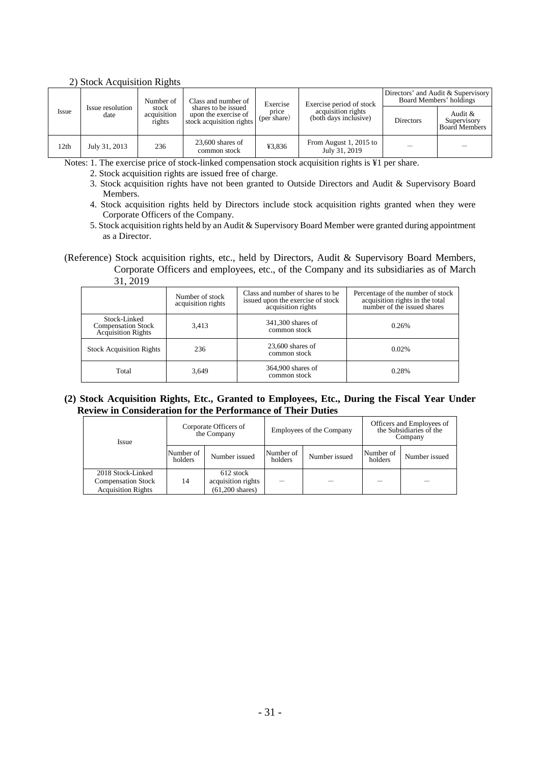## 2) Stock Acquisition Rights

|       | Number of<br>Class and number of |                                | Exercise                                                                | Exercise period of stock | Directors' and Audit & Supervisory<br>Board Members' holdings |                  |                                                |
|-------|----------------------------------|--------------------------------|-------------------------------------------------------------------------|--------------------------|---------------------------------------------------------------|------------------|------------------------------------------------|
| Issue | Issue resolution<br>date         | stock<br>acquisition<br>rights | shares to be issued<br>upon the exercise of<br>stock acquisition rights | price<br>(per share)     | acquisition rights<br>(both days inclusive)                   | <b>Directors</b> | Audit &<br>Supervisory<br><b>Board Members</b> |
| 12th  | July 31, 2013                    | 236                            | $23,600$ shares of<br>common stock                                      | ¥3,836                   | From August 1, 2015 to<br>July 31, 2019                       |                  |                                                |

Notes: 1. The exercise price of stock-linked compensation stock acquisition rights is ¥1 per share.

2. Stock acquisition rights are issued free of charge.

- 3. Stock acquisition rights have not been granted to Outside Directors and Audit & Supervisory Board Members.
- 4. Stock acquisition rights held by Directors include stock acquisition rights granted when they were Corporate Officers of the Company.
- 5. Stock acquisition rights held by an Audit & Supervisory Board Member were granted during appointment as a Director.

(Reference) Stock acquisition rights, etc., held by Directors, Audit & Supervisory Board Members, Corporate Officers and employees, etc., of the Company and its subsidiaries as of March 31, 2019

|                                                                 | Number of stock<br>acquisition rights | Class and number of shares to be<br>issued upon the exercise of stock<br>acquisition rights | Percentage of the number of stock<br>acquisition rights in the total<br>number of the issued shares |
|-----------------------------------------------------------------|---------------------------------------|---------------------------------------------------------------------------------------------|-----------------------------------------------------------------------------------------------------|
| Stock-Linked<br><b>Compensation Stock</b><br>Acquisition Rights | 3,413                                 | 341,300 shares of<br>common stock                                                           | 0.26%                                                                                               |
| <b>Stock Acquisition Rights</b>                                 | 236                                   | $23,600$ shares of<br>common stock                                                          | 0.02%                                                                                               |
| Total                                                           | 3,649                                 | 364,900 shares of<br>common stock                                                           | 0.28%                                                                                               |

#### **(2) Stock Acquisition Rights, Etc., Granted to Employees, Etc., During the Fiscal Year Under Review in Consideration for the Performance of Their Duties**

| <i><u><b>Issue</b></u></i>                                                  | Corporate Officers of<br>the Company |                                                              | Employees of the Company |               | Officers and Employees of<br>the Subsidiaries of the<br>Company |               |
|-----------------------------------------------------------------------------|--------------------------------------|--------------------------------------------------------------|--------------------------|---------------|-----------------------------------------------------------------|---------------|
|                                                                             | Number of<br>holders                 | Number issued                                                | Number of<br>holders     | Number issued | Number of<br>holders                                            | Number issued |
| 2018 Stock-Linked<br><b>Compensation Stock</b><br><b>Acquisition Rights</b> | 14                                   | 612 stock<br>acquisition rights<br>$(61.200 \text{ shares})$ |                          |               |                                                                 |               |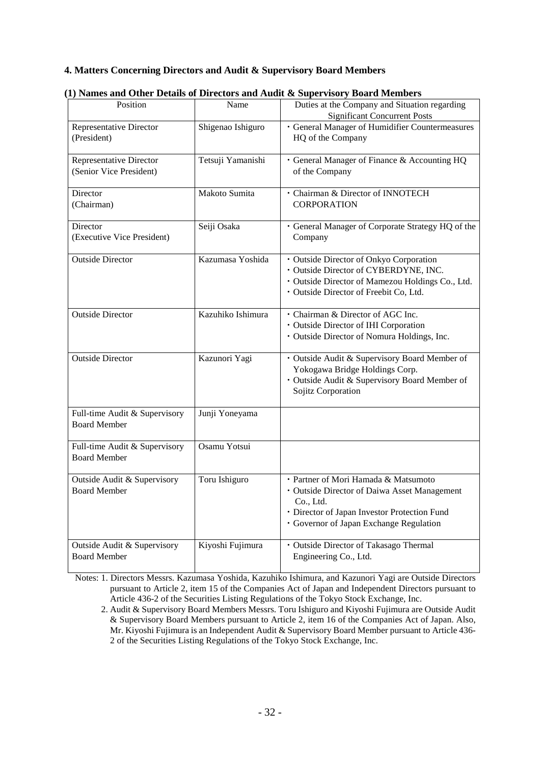## **4. Matters Concerning Directors and Audit & Supervisory Board Members**

|                                                      |                   | I) Names and Other Details of Directors and Addit & Supervisory Doard Members                                                                                                                |
|------------------------------------------------------|-------------------|----------------------------------------------------------------------------------------------------------------------------------------------------------------------------------------------|
| Position                                             | Name              | Duties at the Company and Situation regarding<br><b>Significant Concurrent Posts</b>                                                                                                         |
| Representative Director<br>(President)               | Shigenao Ishiguro | · General Manager of Humidifier Countermeasures<br>HQ of the Company                                                                                                                         |
| Representative Director<br>(Senior Vice President)   | Tetsuji Yamanishi | · General Manager of Finance & Accounting HQ<br>of the Company                                                                                                                               |
| Director<br>(Chairman)                               | Makoto Sumita     | · Chairman & Director of INNOTECH<br><b>CORPORATION</b>                                                                                                                                      |
| Director<br>(Executive Vice President)               | Seiji Osaka       | · General Manager of Corporate Strategy HQ of the<br>Company                                                                                                                                 |
| <b>Outside Director</b>                              | Kazumasa Yoshida  | · Outside Director of Onkyo Corporation<br>· Outside Director of CYBERDYNE, INC.<br>· Outside Director of Mamezou Holdings Co., Ltd.<br>· Outside Director of Freebit Co, Ltd.               |
| <b>Outside Director</b>                              | Kazuhiko Ishimura | · Chairman & Director of AGC Inc.<br>· Outside Director of IHI Corporation<br>· Outside Director of Nomura Holdings, Inc.                                                                    |
| <b>Outside Director</b>                              | Kazunori Yagi     | · Outside Audit & Supervisory Board Member of<br>Yokogawa Bridge Holdings Corp.<br>· Outside Audit & Supervisory Board Member of<br>Sojitz Corporation                                       |
| Full-time Audit & Supervisory<br><b>Board Member</b> | Junji Yoneyama    |                                                                                                                                                                                              |
| Full-time Audit & Supervisory<br><b>Board Member</b> | Osamu Yotsui      |                                                                                                                                                                                              |
| Outside Audit & Supervisory<br><b>Board Member</b>   | Toru Ishiguro     | · Partner of Mori Hamada & Matsumoto<br>· Outside Director of Daiwa Asset Management<br>Co., Ltd.<br>· Director of Japan Investor Protection Fund<br>· Governor of Japan Exchange Regulation |
| Outside Audit & Supervisory<br><b>Board Member</b>   | Kiyoshi Fujimura  | · Outside Director of Takasago Thermal<br>Engineering Co., Ltd.                                                                                                                              |

## **(1) Names and Other Details of Directors and Audit & Supervisory Board Members**

Notes: 1. Directors Messrs. Kazumasa Yoshida, Kazuhiko Ishimura, and Kazunori Yagi are Outside Directors pursuant to Article 2, item 15 of the Companies Act of Japan and Independent Directors pursuant to Article 436-2 of the Securities Listing Regulations of the Tokyo Stock Exchange, Inc.

<sup>2.</sup> Audit & Supervisory Board Members Messrs. Toru Ishiguro and Kiyoshi Fujimura are Outside Audit & Supervisory Board Members pursuant to Article 2, item 16 of the Companies Act of Japan. Also, Mr. Kiyoshi Fujimura is an Independent Audit & Supervisory Board Member pursuant to Article 436- 2 of the Securities Listing Regulations of the Tokyo Stock Exchange, Inc.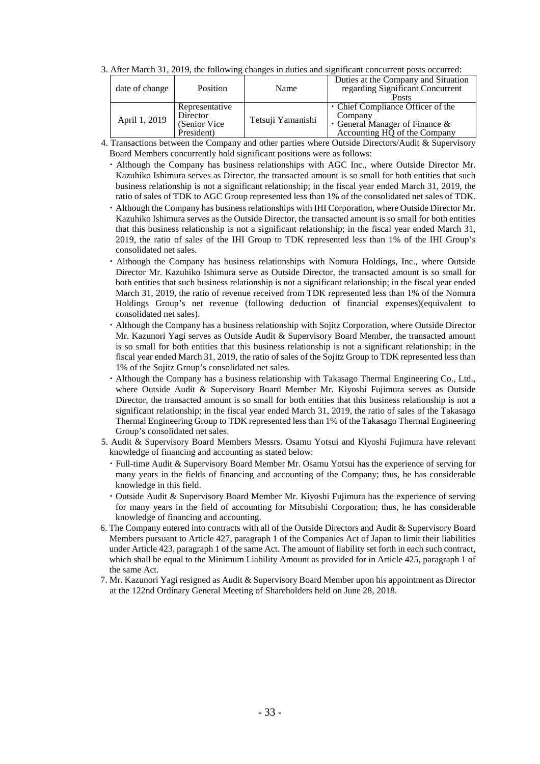3. After March 31, 2019, the following changes in duties and significant concurrent posts occurred:

| date of change | Position                                                 | Name              | Duties at the Company and Situation<br>regarding Significant Concurrent<br><b>Posts</b>                              |
|----------------|----------------------------------------------------------|-------------------|----------------------------------------------------------------------------------------------------------------------|
| April 1, 2019  | Representative<br>Director<br>(Senior Vice<br>President) | Tetsuji Yamanishi | • Chief Compliance Officer of the<br>Company<br>$\cdot$ General Manager of Finance &<br>Accounting HQ of the Company |

4. Transactions between the Company and other parties where Outside Directors/Audit & Supervisory Board Members concurrently hold significant positions were as follows:

- ・Although the Company has business relationships with AGC Inc., where Outside Director Mr. Kazuhiko Ishimura serves as Director, the transacted amount is so small for both entities that such business relationship is not a significant relationship; in the fiscal year ended March 31, 2019, the ratio of sales of TDK to AGC Group represented less than 1% of the consolidated net sales of TDK.
- ・Although the Company has business relationships with IHI Corporation, where Outside Director Mr. Kazuhiko Ishimura serves as the Outside Director, the transacted amount is so small for both entities that this business relationship is not a significant relationship; in the fiscal year ended March 31, 2019, the ratio of sales of the IHI Group to TDK represented less than 1% of the IHI Group's consolidated net sales.
- ・Although the Company has business relationships with Nomura Holdings, Inc., where Outside Director Mr. Kazuhiko Ishimura serve as Outside Director, the transacted amount is so small for both entities that such business relationship is not a significant relationship; in the fiscal year ended March 31, 2019, the ratio of revenue received from TDK represented less than 1% of the Nomura Holdings Group's net revenue (following deduction of financial expenses)(equivalent to consolidated net sales).
- ・Although the Company has a business relationship with Sojitz Corporation, where Outside Director Mr. Kazunori Yagi serves as Outside Audit & Supervisory Board Member, the transacted amount is so small for both entities that this business relationship is not a significant relationship; in the fiscal year ended March 31, 2019, the ratio of sales of the Sojitz Group to TDK represented less than 1% of the Sojitz Group's consolidated net sales.
- ・Although the Company has a business relationship with Takasago Thermal Engineering Co., Ltd., where Outside Audit & Supervisory Board Member Mr. Kiyoshi Fujimura serves as Outside Director, the transacted amount is so small for both entities that this business relationship is not a significant relationship; in the fiscal year ended March 31, 2019, the ratio of sales of the Takasago Thermal Engineering Group to TDK represented less than 1% of the Takasago Thermal Engineering Group's consolidated net sales.
- 5. Audit & Supervisory Board Members Messrs. Osamu Yotsui and Kiyoshi Fujimura have relevant knowledge of financing and accounting as stated below:
	- ・Full-time Audit & Supervisory Board Member Mr. Osamu Yotsui has the experience of serving for many years in the fields of financing and accounting of the Company; thus, he has considerable knowledge in this field.
	- ・Outside Audit & Supervisory Board Member Mr. Kiyoshi Fujimura has the experience of serving for many years in the field of accounting for Mitsubishi Corporation; thus, he has considerable knowledge of financing and accounting.
- 6. The Company entered into contracts with all of the Outside Directors and Audit & Supervisory Board Members pursuant to Article 427, paragraph 1 of the Companies Act of Japan to limit their liabilities under Article 423, paragraph 1 of the same Act. The amount of liability set forth in each such contract, which shall be equal to the Minimum Liability Amount as provided for in Article 425, paragraph 1 of the same Act.
- 7. Mr. Kazunori Yagi resigned as Audit & Supervisory Board Member upon his appointment as Director at the 122nd Ordinary General Meeting of Shareholders held on June 28, 2018.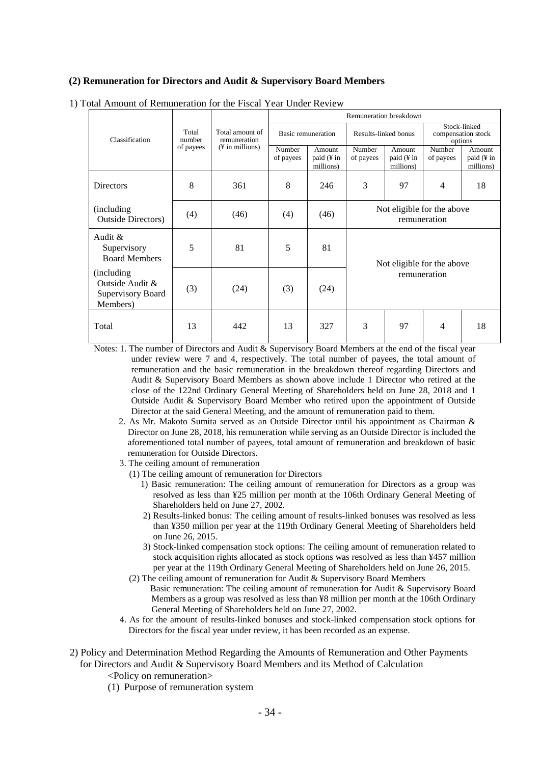#### **(2) Remuneration for Directors and Audit & Supervisory Board Members**

|                                                                 |                 |                                                                | Remuneration breakdown |                                   |                                            |                                   |                                               |                                   |
|-----------------------------------------------------------------|-----------------|----------------------------------------------------------------|------------------------|-----------------------------------|--------------------------------------------|-----------------------------------|-----------------------------------------------|-----------------------------------|
| Classification                                                  | Total<br>number | Total amount of<br>remuneration<br>$(\frac{1}{2}$ in millions) | Basic remuneration     |                                   | Results-linked bonus                       |                                   | Stock-linked<br>compensation stock<br>options |                                   |
|                                                                 | of payees       |                                                                | Number<br>of payees    | Amount<br>paid (¥ in<br>millions) | Number<br>of payees                        | Amount<br>paid (¥ in<br>millions) | Number<br>of payees                           | Amount<br>paid (¥ in<br>millions) |
| Directors                                                       | 8               | 361                                                            | 8                      | 246                               | 3                                          | 97                                | $\overline{4}$                                | 18                                |
| (including)<br><b>Outside Directors</b> )                       | (4)             | (46)                                                           | (4)                    | (46)                              | Not eligible for the above<br>remuneration |                                   |                                               |                                   |
| Audit $&$<br>Supervisory<br><b>Board Members</b>                | 5               | 81                                                             | 5                      | 81                                | Not eligible for the above                 |                                   |                                               |                                   |
| (including)<br>Outside Audit &<br>Supervisory Board<br>Members) | (3)             | (24)                                                           | (3)                    | (24)                              | remuneration                               |                                   |                                               |                                   |
| Total                                                           | 13              | 442                                                            | 13                     | 327                               | 3                                          | 97                                | 4                                             | 18                                |

1) Total Amount of Remuneration for the Fiscal Year Under Review

Notes: 1. The number of Directors and Audit & Supervisory Board Members at the end of the fiscal year under review were 7 and 4, respectively. The total number of payees, the total amount of remuneration and the basic remuneration in the breakdown thereof regarding Directors and Audit & Supervisory Board Members as shown above include 1 Director who retired at the close of the 122nd Ordinary General Meeting of Shareholders held on June 28, 2018 and 1 Outside Audit & Supervisory Board Member who retired upon the appointment of Outside Director at the said General Meeting, and the amount of remuneration paid to them.

- 2. As Mr. Makoto Sumita served as an Outside Director until his appointment as Chairman & Director on June 28, 2018, his remuneration while serving as an Outside Director is included the aforementioned total number of payees, total amount of remuneration and breakdown of basic remuneration for Outside Directors.
- 3. The ceiling amount of remuneration
	- (1) The ceiling amount of remuneration for Directors
		- 1) Basic remuneration: The ceiling amount of remuneration for Directors as a group was resolved as less than ¥25 million per month at the 106th Ordinary General Meeting of Shareholders held on June 27, 2002.
		- 2) Results-linked bonus: The ceiling amount of results-linked bonuses was resolved as less than ¥350 million per year at the 119th Ordinary General Meeting of Shareholders held on June 26, 2015.
		- 3) Stock-linked compensation stock options: The ceiling amount of remuneration related to stock acquisition rights allocated as stock options was resolved as less than ¥457 million per year at the 119th Ordinary General Meeting of Shareholders held on June 26, 2015.
	- (2) The ceiling amount of remuneration for Audit & Supervisory Board Members Basic remuneration: The ceiling amount of remuneration for Audit & Supervisory Board Members as a group was resolved as less than ¥8 million per month at the 106th Ordinary General Meeting of Shareholders held on June 27, 2002.
- 4. As for the amount of results-linked bonuses and stock-linked compensation stock options for Directors for the fiscal year under review, it has been recorded as an expense.
- 2) Policy and Determination Method Regarding the Amounts of Remuneration and Other Payments for Directors and Audit & Supervisory Board Members and its Method of Calculation
	- <Policy on remuneration>
	- (1) Purpose of remuneration system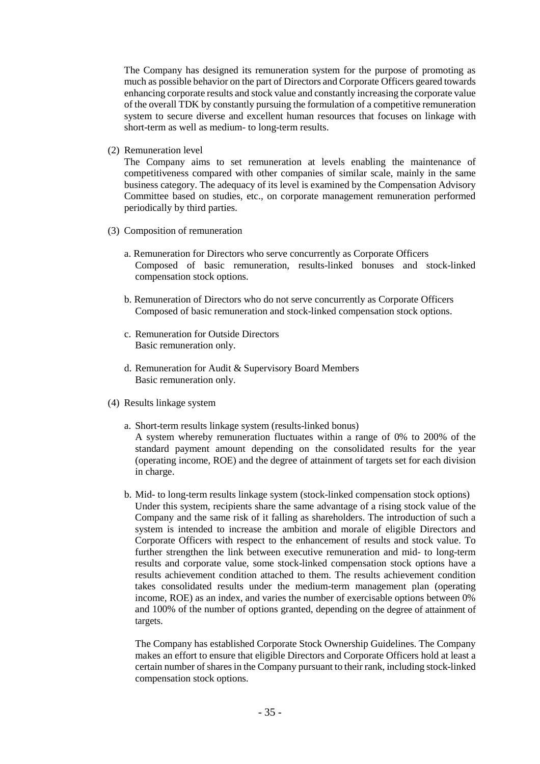The Company has designed its remuneration system for the purpose of promoting as much as possible behavior on the part of Directors and Corporate Officers geared towards enhancing corporate results and stock value and constantly increasing the corporate value of the overall TDK by constantly pursuing the formulation of a competitive remuneration system to secure diverse and excellent human resources that focuses on linkage with short-term as well as medium- to long-term results.

(2) Remuneration level

The Company aims to set remuneration at levels enabling the maintenance of competitiveness compared with other companies of similar scale, mainly in the same business category. The adequacy of its level is examined by the Compensation Advisory Committee based on studies, etc., on corporate management remuneration performed periodically by third parties.

- (3) Composition of remuneration
	- a. Remuneration for Directors who serve concurrently as Corporate Officers Composed of basic remuneration, results-linked bonuses and stock-linked compensation stock options.
	- b. Remuneration of Directors who do not serve concurrently as Corporate Officers Composed of basic remuneration and stock-linked compensation stock options.
	- c. Remuneration for Outside Directors Basic remuneration only.
	- d. Remuneration for Audit & Supervisory Board Members Basic remuneration only.
- (4) Results linkage system
	- a. Short-term results linkage system (results-linked bonus) A system whereby remuneration fluctuates within a range of 0% to 200% of the standard payment amount depending on the consolidated results for the year (operating income, ROE) and the degree of attainment of targets set for each division in charge.
	- b. Mid- to long-term results linkage system (stock-linked compensation stock options) Under this system, recipients share the same advantage of a rising stock value of the Company and the same risk of it falling as shareholders. The introduction of such a system is intended to increase the ambition and morale of eligible Directors and Corporate Officers with respect to the enhancement of results and stock value. To further strengthen the link between executive remuneration and mid- to long-term results and corporate value, some stock-linked compensation stock options have a results achievement condition attached to them. The results achievement condition takes consolidated results under the medium-term management plan (operating income, ROE) as an index, and varies the number of exercisable options between 0% and 100% of the number of options granted, depending on the degree of attainment of targets.

The Company has established Corporate Stock Ownership Guidelines. The Company makes an effort to ensure that eligible Directors and Corporate Officers hold at least a certain number of shares in the Company pursuant to their rank, including stock-linked compensation stock options.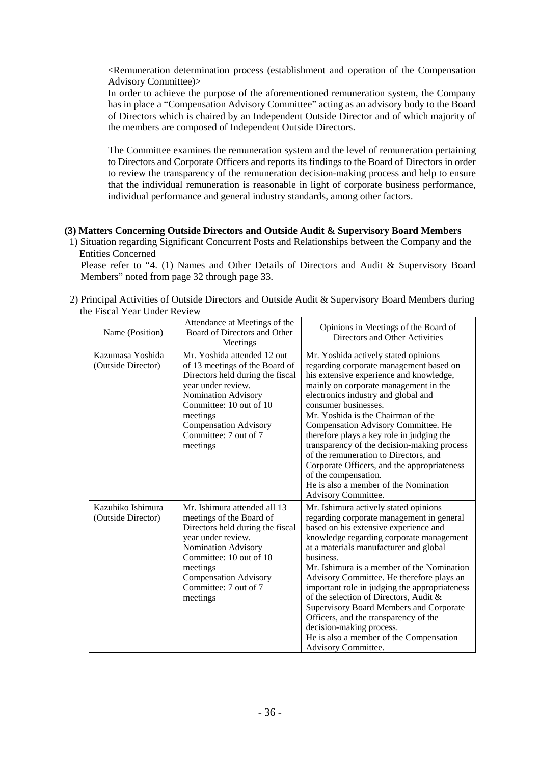<Remuneration determination process (establishment and operation of the Compensation Advisory Committee)>

In order to achieve the purpose of the aforementioned remuneration system, the Company has in place a "Compensation Advisory Committee" acting as an advisory body to the Board of Directors which is chaired by an Independent Outside Director and of which majority of the members are composed of Independent Outside Directors.

The Committee examines the remuneration system and the level of remuneration pertaining to Directors and Corporate Officers and reports its findings to the Board of Directors in order to review the transparency of the remuneration decision-making process and help to ensure that the individual remuneration is reasonable in light of corporate business performance, individual performance and general industry standards, among other factors.

#### **(3) Matters Concerning Outside Directors and Outside Audit & Supervisory Board Members**

1) Situation regarding Significant Concurrent Posts and Relationships between the Company and the Entities Concerned

Please refer to "4. (1) Names and Other Details of Directors and Audit & Supervisory Board Members" noted from page 32 through page 33.

2) Principal Activities of Outside Directors and Outside Audit & Supervisory Board Members during the Fiscal Year Under Review

| Name (Position)                         | Attendance at Meetings of the<br>Board of Directors and Other<br>Meetings                                                                                                                                                                                  | Opinions in Meetings of the Board of<br>Directors and Other Activities                                                                                                                                                                                                                                                                                                                                                                                                                                                                                                                                 |
|-----------------------------------------|------------------------------------------------------------------------------------------------------------------------------------------------------------------------------------------------------------------------------------------------------------|--------------------------------------------------------------------------------------------------------------------------------------------------------------------------------------------------------------------------------------------------------------------------------------------------------------------------------------------------------------------------------------------------------------------------------------------------------------------------------------------------------------------------------------------------------------------------------------------------------|
| Kazumasa Yoshida<br>(Outside Director)  | Mr. Yoshida attended 12 out<br>of 13 meetings of the Board of<br>Directors held during the fiscal<br>year under review.<br>Nomination Advisory<br>Committee: 10 out of 10<br>meetings<br><b>Compensation Advisory</b><br>Committee: 7 out of 7<br>meetings | Mr. Yoshida actively stated opinions<br>regarding corporate management based on<br>his extensive experience and knowledge,<br>mainly on corporate management in the<br>electronics industry and global and<br>consumer businesses.<br>Mr. Yoshida is the Chairman of the<br>Compensation Advisory Committee. He<br>therefore plays a key role in judging the<br>transparency of the decision-making process<br>of the remuneration to Directors, and<br>Corporate Officers, and the appropriateness<br>of the compensation.<br>He is also a member of the Nomination<br>Advisory Committee.            |
| Kazuhiko Ishimura<br>(Outside Director) | Mr. Ishimura attended all 13<br>meetings of the Board of<br>Directors held during the fiscal<br>year under review.<br>Nomination Advisory<br>Committee: 10 out of 10<br>meetings<br><b>Compensation Advisory</b><br>Committee: 7 out of 7<br>meetings      | Mr. Ishimura actively stated opinions<br>regarding corporate management in general<br>based on his extensive experience and<br>knowledge regarding corporate management<br>at a materials manufacturer and global<br>business.<br>Mr. Ishimura is a member of the Nomination<br>Advisory Committee. He therefore plays an<br>important role in judging the appropriateness<br>of the selection of Directors, Audit &<br>Supervisory Board Members and Corporate<br>Officers, and the transparency of the<br>decision-making process.<br>He is also a member of the Compensation<br>Advisory Committee. |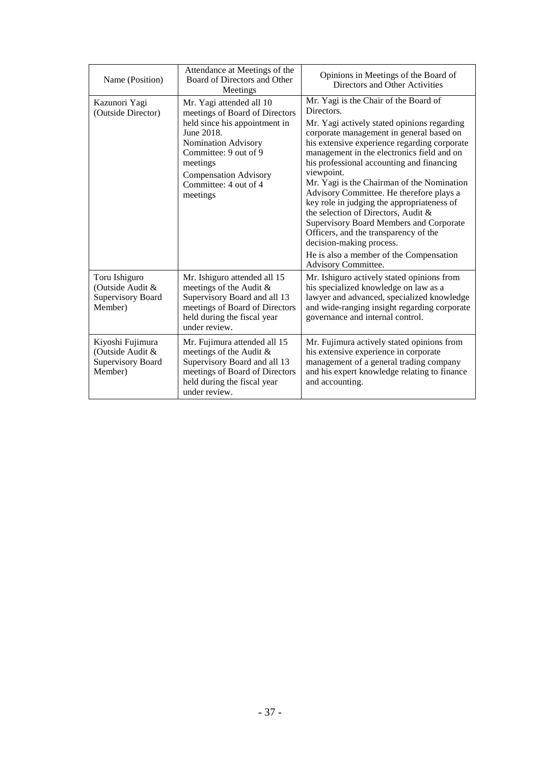| Name (Position)                                                             | Attendance at Meetings of the<br>Board of Directors and Other<br>Meetings                                                                                                                                                                  | Opinions in Meetings of the Board of<br>Directors and Other Activities                                                                                                                                                                                                                                                                                                                                                                                                                                                                                                                                                                                                   |
|-----------------------------------------------------------------------------|--------------------------------------------------------------------------------------------------------------------------------------------------------------------------------------------------------------------------------------------|--------------------------------------------------------------------------------------------------------------------------------------------------------------------------------------------------------------------------------------------------------------------------------------------------------------------------------------------------------------------------------------------------------------------------------------------------------------------------------------------------------------------------------------------------------------------------------------------------------------------------------------------------------------------------|
| Kazunori Yagi<br>(Outside Director)                                         | Mr. Yagi attended all 10<br>meetings of Board of Directors<br>held since his appointment in<br>June 2018.<br>Nomination Advisory<br>Committee: 9 out of 9<br>meetings<br><b>Compensation Advisory</b><br>Committee: 4 out of 4<br>meetings | Mr. Yagi is the Chair of the Board of<br>Directors.<br>Mr. Yagi actively stated opinions regarding<br>corporate management in general based on<br>his extensive experience regarding corporate<br>management in the electronics field and on<br>his professional accounting and financing<br>viewpoint.<br>Mr. Yagi is the Chairman of the Nomination<br>Advisory Committee. He therefore plays a<br>key role in judging the appropriateness of<br>the selection of Directors, Audit &<br>Supervisory Board Members and Corporate<br>Officers, and the transparency of the<br>decision-making process.<br>He is also a member of the Compensation<br>Advisory Committee. |
| Toru Ishiguro<br>(Outside Audit &<br><b>Supervisory Board</b><br>Member)    | Mr. Ishiguro attended all 15<br>meetings of the Audit &<br>Supervisory Board and all 13<br>meetings of Board of Directors<br>held during the fiscal year<br>under review.                                                                  | Mr. Ishiguro actively stated opinions from<br>his specialized knowledge on law as a<br>lawyer and advanced, specialized knowledge<br>and wide-ranging insight regarding corporate<br>governance and internal control.                                                                                                                                                                                                                                                                                                                                                                                                                                                    |
| Kiyoshi Fujimura<br>(Outside Audit &<br><b>Supervisory Board</b><br>Member) | Mr. Fujimura attended all 15<br>meetings of the Audit &<br>Supervisory Board and all 13<br>meetings of Board of Directors<br>held during the fiscal year<br>under review.                                                                  | Mr. Fujimura actively stated opinions from<br>his extensive experience in corporate<br>management of a general trading company<br>and his expert knowledge relating to finance<br>and accounting.                                                                                                                                                                                                                                                                                                                                                                                                                                                                        |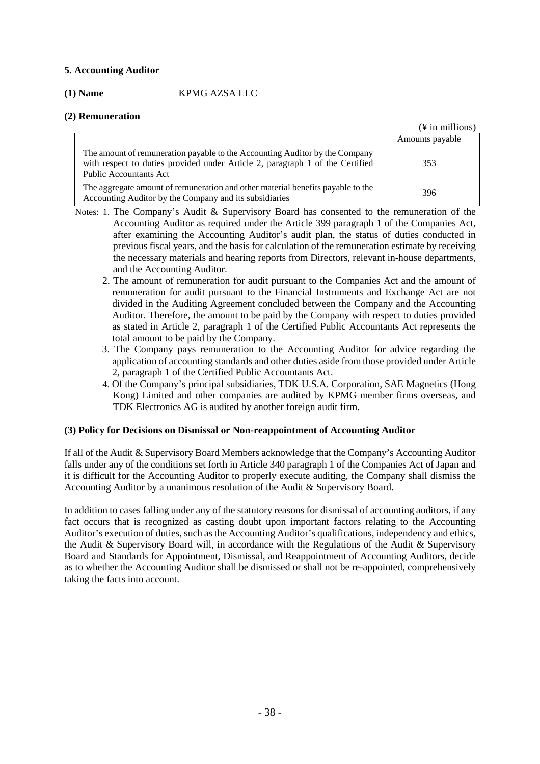## **5. Accounting Auditor**

## **(1) Name** KPMG AZSA LLC

## **(2) Remuneration**

|                                                                                                                                                                                               | $(\frac{1}{2}$ in millions) |
|-----------------------------------------------------------------------------------------------------------------------------------------------------------------------------------------------|-----------------------------|
|                                                                                                                                                                                               | Amounts payable             |
| The amount of remuneration payable to the Accounting Auditor by the Company<br>with respect to duties provided under Article 2, paragraph 1 of the Certified<br><b>Public Accountants Act</b> | 353                         |
| The aggregate amount of remuneration and other material benefits payable to the<br>Accounting Auditor by the Company and its subsidiaries                                                     | 396                         |

- Notes: 1. The Company's Audit & Supervisory Board has consented to the remuneration of the Accounting Auditor as required under the Article 399 paragraph 1 of the Companies Act, after examining the Accounting Auditor's audit plan, the status of duties conducted in previous fiscal years, and the basis for calculation of the remuneration estimate by receiving the necessary materials and hearing reports from Directors, relevant in-house departments, and the Accounting Auditor.
	- 2. The amount of remuneration for audit pursuant to the Companies Act and the amount of remuneration for audit pursuant to the Financial Instruments and Exchange Act are not divided in the Auditing Agreement concluded between the Company and the Accounting Auditor. Therefore, the amount to be paid by the Company with respect to duties provided as stated in Article 2, paragraph 1 of the Certified Public Accountants Act represents the total amount to be paid by the Company.
	- 3. The Company pays remuneration to the Accounting Auditor for advice regarding the application of accounting standards and other duties aside from those provided under Article 2, paragraph 1 of the Certified Public Accountants Act.
	- 4. Of the Company's principal subsidiaries, TDK U.S.A. Corporation, SAE Magnetics (Hong Kong) Limited and other companies are audited by KPMG member firms overseas, and TDK Electronics AG is audited by another foreign audit firm.

## **(3) Policy for Decisions on Dismissal or Non-reappointment of Accounting Auditor**

If all of the Audit & Supervisory Board Members acknowledge that the Company's Accounting Auditor falls under any of the conditions set forth in Article 340 paragraph 1 of the Companies Act of Japan and it is difficult for the Accounting Auditor to properly execute auditing, the Company shall dismiss the Accounting Auditor by a unanimous resolution of the Audit & Supervisory Board.

In addition to cases falling under any of the statutory reasons for dismissal of accounting auditors, if any fact occurs that is recognized as casting doubt upon important factors relating to the Accounting Auditor's execution of duties, such as the Accounting Auditor's qualifications, independency and ethics, the Audit & Supervisory Board will, in accordance with the Regulations of the Audit & Supervisory Board and Standards for Appointment, Dismissal, and Reappointment of Accounting Auditors, decide as to whether the Accounting Auditor shall be dismissed or shall not be re-appointed, comprehensively taking the facts into account.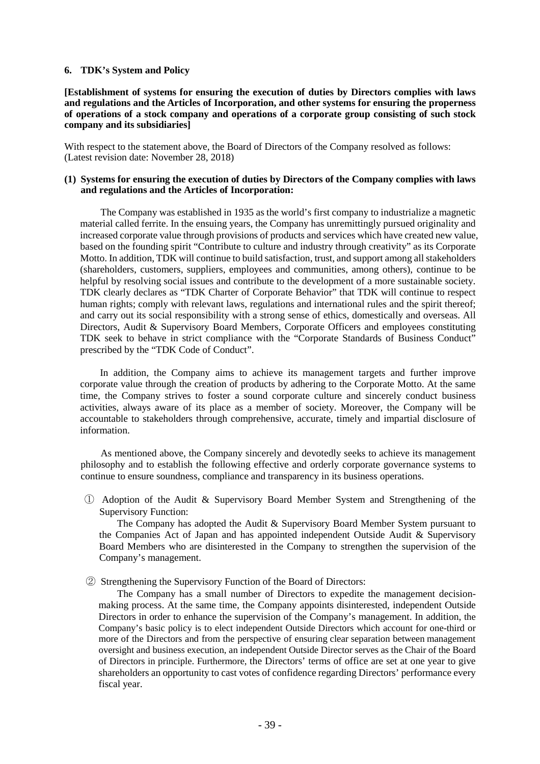#### **6. TDK's System and Policy**

**[Establishment of systems for ensuring the execution of duties by Directors complies with laws and regulations and the Articles of Incorporation, and other systems for ensuring the properness of operations of a stock company and operations of a corporate group consisting of such stock company and its subsidiaries]**

With respect to the statement above, the Board of Directors of the Company resolved as follows: (Latest revision date: November 28, 2018)

#### **(1) Systems for ensuring the execution of duties by Directors of the Company complies with laws and regulations and the Articles of Incorporation:**

The Company was established in 1935 as the world's first company to industrialize a magnetic material called ferrite. In the ensuing years, the Company has unremittingly pursued originality and increased corporate value through provisions of products and services which have created new value, based on the founding spirit "Contribute to culture and industry through creativity" as its Corporate Motto. In addition, TDK will continue to build satisfaction, trust, and support among all stakeholders (shareholders, customers, suppliers, employees and communities, among others), continue to be helpful by resolving social issues and contribute to the development of a more sustainable society. TDK clearly declares as "TDK Charter of Corporate Behavior" that TDK will continue to respect human rights; comply with relevant laws, regulations and international rules and the spirit thereof; and carry out its social responsibility with a strong sense of ethics, domestically and overseas. All Directors, Audit & Supervisory Board Members, Corporate Officers and employees constituting TDK seek to behave in strict compliance with the "Corporate Standards of Business Conduct" prescribed by the "TDK Code of Conduct".

In addition, the Company aims to achieve its management targets and further improve corporate value through the creation of products by adhering to the Corporate Motto. At the same time, the Company strives to foster a sound corporate culture and sincerely conduct business activities, always aware of its place as a member of society. Moreover, the Company will be accountable to stakeholders through comprehensive, accurate, timely and impartial disclosure of information.

As mentioned above, the Company sincerely and devotedly seeks to achieve its management philosophy and to establish the following effective and orderly corporate governance systems to continue to ensure soundness, compliance and transparency in its business operations.

① Adoption of the Audit & Supervisory Board Member System and Strengthening of the Supervisory Function:

The Company has adopted the Audit & Supervisory Board Member System pursuant to the Companies Act of Japan and has appointed independent Outside Audit & Supervisory Board Members who are disinterested in the Company to strengthen the supervision of the Company's management.

② Strengthening the Supervisory Function of the Board of Directors:

The Company has a small number of Directors to expedite the management decisionmaking process. At the same time, the Company appoints disinterested, independent Outside Directors in order to enhance the supervision of the Company's management. In addition, the Company's basic policy is to elect independent Outside Directors which account for one-third or more of the Directors and from the perspective of ensuring clear separation between management oversight and business execution, an independent Outside Director serves as the Chair of the Board of Directors in principle. Furthermore, the Directors' terms of office are set at one year to give shareholders an opportunity to cast votes of confidence regarding Directors' performance every fiscal year.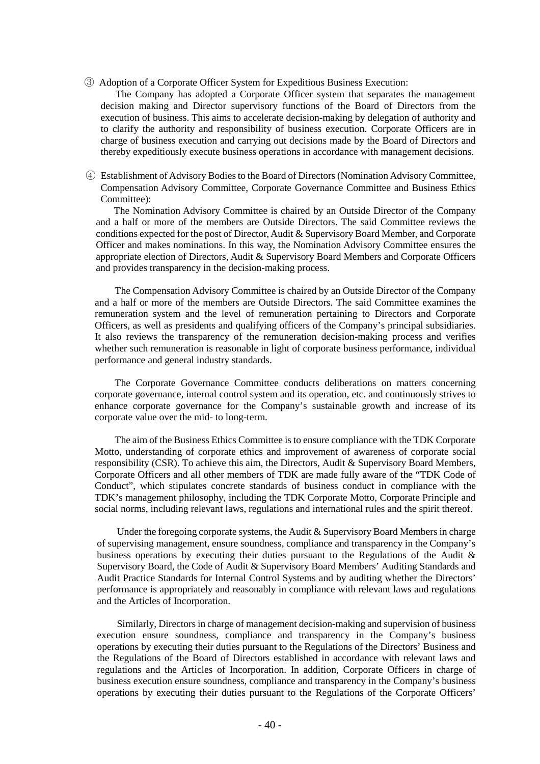③ Adoption of a Corporate Officer System for Expeditious Business Execution:

 The Company has adopted a Corporate Officer system that separates the management decision making and Director supervisory functions of the Board of Directors from the execution of business. This aims to accelerate decision-making by delegation of authority and to clarify the authority and responsibility of business execution. Corporate Officers are in charge of business execution and carrying out decisions made by the Board of Directors and thereby expeditiously execute business operations in accordance with management decisions.

④ Establishment of Advisory Bodies to the Board of Directors (Nomination Advisory Committee, Compensation Advisory Committee, Corporate Governance Committee and Business Ethics Committee):

 The Nomination Advisory Committee is chaired by an Outside Director of the Company and a half or more of the members are Outside Directors. The said Committee reviews the conditions expected for the post of Director, Audit & Supervisory Board Member, and Corporate Officer and makes nominations. In this way, the Nomination Advisory Committee ensures the appropriate election of Directors, Audit & Supervisory Board Members and Corporate Officers and provides transparency in the decision-making process.

The Compensation Advisory Committee is chaired by an Outside Director of the Company and a half or more of the members are Outside Directors. The said Committee examines the remuneration system and the level of remuneration pertaining to Directors and Corporate Officers, as well as presidents and qualifying officers of the Company's principal subsidiaries. It also reviews the transparency of the remuneration decision-making process and verifies whether such remuneration is reasonable in light of corporate business performance, individual performance and general industry standards.

The Corporate Governance Committee conducts deliberations on matters concerning corporate governance, internal control system and its operation, etc. and continuously strives to enhance corporate governance for the Company's sustainable growth and increase of its corporate value over the mid- to long-term.

The aim of the Business Ethics Committee is to ensure compliance with the TDK Corporate Motto, understanding of corporate ethics and improvement of awareness of corporate social responsibility (CSR). To achieve this aim, the Directors, Audit & Supervisory Board Members, Corporate Officers and all other members of TDK are made fully aware of the "TDK Code of Conduct", which stipulates concrete standards of business conduct in compliance with the TDK's management philosophy, including the TDK Corporate Motto, Corporate Principle and social norms, including relevant laws, regulations and international rules and the spirit thereof.

Under the foregoing corporate systems, the Audit & Supervisory Board Members in charge of supervising management, ensure soundness, compliance and transparency in the Company's business operations by executing their duties pursuant to the Regulations of the Audit & Supervisory Board, the Code of Audit & Supervisory Board Members' Auditing Standards and Audit Practice Standards for Internal Control Systems and by auditing whether the Directors' performance is appropriately and reasonably in compliance with relevant laws and regulations and the Articles of Incorporation.

Similarly, Directors in charge of management decision-making and supervision of business execution ensure soundness, compliance and transparency in the Company's business operations by executing their duties pursuant to the Regulations of the Directors' Business and the Regulations of the Board of Directors established in accordance with relevant laws and regulations and the Articles of Incorporation. In addition, Corporate Officers in charge of business execution ensure soundness, compliance and transparency in the Company's business operations by executing their duties pursuant to the Regulations of the Corporate Officers'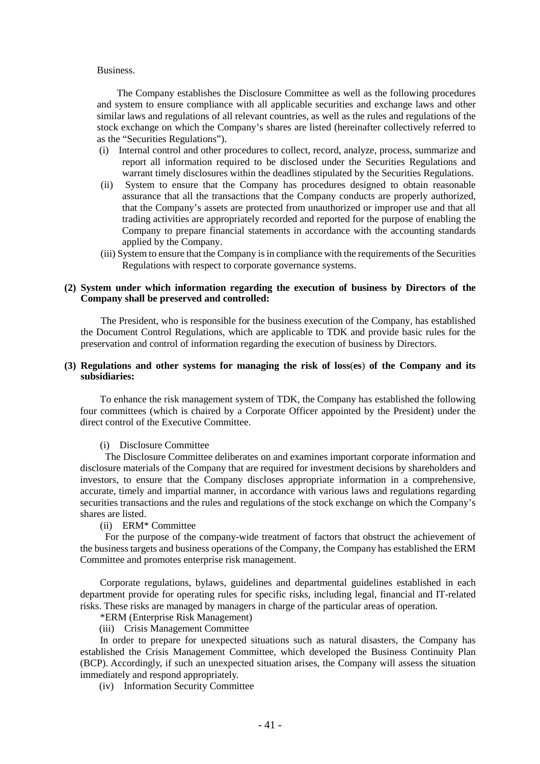#### Business.

The Company establishes the Disclosure Committee as well as the following procedures and system to ensure compliance with all applicable securities and exchange laws and other similar laws and regulations of all relevant countries, as well as the rules and regulations of the stock exchange on which the Company's shares are listed (hereinafter collectively referred to as the "Securities Regulations").

- (i) Internal control and other procedures to collect, record, analyze, process, summarize and report all information required to be disclosed under the Securities Regulations and warrant timely disclosures within the deadlines stipulated by the Securities Regulations.
- (ii) System to ensure that the Company has procedures designed to obtain reasonable assurance that all the transactions that the Company conducts are properly authorized, that the Company's assets are protected from unauthorized or improper use and that all trading activities are appropriately recorded and reported for the purpose of enabling the Company to prepare financial statements in accordance with the accounting standards applied by the Company.
- (iii) System to ensure that the Company is in compliance with the requirements of the Securities Regulations with respect to corporate governance systems.

#### **(2) System under which information regarding the execution of business by Directors of the Company shall be preserved and controlled:**

The President, who is responsible for the business execution of the Company, has established the Document Control Regulations, which are applicable to TDK and provide basic rules for the preservation and control of information regarding the execution of business by Directors.

#### **(3) Regulations and other systems for managing the risk of loss**(**es**) **of the Company and its subsidiaries:**

To enhance the risk management system of TDK, the Company has established the following four committees (which is chaired by a Corporate Officer appointed by the President) under the direct control of the Executive Committee.

#### (i) Disclosure Committee

The Disclosure Committee deliberates on and examines important corporate information and disclosure materials of the Company that are required for investment decisions by shareholders and investors, to ensure that the Company discloses appropriate information in a comprehensive, accurate, timely and impartial manner, in accordance with various laws and regulations regarding securities transactions and the rules and regulations of the stock exchange on which the Company's shares are listed.

(ii) ERM\* Committee

For the purpose of the company-wide treatment of factors that obstruct the achievement of the business targets and business operations of the Company, the Company has established the ERM Committee and promotes enterprise risk management.

Corporate regulations, bylaws, guidelines and departmental guidelines established in each department provide for operating rules for specific risks, including legal, financial and IT-related risks. These risks are managed by managers in charge of the particular areas of operation.

\*ERM (Enterprise Risk Management)

(iii) Crisis Management Committee

In order to prepare for unexpected situations such as natural disasters, the Company has established the Crisis Management Committee, which developed the Business Continuity Plan (BCP). Accordingly, if such an unexpected situation arises, the Company will assess the situation immediately and respond appropriately.

(iv) Information Security Committee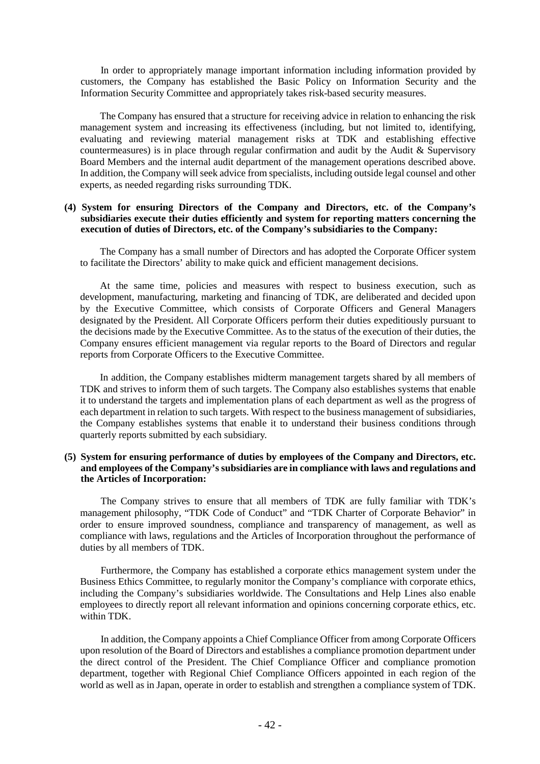In order to appropriately manage important information including information provided by customers, the Company has established the Basic Policy on Information Security and the Information Security Committee and appropriately takes risk-based security measures.

The Company has ensured that a structure for receiving advice in relation to enhancing the risk management system and increasing its effectiveness (including, but not limited to, identifying, evaluating and reviewing material management risks at TDK and establishing effective countermeasures) is in place through regular confirmation and audit by the Audit & Supervisory Board Members and the internal audit department of the management operations described above. In addition, the Company will seek advice from specialists, including outside legal counsel and other experts, as needed regarding risks surrounding TDK.

#### **(4) System for ensuring Directors of the Company and Directors, etc. of the Company's subsidiaries execute their duties efficiently and system for reporting matters concerning the execution of duties of Directors, etc. of the Company's subsidiaries to the Company:**

The Company has a small number of Directors and has adopted the Corporate Officer system to facilitate the Directors' ability to make quick and efficient management decisions.

At the same time, policies and measures with respect to business execution, such as development, manufacturing, marketing and financing of TDK, are deliberated and decided upon by the Executive Committee, which consists of Corporate Officers and General Managers designated by the President. All Corporate Officers perform their duties expeditiously pursuant to the decisions made by the Executive Committee. As to the status of the execution of their duties, the Company ensures efficient management via regular reports to the Board of Directors and regular reports from Corporate Officers to the Executive Committee.

In addition, the Company establishes midterm management targets shared by all members of TDK and strives to inform them of such targets. The Company also establishes systems that enable it to understand the targets and implementation plans of each department as well as the progress of each department in relation to such targets. With respect to the business management of subsidiaries, the Company establishes systems that enable it to understand their business conditions through quarterly reports submitted by each subsidiary.

#### **(5) System for ensuring performance of duties by employees of the Company and Directors, etc. and employees of the Company's subsidiaries are in compliance with laws and regulations and the Articles of Incorporation:**

The Company strives to ensure that all members of TDK are fully familiar with TDK's management philosophy, "TDK Code of Conduct" and "TDK Charter of Corporate Behavior" in order to ensure improved soundness, compliance and transparency of management, as well as compliance with laws, regulations and the Articles of Incorporation throughout the performance of duties by all members of TDK.

Furthermore, the Company has established a corporate ethics management system under the Business Ethics Committee, to regularly monitor the Company's compliance with corporate ethics, including the Company's subsidiaries worldwide. The Consultations and Help Lines also enable employees to directly report all relevant information and opinions concerning corporate ethics, etc. within TDK.

In addition, the Company appoints a Chief Compliance Officer from among Corporate Officers upon resolution of the Board of Directors and establishes a compliance promotion department under the direct control of the President. The Chief Compliance Officer and compliance promotion department, together with Regional Chief Compliance Officers appointed in each region of the world as well as in Japan, operate in order to establish and strengthen a compliance system of TDK.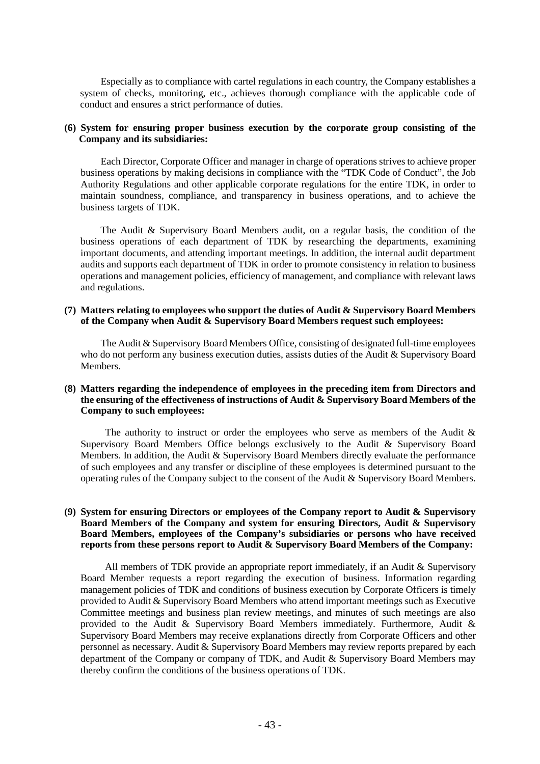Especially as to compliance with cartel regulations in each country, the Company establishes a system of checks, monitoring, etc., achieves thorough compliance with the applicable code of conduct and ensures a strict performance of duties.

#### **(6) System for ensuring proper business execution by the corporate group consisting of the Company and its subsidiaries:**

Each Director, Corporate Officer and manager in charge of operations strives to achieve proper business operations by making decisions in compliance with the "TDK Code of Conduct", the Job Authority Regulations and other applicable corporate regulations for the entire TDK, in order to maintain soundness, compliance, and transparency in business operations, and to achieve the business targets of TDK.

The Audit & Supervisory Board Members audit, on a regular basis, the condition of the business operations of each department of TDK by researching the departments, examining important documents, and attending important meetings. In addition, the internal audit department audits and supports each department of TDK in order to promote consistency in relation to business operations and management policies, efficiency of management, and compliance with relevant laws and regulations.

#### **(7) Matters relating to employees who support the duties of Audit & Supervisory Board Members of the Company when Audit & Supervisory Board Members request such employees:**

The Audit & Supervisory Board Members Office, consisting of designated full-time employees who do not perform any business execution duties, assists duties of the Audit & Supervisory Board Members.

#### **(8) Matters regarding the independence of employees in the preceding item from Directors and the ensuring of the effectiveness of instructions of Audit & Supervisory Board Members of the Company to such employees:**

The authority to instruct or order the employees who serve as members of the Audit  $\&$ Supervisory Board Members Office belongs exclusively to the Audit & Supervisory Board Members. In addition, the Audit & Supervisory Board Members directly evaluate the performance of such employees and any transfer or discipline of these employees is determined pursuant to the operating rules of the Company subject to the consent of the Audit & Supervisory Board Members.

#### **(9) System for ensuring Directors or employees of the Company report to Audit & Supervisory Board Members of the Company and system for ensuring Directors, Audit & Supervisory Board Members, employees of the Company's subsidiaries or persons who have received reports from these persons report to Audit & Supervisory Board Members of the Company:**

All members of TDK provide an appropriate report immediately, if an Audit & Supervisory Board Member requests a report regarding the execution of business. Information regarding management policies of TDK and conditions of business execution by Corporate Officers is timely provided to Audit & Supervisory Board Members who attend important meetings such as Executive Committee meetings and business plan review meetings, and minutes of such meetings are also provided to the Audit & Supervisory Board Members immediately. Furthermore, Audit & Supervisory Board Members may receive explanations directly from Corporate Officers and other personnel as necessary. Audit & Supervisory Board Members may review reports prepared by each department of the Company or company of TDK, and Audit & Supervisory Board Members may thereby confirm the conditions of the business operations of TDK.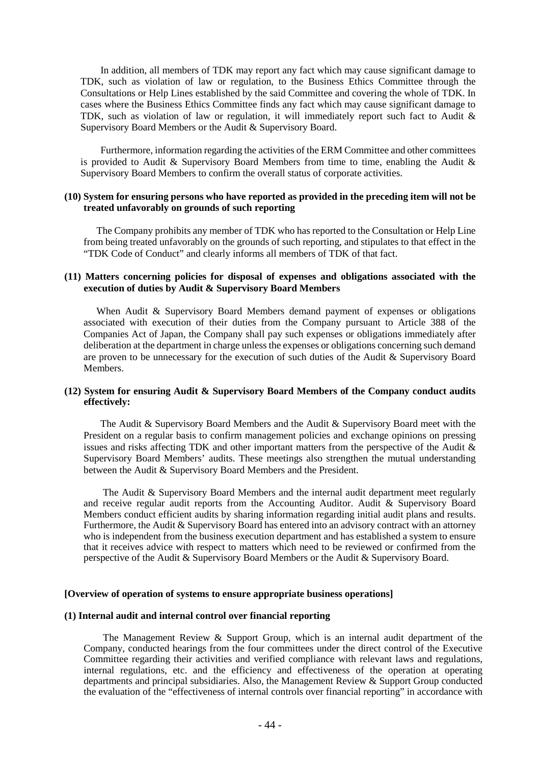In addition, all members of TDK may report any fact which may cause significant damage to TDK, such as violation of law or regulation, to the Business Ethics Committee through the Consultations or Help Lines established by the said Committee and covering the whole of TDK. In cases where the Business Ethics Committee finds any fact which may cause significant damage to TDK, such as violation of law or regulation, it will immediately report such fact to Audit & Supervisory Board Members or the Audit & Supervisory Board.

Furthermore, information regarding the activities of the ERM Committee and other committees is provided to Audit & Supervisory Board Members from time to time, enabling the Audit & Supervisory Board Members to confirm the overall status of corporate activities.

#### **(10) System for ensuring persons who have reported as provided in the preceding item will not be treated unfavorably on grounds of such reporting**

The Company prohibits any member of TDK who has reported to the Consultation or Help Line from being treated unfavorably on the grounds of such reporting, and stipulates to that effect in the "TDK Code of Conduct" and clearly informs all members of TDK of that fact.

#### **(11) Matters concerning policies for disposal of expenses and obligations associated with the execution of duties by Audit & Supervisory Board Members**

When Audit & Supervisory Board Members demand payment of expenses or obligations associated with execution of their duties from the Company pursuant to Article 388 of the Companies Act of Japan, the Company shall pay such expenses or obligations immediately after deliberation at the department in charge unless the expenses or obligations concerning such demand are proven to be unnecessary for the execution of such duties of the Audit & Supervisory Board **Members** 

#### **(12) System for ensuring Audit & Supervisory Board Members of the Company conduct audits effectively:**

The Audit & Supervisory Board Members and the Audit & Supervisory Board meet with the President on a regular basis to confirm management policies and exchange opinions on pressing issues and risks affecting TDK and other important matters from the perspective of the Audit & Supervisory Board Members' audits. These meetings also strengthen the mutual understanding between the Audit & Supervisory Board Members and the President.

The Audit & Supervisory Board Members and the internal audit department meet regularly and receive regular audit reports from the Accounting Auditor. Audit & Supervisory Board Members conduct efficient audits by sharing information regarding initial audit plans and results. Furthermore, the Audit & Supervisory Board has entered into an advisory contract with an attorney who is independent from the business execution department and has established a system to ensure that it receives advice with respect to matters which need to be reviewed or confirmed from the perspective of the Audit & Supervisory Board Members or the Audit & Supervisory Board.

#### **[Overview of operation of systems to ensure appropriate business operations]**

#### **(1) Internal audit and internal control over financial reporting**

The Management Review & Support Group, which is an internal audit department of the Company, conducted hearings from the four committees under the direct control of the Executive Committee regarding their activities and verified compliance with relevant laws and regulations, internal regulations, etc. and the efficiency and effectiveness of the operation at operating departments and principal subsidiaries. Also, the Management Review & Support Group conducted the evaluation of the "effectiveness of internal controls over financial reporting" in accordance with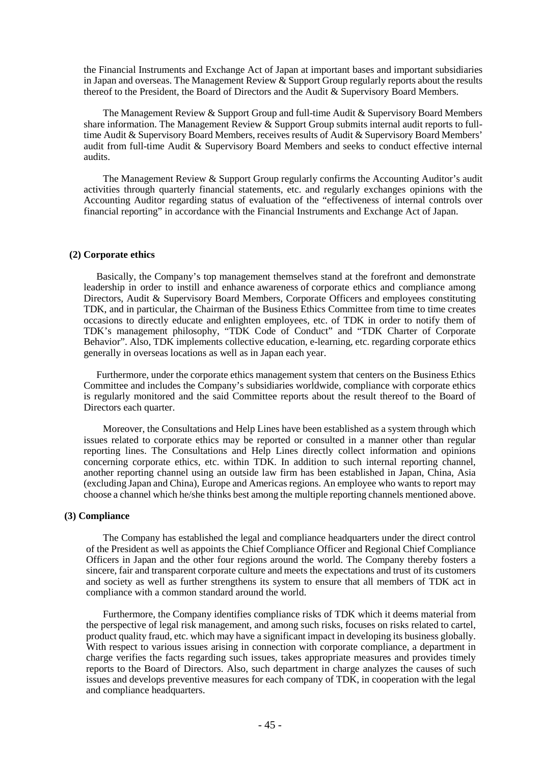the Financial Instruments and Exchange Act of Japan at important bases and important subsidiaries in Japan and overseas. The Management Review  $\&$  Support Group regularly reports about the results thereof to the President, the Board of Directors and the Audit & Supervisory Board Members.

The Management Review & Support Group and full-time Audit & Supervisory Board Members share information. The Management Review  $\&$  Support Group submits internal audit reports to fulltime Audit & Supervisory Board Members, receives results of Audit & Supervisory Board Members' audit from full-time Audit & Supervisory Board Members and seeks to conduct effective internal audits.

The Management Review & Support Group regularly confirms the Accounting Auditor's audit activities through quarterly financial statements, etc. and regularly exchanges opinions with the Accounting Auditor regarding status of evaluation of the "effectiveness of internal controls over financial reporting" in accordance with the Financial Instruments and Exchange Act of Japan.

#### **(2) Corporate ethics**

Basically, the Company's top management themselves stand at the forefront and demonstrate leadership in order to instill and enhance awareness of corporate ethics and compliance among Directors, Audit & Supervisory Board Members, Corporate Officers and employees constituting TDK, and in particular, the Chairman of the Business Ethics Committee from time to time creates occasions to directly educate and enlighten employees, etc. of TDK in order to notify them of TDK's management philosophy, "TDK Code of Conduct" and "TDK Charter of Corporate Behavior". Also, TDK implements collective education, e-learning, etc. regarding corporate ethics generally in overseas locations as well as in Japan each year.

Furthermore, under the corporate ethics management system that centers on the Business Ethics Committee and includes the Company's subsidiaries worldwide, compliance with corporate ethics is regularly monitored and the said Committee reports about the result thereof to the Board of Directors each quarter.

Moreover, the Consultations and Help Lines have been established as a system through which issues related to corporate ethics may be reported or consulted in a manner other than regular reporting lines. The Consultations and Help Lines directly collect information and opinions concerning corporate ethics, etc. within TDK. In addition to such internal reporting channel, another reporting channel using an outside law firm has been established in Japan, China, Asia (excluding Japan and China), Europe and Americas regions. An employee who wants to report may choose a channel which he/she thinks best among the multiple reporting channels mentioned above.

#### **(3) Compliance**

The Company has established the legal and compliance headquarters under the direct control of the President as well as appoints the Chief Compliance Officer and Regional Chief Compliance Officers in Japan and the other four regions around the world. The Company thereby fosters a sincere, fair and transparent corporate culture and meets the expectations and trust of its customers and society as well as further strengthens its system to ensure that all members of TDK act in compliance with a common standard around the world.

Furthermore, the Company identifies compliance risks of TDK which it deems material from the perspective of legal risk management, and among such risks, focuses on risks related to cartel, product quality fraud, etc. which may have a significant impact in developing its business globally. With respect to various issues arising in connection with corporate compliance, a department in charge verifies the facts regarding such issues, takes appropriate measures and provides timely reports to the Board of Directors. Also, such department in charge analyzes the causes of such issues and develops preventive measures for each company of TDK, in cooperation with the legal and compliance headquarters.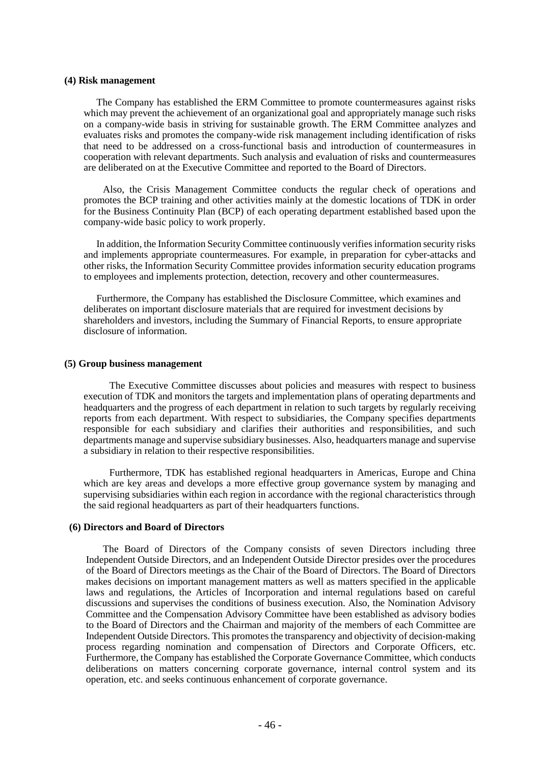#### **(4) Risk management**

The Company has established the ERM Committee to promote countermeasures against risks which may prevent the achievement of an organizational goal and appropriately manage such risks on a company-wide basis in striving for sustainable growth. The ERM Committee analyzes and evaluates risks and promotes the company-wide risk management including identification of risks that need to be addressed on a cross-functional basis and introduction of countermeasures in cooperation with relevant departments. Such analysis and evaluation of risks and countermeasures are deliberated on at the Executive Committee and reported to the Board of Directors.

Also, the Crisis Management Committee conducts the regular check of operations and promotes the BCP training and other activities mainly at the domestic locations of TDK in order for the Business Continuity Plan (BCP) of each operating department established based upon the company-wide basic policy to work properly.

In addition, the Information Security Committee continuously verifiesinformation security risks and implements appropriate countermeasures. For example, in preparation for cyber-attacks and other risks, the Information Security Committee provides information security education programs to employees and implements protection, detection, recovery and other countermeasures.

Furthermore, the Company has established the Disclosure Committee, which examines and deliberates on important disclosure materials that are required for investment decisions by shareholders and investors, including the Summary of Financial Reports, to ensure appropriate disclosure of information.

#### **(5) Group business management**

The Executive Committee discusses about policies and measures with respect to business execution of TDK and monitors the targets and implementation plans of operating departments and headquarters and the progress of each department in relation to such targets by regularly receiving reports from each department. With respect to subsidiaries, the Company specifies departments responsible for each subsidiary and clarifies their authorities and responsibilities, and such departments manage and supervise subsidiary businesses. Also, headquarters manage and supervise a subsidiary in relation to their respective responsibilities.

Furthermore, TDK has established regional headquarters in Americas, Europe and China which are key areas and develops a more effective group governance system by managing and supervising subsidiaries within each region in accordance with the regional characteristics through the said regional headquarters as part of their headquarters functions.

#### **(6) Directors and Board of Directors**

The Board of Directors of the Company consists of seven Directors including three Independent Outside Directors, and an Independent Outside Director presides over the procedures of the Board of Directors meetings as the Chair of the Board of Directors. The Board of Directors makes decisions on important management matters as well as matters specified in the applicable laws and regulations, the Articles of Incorporation and internal regulations based on careful discussions and supervises the conditions of business execution. Also, the Nomination Advisory Committee and the Compensation Advisory Committee have been established as advisory bodies to the Board of Directors and the Chairman and majority of the members of each Committee are Independent Outside Directors. This promotes the transparency and objectivity of decision-making process regarding nomination and compensation of Directors and Corporate Officers, etc. Furthermore, the Company has established the Corporate Governance Committee, which conducts deliberations on matters concerning corporate governance, internal control system and its operation, etc. and seeks continuous enhancement of corporate governance.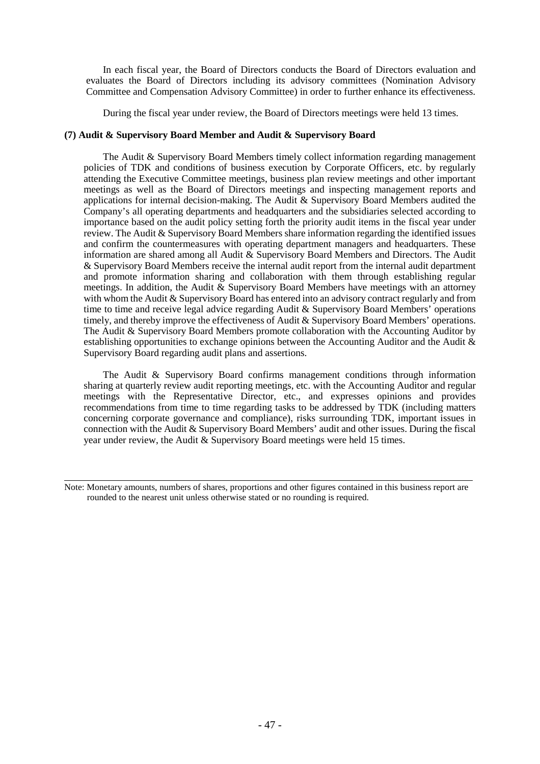In each fiscal year, the Board of Directors conducts the Board of Directors evaluation and evaluates the Board of Directors including its advisory committees (Nomination Advisory Committee and Compensation Advisory Committee) in order to further enhance its effectiveness.

During the fiscal year under review, the Board of Directors meetings were held 13 times.

#### **(7) Audit & Supervisory Board Member and Audit & Supervisory Board**

The Audit & Supervisory Board Members timely collect information regarding management policies of TDK and conditions of business execution by Corporate Officers, etc. by regularly attending the Executive Committee meetings, business plan review meetings and other important meetings as well as the Board of Directors meetings and inspecting management reports and applications for internal decision-making. The Audit & Supervisory Board Members audited the Company's all operating departments and headquarters and the subsidiaries selected according to importance based on the audit policy setting forth the priority audit items in the fiscal year under review. The Audit & Supervisory Board Members share information regarding the identified issues and confirm the countermeasures with operating department managers and headquarters. These information are shared among all Audit & Supervisory Board Members and Directors. The Audit & Supervisory Board Members receive the internal audit report from the internal audit department and promote information sharing and collaboration with them through establishing regular meetings. In addition, the Audit  $\&$  Supervisory Board Members have meetings with an attorney with whom the Audit & Supervisory Board has entered into an advisory contract regularly and from time to time and receive legal advice regarding Audit & Supervisory Board Members' operations timely, and thereby improve the effectiveness of Audit & Supervisory Board Members' operations. The Audit & Supervisory Board Members promote collaboration with the Accounting Auditor by establishing opportunities to exchange opinions between the Accounting Auditor and the Audit & Supervisory Board regarding audit plans and assertions.

The Audit & Supervisory Board confirms management conditions through information sharing at quarterly review audit reporting meetings, etc. with the Accounting Auditor and regular meetings with the Representative Director, etc., and expresses opinions and provides recommendations from time to time regarding tasks to be addressed by TDK (including matters concerning corporate governance and compliance), risks surrounding TDK, important issues in connection with the Audit & Supervisory Board Members' audit and other issues. During the fiscal year under review, the Audit & Supervisory Board meetings were held 15 times.

Note: Monetary amounts, numbers of shares, proportions and other figures contained in this business report are rounded to the nearest unit unless otherwise stated or no rounding is required.

 $\overline{a}$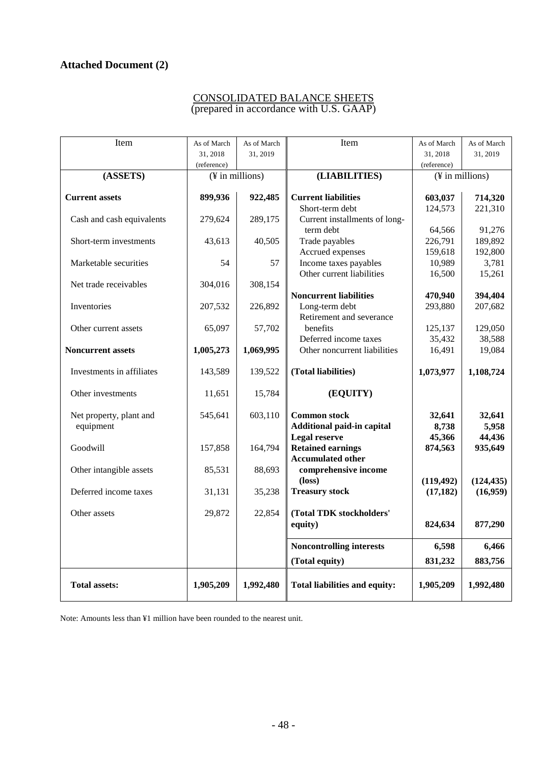# **Attached Document (2)**

## CONSOLIDATED BALANCE SHEETS (prepared in accordance with U.S. GAAP)

| Item                      | As of March     | As of March | Item                                 | As of March       | As of March       |
|---------------------------|-----------------|-------------|--------------------------------------|-------------------|-------------------|
|                           | 31.2018         | 31, 2019    |                                      | 31, 2018          | 31, 2019          |
|                           | (reference)     |             |                                      | (reference)       |                   |
| (ASSETS)                  | (¥ in millions) |             | (LIABILITIES)                        |                   | (¥ in millions)   |
|                           |                 |             |                                      |                   |                   |
| <b>Current assets</b>     | 899,936         | 922,485     | <b>Current liabilities</b>           | 603,037           | 714,320           |
|                           |                 |             | Short-term debt                      | 124,573           | 221,310           |
| Cash and cash equivalents | 279,624         | 289,175     | Current installments of long-        |                   |                   |
| Short-term investments    |                 | 40,505      | term debt<br>Trade payables          | 64,566<br>226,791 | 91,276<br>189,892 |
|                           | 43,613          |             | Accrued expenses                     | 159,618           | 192,800           |
| Marketable securities     | 54              | 57          | Income taxes payables                | 10,989            | 3,781             |
|                           |                 |             | Other current liabilities            | 16,500            | 15,261            |
| Net trade receivables     | 304,016         | 308,154     |                                      |                   |                   |
|                           |                 |             | <b>Noncurrent liabilities</b>        | 470,940           | 394,404           |
| Inventories               | 207,532         | 226,892     | Long-term debt                       | 293,880           | 207,682           |
|                           |                 |             | Retirement and severance             |                   |                   |
| Other current assets      | 65,097          | 57,702      | benefits                             | 125,137           | 129,050           |
|                           |                 |             | Deferred income taxes                | 35,432            | 38,588            |
| <b>Noncurrent assets</b>  | 1,005,273       | 1,069,995   | Other noncurrent liabilities         | 16,491            | 19,084            |
|                           |                 |             |                                      |                   |                   |
| Investments in affiliates | 143,589         | 139,522     | (Total liabilities)                  | 1,073,977         | 1,108,724         |
|                           |                 |             |                                      |                   |                   |
| Other investments         | 11,651          | 15,784      | (EQUITY)                             |                   |                   |
| Net property, plant and   | 545,641         | 603,110     | <b>Common stock</b>                  | 32,641            | 32,641            |
| equipment                 |                 |             | Additional paid-in capital           | 8,738             | 5,958             |
|                           |                 |             | Legal reserve                        | 45,366            | 44,436            |
| Goodwill                  | 157,858         | 164,794     | <b>Retained earnings</b>             | 874,563           | 935,649           |
|                           |                 |             | <b>Accumulated other</b>             |                   |                   |
| Other intangible assets   | 85,531          | 88,693      | comprehensive income                 |                   |                   |
|                           |                 |             | $(\text{loss})$                      | (119, 492)        | (124, 435)        |
| Deferred income taxes     | 31,131          | 35,238      | <b>Treasury stock</b>                | (17, 182)         | (16,959)          |
|                           |                 |             |                                      |                   |                   |
| Other assets              | 29,872          | 22,854      | (Total TDK stockholders'             |                   |                   |
|                           |                 |             | equity)                              | 824,634           | 877,290           |
|                           |                 |             |                                      |                   |                   |
|                           |                 |             | <b>Noncontrolling interests</b>      | 6,598             | 6,466             |
|                           |                 |             | (Total equity)                       | 831,232           | 883,756           |
|                           |                 |             |                                      |                   |                   |
| <b>Total assets:</b>      | 1,905,209       | 1,992,480   | <b>Total liabilities and equity:</b> | 1,905,209         | 1,992,480         |
|                           |                 |             |                                      |                   |                   |

Note: Amounts less than ¥1 million have been rounded to the nearest unit.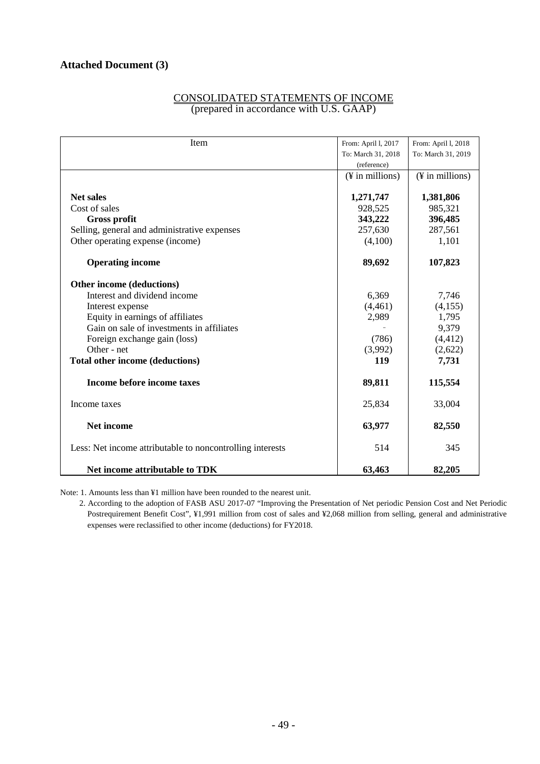| CONSOLIDATED STATEMENTS OF INCOME       |  |
|-----------------------------------------|--|
| (prepared in accordance with U.S. GAAP) |  |

| Item                                                      | From: April 1, 2017 | From: April 1, 2018 |
|-----------------------------------------------------------|---------------------|---------------------|
|                                                           | To: March 31, 2018  | To: March 31, 2019  |
|                                                           | (reference)         |                     |
|                                                           | (¥ in millions)     | (¥ in millions)     |
|                                                           |                     |                     |
| <b>Net sales</b>                                          | 1,271,747           | 1,381,806           |
| Cost of sales                                             | 928,525             | 985,321             |
| <b>Gross profit</b>                                       | 343,222             | 396,485             |
| Selling, general and administrative expenses              | 257,630             | 287,561             |
| Other operating expense (income)                          | (4,100)             | 1,101               |
| <b>Operating income</b>                                   | 89,692              | 107,823             |
| Other income (deductions)                                 |                     |                     |
| Interest and dividend income                              | 6,369               | 7,746               |
| Interest expense                                          | (4,461)             | (4,155)             |
| Equity in earnings of affiliates                          | 2,989               | 1,795               |
| Gain on sale of investments in affiliates                 |                     | 9,379               |
| Foreign exchange gain (loss)                              | (786)               | (4, 412)            |
| Other - net                                               | (3,992)             | (2,622)             |
| Total other income (deductions)                           | 119                 | 7,731               |
| Income before income taxes                                | 89,811              | 115,554             |
| Income taxes                                              | 25,834              | 33,004              |
| Net income                                                | 63,977              | 82,550              |
| Less: Net income attributable to noncontrolling interests | 514                 | 345                 |
| Net income attributable to TDK                            | 63,463              | 82,205              |

Note: 1. Amounts less than ¥1 million have been rounded to the nearest unit.

 2. According to the adoption of FASB ASU 2017-07 "Improving the Presentation of Net periodic Pension Cost and Net Periodic Postrequirement Benefit Cost", ¥1,991 million from cost of sales and ¥2,068 million from selling, general and administrative expenses were reclassified to other income (deductions) for FY2018.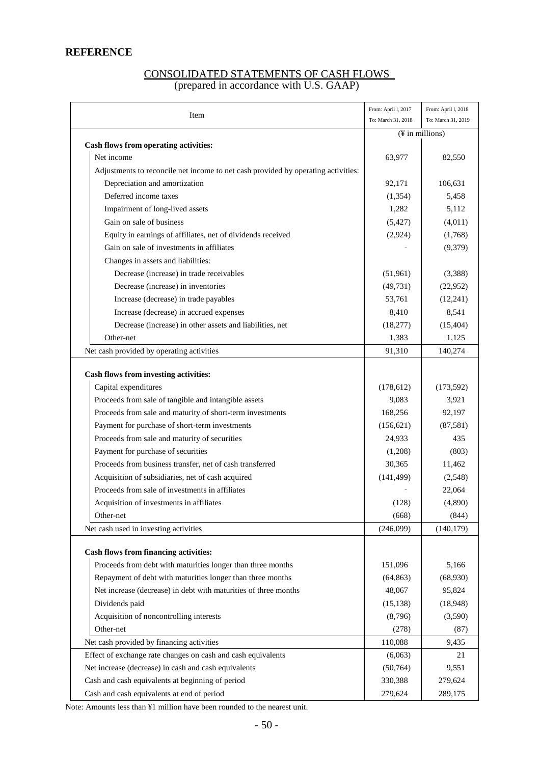## **REFERENCE**

## CONSOLIDATED STATEMENTS OF CASH FLOWS (prepared in accordance with U.S. GAAP)

|                                                                                   | From: April I, 2017 | From: April I, 2018 |
|-----------------------------------------------------------------------------------|---------------------|---------------------|
| Item                                                                              | To: March 31, 2018  | To: March 31, 2019  |
|                                                                                   | (¥ in millions)     |                     |
| Cash flows from operating activities:                                             |                     |                     |
| Net income                                                                        | 63,977              | 82,550              |
| Adjustments to reconcile net income to net cash provided by operating activities: |                     |                     |
| Depreciation and amortization                                                     | 92,171              | 106,631             |
| Deferred income taxes                                                             | (1, 354)            | 5,458               |
| Impairment of long-lived assets                                                   | 1,282               | 5,112               |
| Gain on sale of business                                                          | (5, 427)            | (4,011)             |
| Equity in earnings of affiliates, net of dividends received                       | (2,924)             | (1,768)             |
| Gain on sale of investments in affiliates                                         |                     | (9,379)             |
| Changes in assets and liabilities:                                                |                     |                     |
| Decrease (increase) in trade receivables                                          | (51,961)            | (3,388)             |
| Decrease (increase) in inventories                                                | (49, 731)           | (22,952)            |
| Increase (decrease) in trade payables                                             | 53,761              | (12,241)            |
| Increase (decrease) in accrued expenses                                           | 8,410               | 8,541               |
| Decrease (increase) in other assets and liabilities, net                          | (18, 277)           | (15, 404)           |
| Other-net                                                                         | 1,383               | 1,125               |
| Net cash provided by operating activities                                         | 91,310              | 140,274             |
|                                                                                   |                     |                     |
| Cash flows from investing activities:                                             |                     |                     |
| Capital expenditures                                                              | (178, 612)          | (173, 592)          |
| Proceeds from sale of tangible and intangible assets                              | 9,083               | 3,921               |
| Proceeds from sale and maturity of short-term investments                         | 168,256             | 92,197              |
| Payment for purchase of short-term investments                                    | (156, 621)          | (87,581)            |
| Proceeds from sale and maturity of securities                                     | 24,933              | 435                 |
| Payment for purchase of securities                                                | (1,208)             | (803)               |
| Proceeds from business transfer, net of cash transferred                          | 30,365              | 11,462              |
| Acquisition of subsidiaries, net of cash acquired                                 | (141, 499)          | (2,548)             |
| Proceeds from sale of investments in affiliates                                   |                     | 22,064              |
| Acquisition of investments in affiliates                                          | (128)               | (4,890)             |
| Other-net                                                                         | (668)               | (844)               |
| Net cash used in investing activities                                             | (246,099)           | (140, 179)          |
| <b>Cash flows from financing activities:</b>                                      |                     |                     |
| Proceeds from debt with maturities longer than three months                       | 151,096             | 5,166               |
| Repayment of debt with maturities longer than three months                        | (64, 863)           | (68,930)            |
| Net increase (decrease) in debt with maturities of three months                   | 48,067              | 95,824              |
| Dividends paid                                                                    | (15, 138)           | (18,948)            |
| Acquisition of noncontrolling interests                                           | (8,796)             | (3,590)             |
| Other-net                                                                         | (278)               | (87)                |
| Net cash provided by financing activities                                         | 110,088             | 9,435               |
| Effect of exchange rate changes on cash and cash equivalents                      | (6,063)             | 21                  |
| Net increase (decrease) in cash and cash equivalents                              | (50, 764)           | 9,551               |
| Cash and cash equivalents at beginning of period                                  | 330,388             |                     |
|                                                                                   |                     | 279,624             |
| Cash and cash equivalents at end of period                                        | 279,624             | 289,175             |

Note: Amounts less than ¥1 million have been rounded to the nearest unit.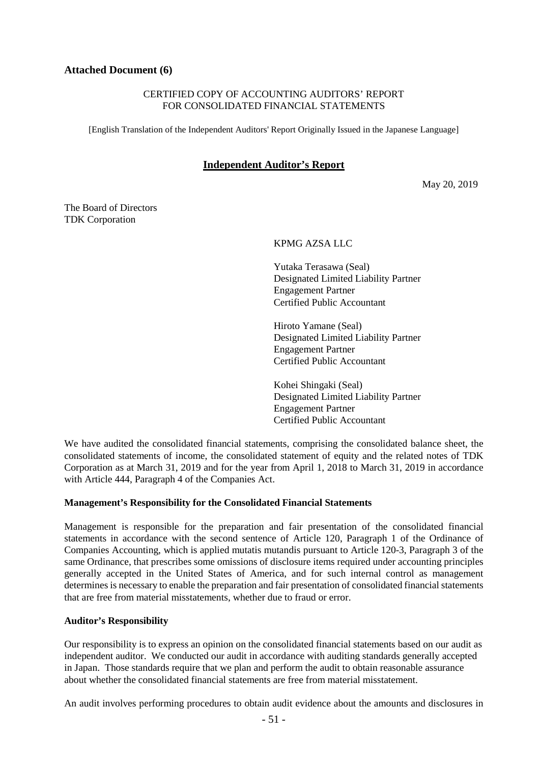## **Attached Document (6)**

#### CERTIFIED COPY OF ACCOUNTING AUDITORS' REPORT FOR CONSOLIDATED FINANCIAL STATEMENTS

[English Translation of the Independent Auditors' Report Originally Issued in the Japanese Language]

## **Independent Auditor's Report**

May 20, 2019

The Board of Directors TDK Corporation

KPMG AZSA LLC

Yutaka Terasawa (Seal) Designated Limited Liability Partner Engagement Partner Certified Public Accountant

Hiroto Yamane (Seal) Designated Limited Liability Partner Engagement Partner Certified Public Accountant

Kohei Shingaki (Seal) Designated Limited Liability Partner Engagement Partner Certified Public Accountant

We have audited the consolidated financial statements, comprising the consolidated balance sheet, the consolidated statements of income, the consolidated statement of equity and the related notes of TDK Corporation as at March 31, 2019 and for the year from April 1, 2018 to March 31, 2019 in accordance with Article 444, Paragraph 4 of the Companies Act.

#### **Management's Responsibility for the Consolidated Financial Statements**

Management is responsible for the preparation and fair presentation of the consolidated financial statements in accordance with the second sentence of Article 120, Paragraph 1 of the Ordinance of Companies Accounting, which is applied mutatis mutandis pursuant to Article 120-3, Paragraph 3 of the same Ordinance, that prescribes some omissions of disclosure items required under accounting principles generally accepted in the United States of America, and for such internal control as management determines is necessary to enable the preparation and fair presentation of consolidated financial statements that are free from material misstatements, whether due to fraud or error.

#### **Auditor's Responsibility**

Our responsibility is to express an opinion on the consolidated financial statements based on our audit as independent auditor. We conducted our audit in accordance with auditing standards generally accepted in Japan. Those standards require that we plan and perform the audit to obtain reasonable assurance about whether the consolidated financial statements are free from material misstatement.

An audit involves performing procedures to obtain audit evidence about the amounts and disclosures in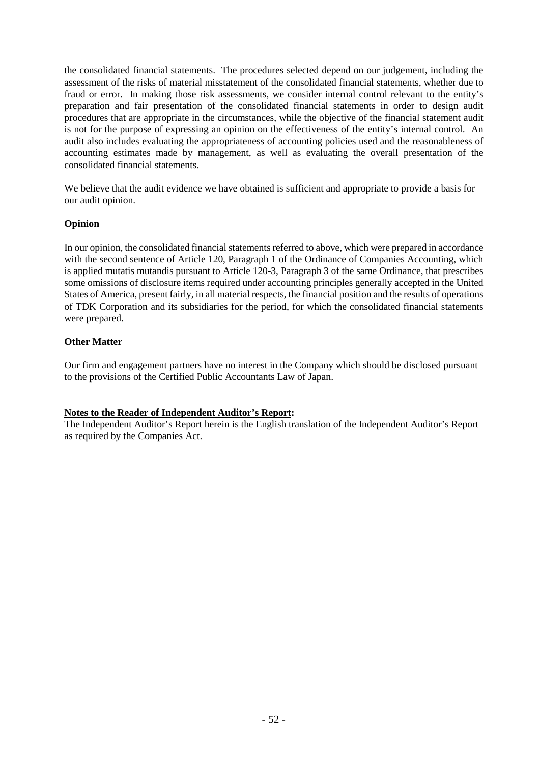the consolidated financial statements. The procedures selected depend on our judgement, including the assessment of the risks of material misstatement of the consolidated financial statements, whether due to fraud or error. In making those risk assessments, we consider internal control relevant to the entity's preparation and fair presentation of the consolidated financial statements in order to design audit procedures that are appropriate in the circumstances, while the objective of the financial statement audit is not for the purpose of expressing an opinion on the effectiveness of the entity's internal control. An audit also includes evaluating the appropriateness of accounting policies used and the reasonableness of accounting estimates made by management, as well as evaluating the overall presentation of the consolidated financial statements.

We believe that the audit evidence we have obtained is sufficient and appropriate to provide a basis for our audit opinion.

## **Opinion**

In our opinion, the consolidated financial statements referred to above, which were prepared in accordance with the second sentence of Article 120, Paragraph 1 of the Ordinance of Companies Accounting, which is applied mutatis mutandis pursuant to Article 120-3, Paragraph 3 of the same Ordinance, that prescribes some omissions of disclosure items required under accounting principles generally accepted in the United States of America, present fairly, in all material respects, the financial position and the results of operations of TDK Corporation and its subsidiaries for the period, for which the consolidated financial statements were prepared.

## **Other Matter**

Our firm and engagement partners have no interest in the Company which should be disclosed pursuant to the provisions of the Certified Public Accountants Law of Japan.

## **Notes to the Reader of Independent Auditor's Report:**

The Independent Auditor's Report herein is the English translation of the Independent Auditor's Report as required by the Companies Act.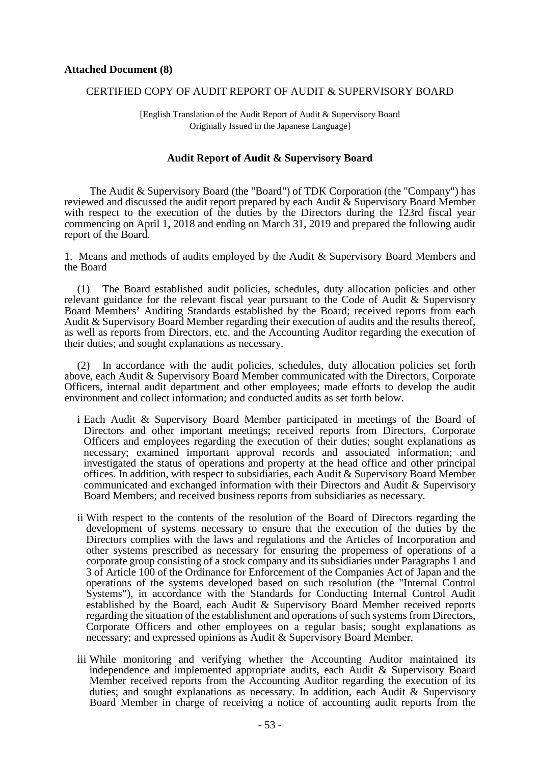#### CERTIFIED COPY OF AUDIT REPORT OF AUDIT & SUPERVISORY BOARD

[English Translation of the Audit Report of Audit & Supervisory Board Originally Issued in the Japanese Language]

#### **Audit Report of Audit & Supervisory Board**

The Audit & Supervisory Board (the "Board") of TDK Corporation (the "Company") has reviewed and discussed the audit report prepared by each Audit & Supervisory Board Member with respect to the execution of the duties by the Directors during the 123rd fiscal year commencing on April 1, 2018 and ending on March 31, 2019 and prepared the following audit report of the Board.

1. Means and methods of audits employed by the Audit & Supervisory Board Members and the Board

(1) The Board established audit policies, schedules, duty allocation policies and other relevant guidance for the relevant fiscal year pursuant to the Code of Audit & Supervisory Board Members' Auditing Standards established by the Board; received reports from each Audit & Supervisory Board Member regarding their execution of audits and the results thereof, as well as reports from Directors, etc. and the Accounting Auditor regarding the execution of their duties; and sought explanations as necessary.

(2) In accordance with the audit policies, schedules, duty allocation policies set forth above, each Audit & Supervisory Board Member communicated with the Directors, Corporate Officers, internal audit department and other employees; made efforts to develop the audit environment and collect information; and conducted audits as set forth below.

- i Each Audit & Supervisory Board Member participated in meetings of the Board of Directors and other important meetings; received reports from Directors, Corporate Officers and employees regarding the execution of their duties; sought explanations as necessary; examined important approval records and associated information; and investigated the status of operations and property at the head office and other principal offices. In addition, with respect to subsidiaries, each Audit & Supervisory Board Member communicated and exchanged information with their Directors and Audit & Supervisory Board Members; and received business reports from subsidiaries as necessary.
- ii With respect to the contents of the resolution of the Board of Directors regarding the development of systems necessary to ensure that the execution of the duties by the Directors complies with the laws and regulations and the Articles of Incorporation and other systems prescribed as necessary for ensuring the properness of operations of a corporate group consisting of a stock company and its subsidiaries under Paragraphs 1 and 3 of Article 100 of the Ordinance for Enforcement of the Companies Act of Japan and the operations of the systems developed based on such resolution (the "Internal Control Systems"), in accordance with the Standards for Conducting Internal Control Audit established by the Board, each Audit & Supervisory Board Member received reports regarding the situation of the establishment and operations of such systems from Directors, Corporate Officers and other employees on a regular basis; sought explanations as necessary; and expressed opinions as Audit & Supervisory Board Member.
- iii While monitoring and verifying whether the Accounting Auditor maintained its independence and implemented appropriate audits, each Audit & Supervisory Board Member received reports from the Accounting Auditor regarding the execution of its duties; and sought explanations as necessary. In addition, each Audit & Supervisory Board Member in charge of receiving a notice of accounting audit reports from the